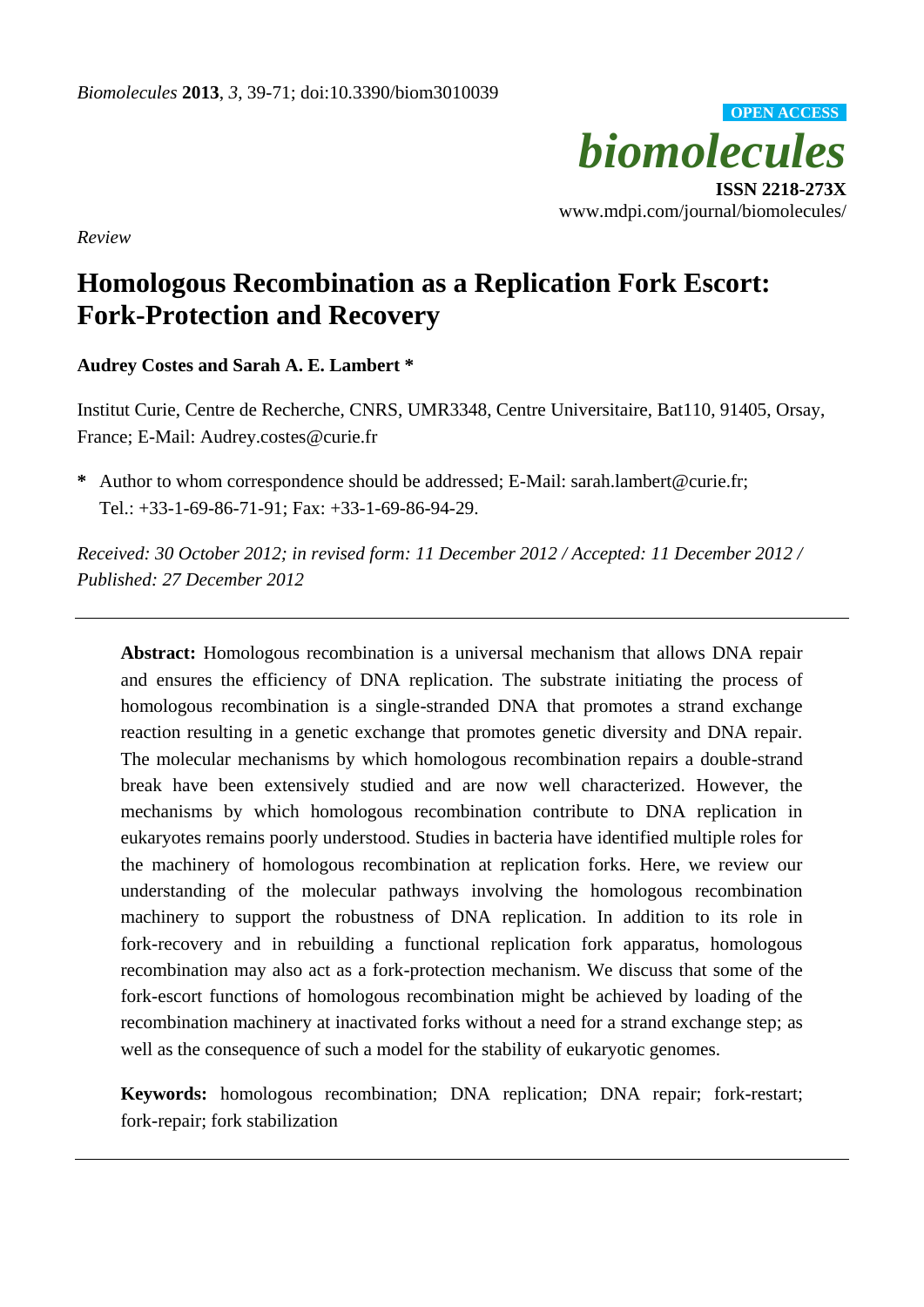

*Review*

# **Homologous Recombination as a Replication Fork Escort: Fork-Protection and Recovery**

**Audrey Costes and Sarah A. E. Lambert \***

Institut Curie, Centre de Recherche, CNRS, UMR3348, Centre Universitaire, Bat110, 91405, Orsay, France; E-Mail: Audrey.costes@curie.fr

**\*** Author to whom correspondence should be addressed; E-Mail: sarah.lambert@curie.fr; Tel.: +33-1-69-86-71-91; Fax: +33-1-69-86-94-29.

*Received: 30 October 2012; in revised form: 11 December 2012 / Accepted: 11 December 2012 / Published: 27 December 2012*

**Abstract:** Homologous recombination is a universal mechanism that allows DNA repair and ensures the efficiency of DNA replication. The substrate initiating the process of homologous recombination is a single-stranded DNA that promotes a strand exchange reaction resulting in a genetic exchange that promotes genetic diversity and DNA repair. The molecular mechanisms by which homologous recombination repairs a double-strand break have been extensively studied and are now well characterized. However, the mechanisms by which homologous recombination contribute to DNA replication in eukaryotes remains poorly understood. Studies in bacteria have identified multiple roles for the machinery of homologous recombination at replication forks. Here, we review our understanding of the molecular pathways involving the homologous recombination machinery to support the robustness of DNA replication. In addition to its role in fork-recovery and in rebuilding a functional replication fork apparatus, homologous recombination may also act as a fork-protection mechanism. We discuss that some of the fork-escort functions of homologous recombination might be achieved by loading of the recombination machinery at inactivated forks without a need for a strand exchange step; as well as the consequence of such a model for the stability of eukaryotic genomes.

**Keywords:** homologous recombination; DNA replication; DNA repair; fork-restart; fork-repair; fork stabilization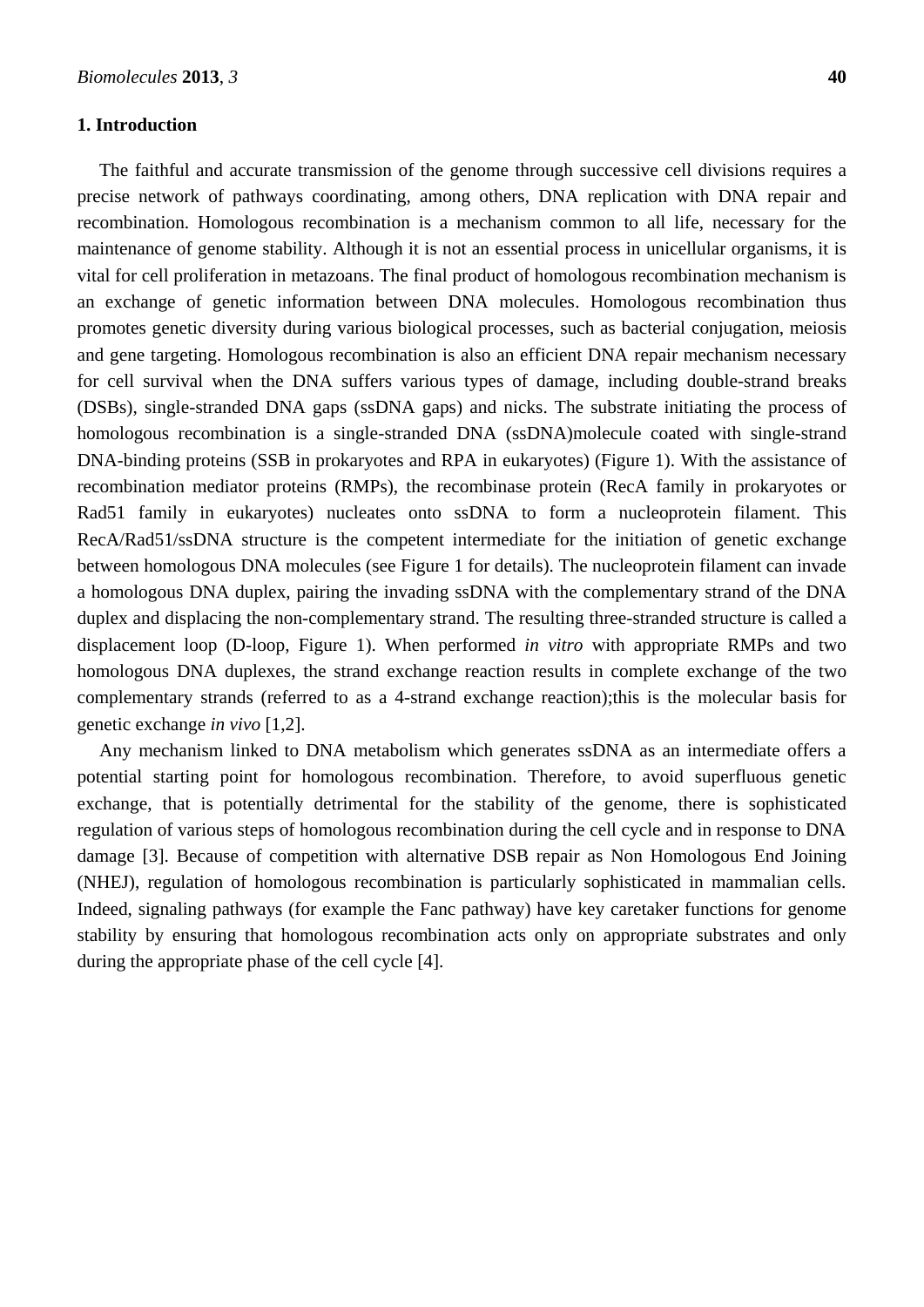# **1. Introduction**

The faithful and accurate transmission of the genome through successive cell divisions requires a precise network of pathways coordinating, among others, DNA replication with DNA repair and recombination. Homologous recombination is a mechanism common to all life, necessary for the maintenance of genome stability. Although it is not an essential process in unicellular organisms, it is vital for cell proliferation in metazoans. The final product of homologous recombination mechanism is an exchange of genetic information between DNA molecules. Homologous recombination thus promotes genetic diversity during various biological processes, such as bacterial conjugation, meiosis and gene targeting. Homologous recombination is also an efficient DNA repair mechanism necessary for cell survival when the DNA suffers various types of damage, including double-strand breaks (DSBs), single-stranded DNA gaps (ssDNA gaps) and nicks. The substrate initiating the process of homologous recombination is a single-stranded DNA (ssDNA)molecule coated with single-strand DNA-binding proteins (SSB in prokaryotes and RPA in eukaryotes) (Figure 1). With the assistance of recombination mediator proteins (RMPs), the recombinase protein (RecA family in prokaryotes or Rad51 family in eukaryotes) nucleates onto ssDNA to form a nucleoprotein filament. This RecA/Rad51/ssDNA structure is the competent intermediate for the initiation of genetic exchange between homologous DNA molecules (see Figure 1 for details). The nucleoprotein filament can invade a homologous DNA duplex, pairing the invading ssDNA with the complementary strand of the DNA duplex and displacing the non-complementary strand. The resulting three-stranded structure is called a displacement loop (D-loop, Figure 1). When performed *in vitro* with appropriate RMPs and two homologous DNA duplexes, the strand exchange reaction results in complete exchange of the two complementary strands (referred to as a 4-strand exchange reaction);this is the molecular basis for genetic exchange *in vivo* [\[1,](#page-21-0)[2\]](#page-21-1).

Any mechanism linked to DNA metabolism which generates ssDNA as an intermediate offers a potential starting point for homologous recombination. Therefore, to avoid superfluous genetic exchange, that is potentially detrimental for the stability of the genome, there is sophisticated regulation of various steps of homologous recombination during the cell cycle and in response to DNA damage [\[3\]](#page-21-2). Because of competition with alternative DSB repair as Non Homologous End Joining (NHEJ), regulation of homologous recombination is particularly sophisticated in mammalian cells. Indeed, signaling pathways (for example the Fanc pathway) have key caretaker functions for genome stability by ensuring that homologous recombination acts only on appropriate substrates and only during the appropriate phase of the cell cycle [\[4\]](#page-21-3).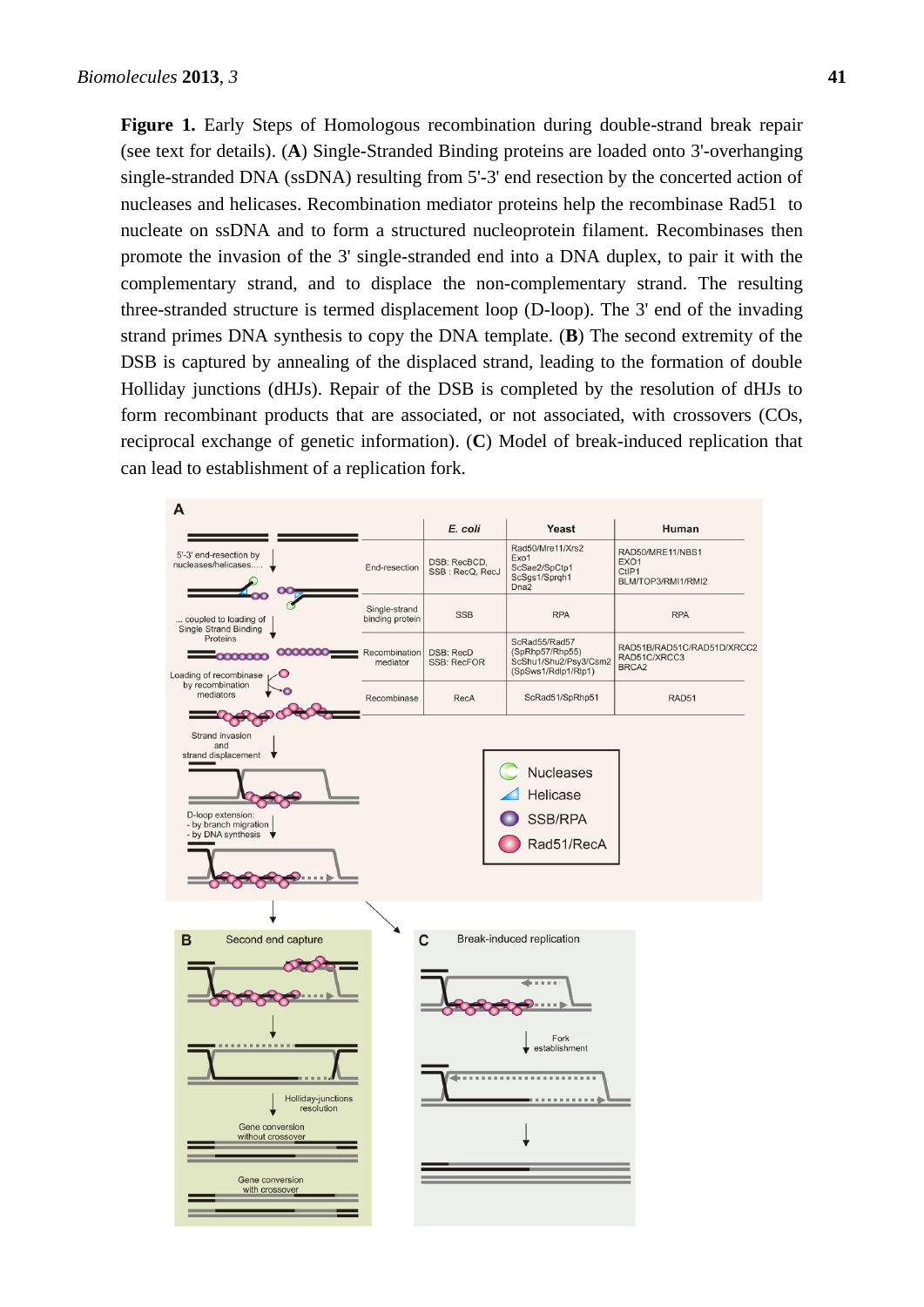**Figure 1.** Early Steps of Homologous recombination during double-strand break repair (see text for details). (**A**) Single-Stranded Binding proteins are loaded onto 3'-overhanging single-stranded DNA (ssDNA) resulting from 5'-3' end resection by the concerted action of nucleases and helicases. Recombination mediator proteins help the recombinase Rad51 to nucleate on ssDNA and to form a structured nucleoprotein filament. Recombinases then promote the invasion of the 3' single-stranded end into a DNA duplex, to pair it with the complementary strand, and to displace the non-complementary strand. The resulting three-stranded structure is termed displacement loop (D-loop). The 3' end of the invading strand primes DNA synthesis to copy the DNA template. (**B**) The second extremity of the DSB is captured by annealing of the displaced strand, leading to the formation of double Holliday junctions (dHJs). Repair of the DSB is completed by the resolution of dHJs to form recombinant products that are associated, or not associated, with crossovers (COs, reciprocal exchange of genetic information). (**C**) Model of break-induced replication that can lead to establishment of a replication fork.

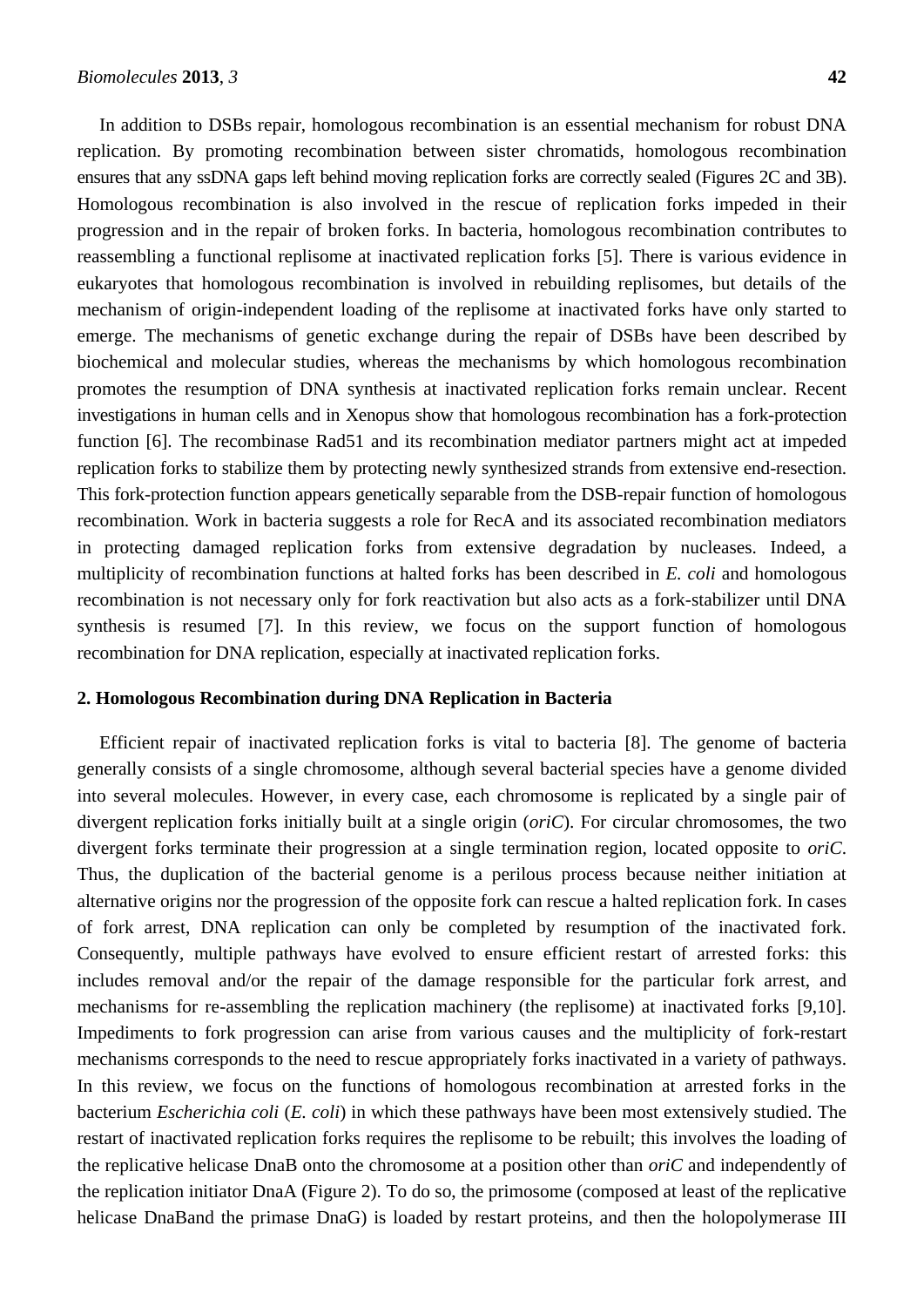In addition to DSBs repair, homologous recombination is an essential mechanism for robust DNA replication. By promoting recombination between sister chromatids, homologous recombination ensures that any ssDNA gaps left behind moving replication forks are correctly sealed (Figures 2C and 3B). Homologous recombination is also involved in the rescue of replication forks impeded in their progression and in the repair of broken forks. In bacteria, homologous recombination contributes to reassembling a functional replisome at inactivated replication forks [\[5\]](#page-21-4). There is various evidence in eukaryotes that homologous recombination is involved in rebuilding replisomes, but details of the mechanism of origin-independent loading of the replisome at inactivated forks have only started to emerge. The mechanisms of genetic exchange during the repair of DSBs have been described by biochemical and molecular studies, whereas the mechanisms by which homologous recombination promotes the resumption of DNA synthesis at inactivated replication forks remain unclear. Recent investigations in human cells and in Xenopus show that homologous recombination has a fork-protection function [\[6\]](#page-21-5). The recombinase Rad51 and its recombination mediator partners might act at impeded replication forks to stabilize them by protecting newly synthesized strands from extensive end-resection. This fork-protection function appears genetically separable from the DSB-repair function of homologous recombination. Work in bacteria suggests a role for RecA and its associated recombination mediators in protecting damaged replication forks from extensive degradation by nucleases. Indeed, a multiplicity of recombination functions at halted forks has been described in *E. coli* and homologous recombination is not necessary only for fork reactivation but also acts as a fork-stabilizer until DNA synthesis is resumed [\[7\]](#page-21-6). In this review, we focus on the support function of homologous recombination for DNA replication, especially at inactivated replication forks.

#### **2. Homologous Recombination during DNA Replication in Bacteria**

Efficient repair of inactivated replication forks is vital to bacteria [\[8\]](#page-21-7). The genome of bacteria generally consists of a single chromosome, although several bacterial species have a genome divided into several molecules. However, in every case, each chromosome is replicated by a single pair of divergent replication forks initially built at a single origin (*oriC*). For circular chromosomes, the two divergent forks terminate their progression at a single termination region, located opposite to *oriC*. Thus, the duplication of the bacterial genome is a perilous process because neither initiation at alternative origins nor the progression of the opposite fork can rescue a halted replication fork. In cases of fork arrest, DNA replication can only be completed by resumption of the inactivated fork. Consequently, multiple pathways have evolved to ensure efficient restart of arrested forks: this includes removal and/or the repair of the damage responsible for the particular fork arrest, and mechanisms for re-assembling the replication machinery (the replisome) at inactivated forks [\[9](#page-21-8)[,10\]](#page-21-9). Impediments to fork progression can arise from various causes and the multiplicity of fork-restart mechanisms corresponds to the need to rescue appropriately forks inactivated in a variety of pathways. In this review, we focus on the functions of homologous recombination at arrested forks in the bacterium *Escherichia coli* (*E. coli*) in which these pathways have been most extensively studied. The restart of inactivated replication forks requires the replisome to be rebuilt; this involves the loading of the replicative helicase DnaB onto the chromosome at a position other than *oriC* and independently of the replication initiator DnaA (Figure 2). To do so, the primosome (composed at least of the replicative helicase DnaBand the primase DnaG) is loaded by restart proteins, and then the holopolymerase III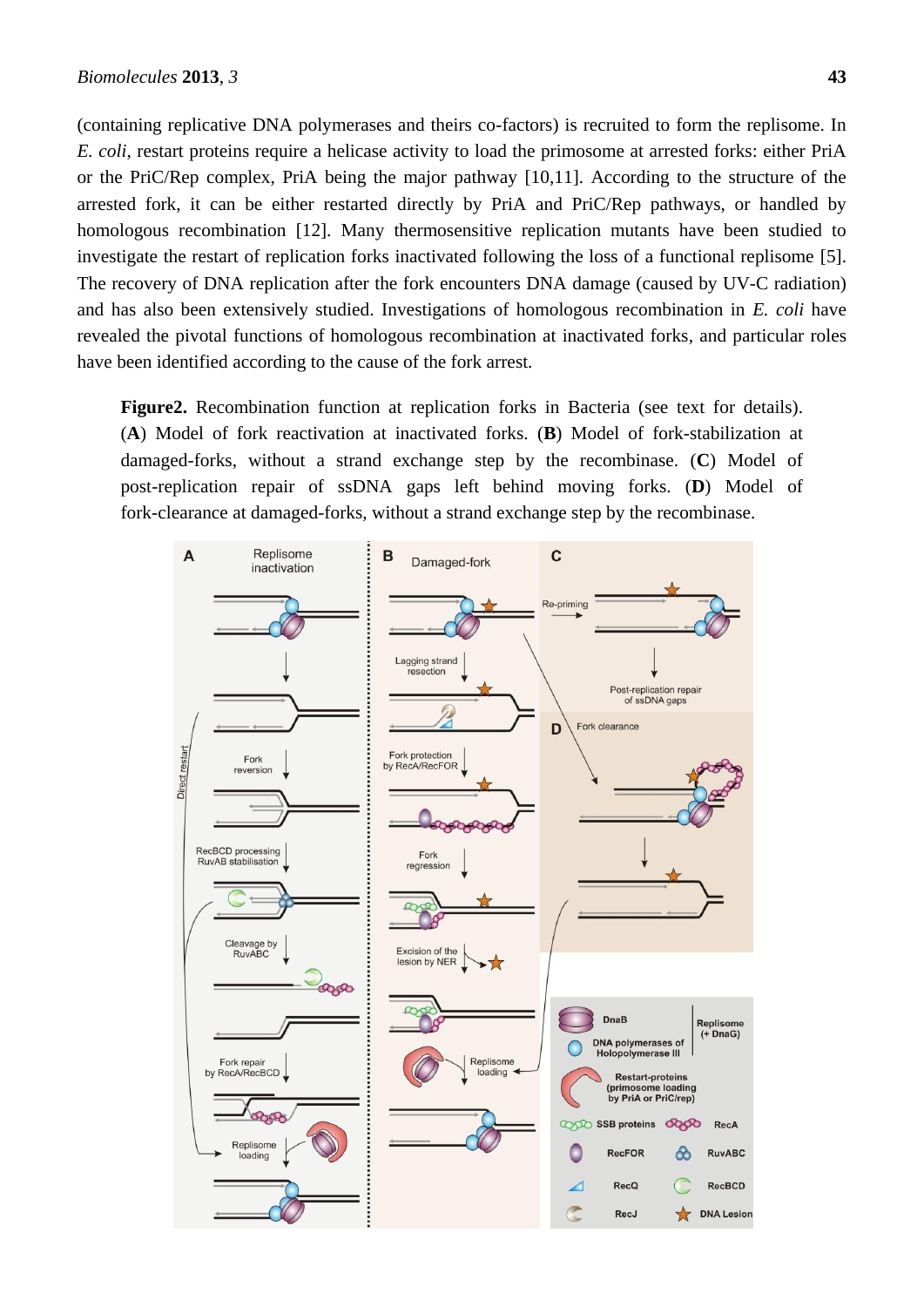(containing replicative DNA polymerases and theirs co-factors) is recruited to form the replisome. In *E. coli*, restart proteins require a helicase activity to load the primosome at arrested forks: either PriA or the PriC/Rep complex, PriA being the major pathway [\[10](#page-21-9)[,11\]](#page-21-10). According to the structure of the arrested fork, it can be either restarted directly by PriA and PriC/Rep pathways, or handled by homologous recombination [\[12\]](#page-21-11). Many thermosensitive replication mutants have been studied to investigate the restart of replication forks inactivated following the loss of a functional replisome [\[5\]](#page-21-4). The recovery of DNA replication after the fork encounters DNA damage (caused by UV-C radiation) and has also been extensively studied. Investigations of homologous recombination in *E. coli* have revealed the pivotal functions of homologous recombination at inactivated forks, and particular roles have been identified according to the cause of the fork arrest.

**Figure2.** Recombination function at replication forks in Bacteria (see text for details). (**A**) Model of fork reactivation at inactivated forks. (**B**) Model of fork-stabilization at damaged-forks, without a strand exchange step by the recombinase. (**C**) Model of post-replication repair of ssDNA gaps left behind moving forks. (**D**) Model of fork-clearance at damaged-forks, without a strand exchange step by the recombinase.

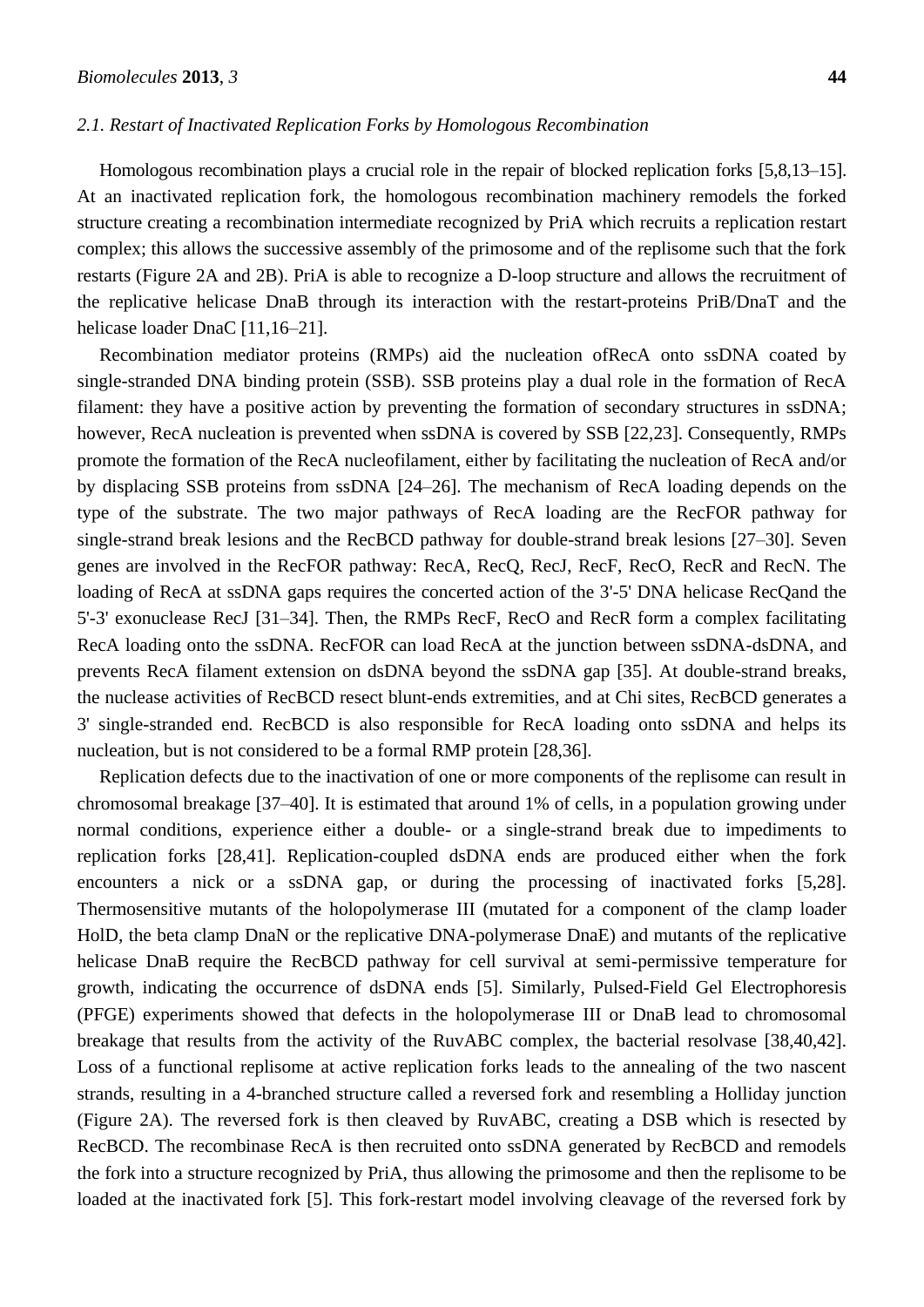#### *2.1. Restart of Inactivated Replication Forks by Homologous Recombination*

Homologous recombination plays a crucial role in the repair of blocked replication forks [5,8,13–15]. At an inactivated replication fork, the homologous recombination machinery remodels the forked structure creating a recombination intermediate recognized by PriA which recruits a replication restart complex; this allows the successive assembly of the primosome and of the replisome such that the fork restarts (Figure 2A and 2B). PriA is able to recognize a D-loop structure and allows the recruitment of the replicative helicase DnaB through its interaction with the restart-proteins PriB/DnaT and the helicase loader DnaC [11,16–21].

Recombination mediator proteins (RMPs) aid the nucleation ofRecA onto ssDNA coated by single-stranded DNA binding protein (SSB). SSB proteins play a dual role in the formation of RecA filament: they have a positive action by preventing the formation of secondary structures in ssDNA; however, RecA nucleation is prevented when ssDNA is covered by SSB [\[22](#page-22-0)[,23\]](#page-22-1). Consequently, RMPs promote the formation of the RecA nucleofilament, either by facilitating the nucleation of RecA and/or by displacing SSB proteins from ssDNA [24–26]. The mechanism of RecA loading depends on the type of the substrate. The two major pathways of RecA loading are the RecFOR pathway for single-strand break lesions and the RecBCD pathway for double-strand break lesions [27–30]. Seven genes are involved in the RecFOR pathway: RecA, RecQ, RecJ, RecF, RecO, RecR and RecN. The loading of RecA at ssDNA gaps requires the concerted action of the 3'-5' DNA helicase RecQand the 5'-3' exonuclease RecJ [31–34]. Then, the RMPs RecF, RecO and RecR form a complex facilitating RecA loading onto the ssDNA. RecFOR can load RecA at the junction between ssDNA-dsDNA, and prevents RecA filament extension on dsDNA beyond the ssDNA gap [\[35\]](#page-22-2). At double-strand breaks, the nuclease activities of RecBCD resect blunt-ends extremities, and at Chi sites, RecBCD generates a 3' single-stranded end. RecBCD is also responsible for RecA loading onto ssDNA and helps its nucleation, but is not considered to be a formal RMP protein [\[28](#page-22-3)[,36\]](#page-22-4).

Replication defects due to the inactivation of one or more components of the replisome can result in chromosomal breakage [37–40]. It is estimated that around 1% of cells, in a population growing under normal conditions, experience either a double- or a single-strand break due to impediments to replication forks [\[28,](#page-22-3)[41\]](#page-23-0). Replication-coupled dsDNA ends are produced either when the fork encounters a nick or a ssDNA gap, or during the processing of inactivated forks [\[5](#page-21-4)[,28\]](#page-22-3). Thermosensitive mutants of the holopolymerase III (mutated for a component of the clamp loader HolD, the beta clamp DnaN or the replicative DNA-polymerase DnaE) and mutants of the replicative helicase DnaB require the RecBCD pathway for cell survival at semi-permissive temperature for growth, indicating the occurrence of dsDNA ends [\[5\]](#page-21-4). Similarly, Pulsed-Field Gel Electrophoresis (PFGE) experiments showed that defects in the holopolymerase III or DnaB lead to chromosomal breakage that results from the activity of the RuvABC complex, the bacterial resolvase [\[38](#page-22-5)[,40](#page-23-1)[,42\]](#page-23-2). Loss of a functional replisome at active replication forks leads to the annealing of the two nascent strands, resulting in a 4-branched structure called a reversed fork and resembling a Holliday junction (Figure 2A). The reversed fork is then cleaved by RuvABC, creating a DSB which is resected by RecBCD. The recombinase RecA is then recruited onto ssDNA generated by RecBCD and remodels the fork into a structure recognized by PriA, thus allowing the primosome and then the replisome to be loaded at the inactivated fork [\[5\]](#page-21-4). This fork-restart model involving cleavage of the reversed fork by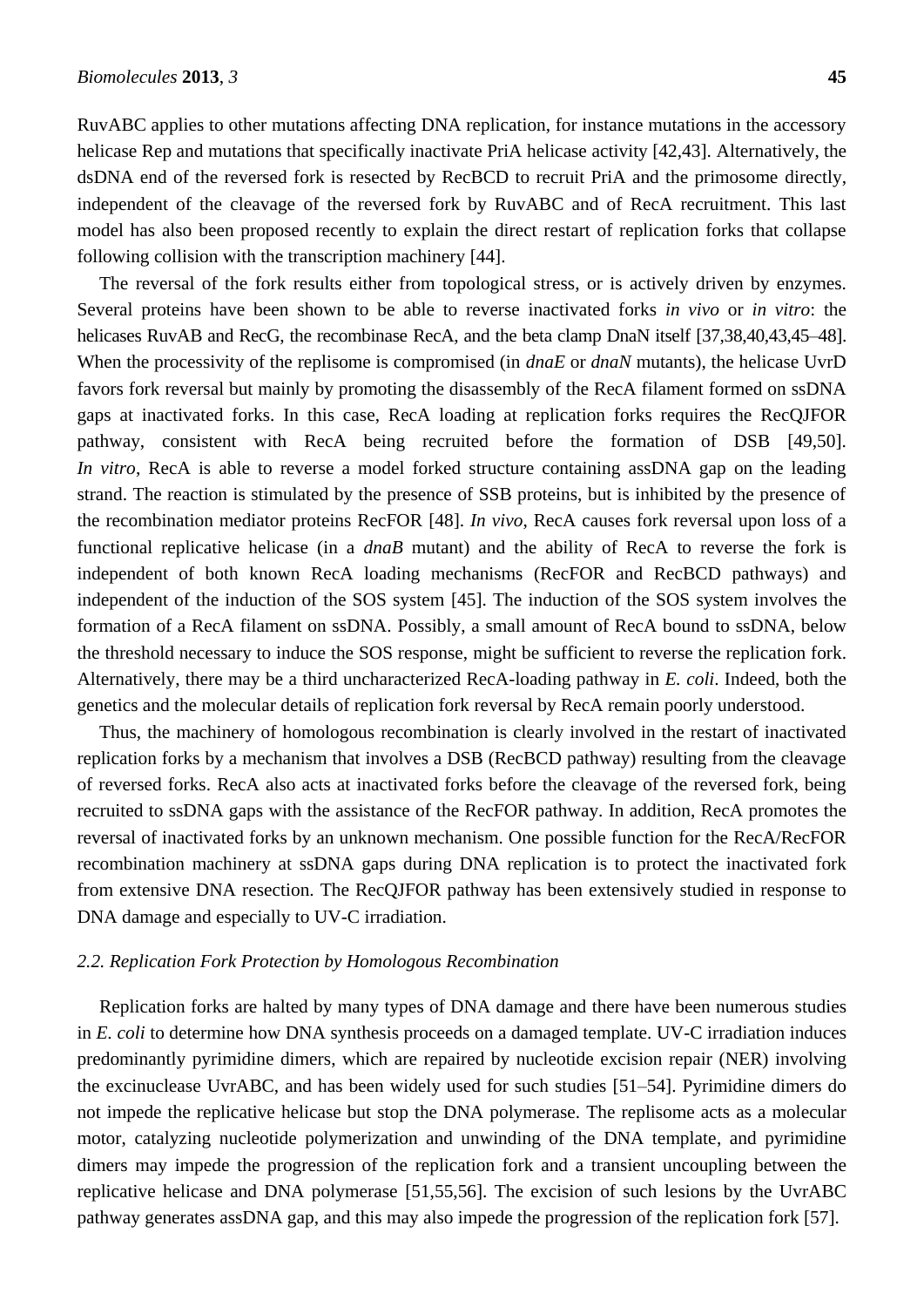RuvABC applies to other mutations affecting DNA replication, for instance mutations in the accessory helicase Rep and mutations that specifically inactivate PriA helicase activity [\[42](#page-23-2)[,43\]](#page-23-3). Alternatively, the dsDNA end of the reversed fork is resected by RecBCD to recruit PriA and the primosome directly, independent of the cleavage of the reversed fork by RuvABC and of RecA recruitment. This last model has also been proposed recently to explain the direct restart of replication forks that collapse following collision with the transcription machinery [\[44\]](#page-23-4).

The reversal of the fork results either from topological stress, or is actively driven by enzymes. Several proteins have been shown to be able to reverse inactivated forks *in vivo* or *in vitro*: the helicases RuvAB and RecG, the recombinase RecA, and the beta clamp DnaN itself [37,38,40,43,45–48]. When the processivity of the replisome is compromised (in *dnaE* or *dnaN* mutants), the helicase UvrD favors fork reversal but mainly by promoting the disassembly of the RecA filament formed on ssDNA gaps at inactivated forks. In this case, RecA loading at replication forks requires the RecQJFOR pathway, consistent with RecA being recruited before the formation of DSB [\[49](#page-23-5)[,50\]](#page-23-6). *In vitro*, RecA is able to reverse a model forked structure containing assDNA gap on the leading strand. The reaction is stimulated by the presence of SSB proteins, but is inhibited by the presence of the recombination mediator proteins RecFOR [\[48\]](#page-23-7). *In vivo*, RecA causes fork reversal upon loss of a functional replicative helicase (in a *dnaB* mutant) and the ability of RecA to reverse the fork is independent of both known RecA loading mechanisms (RecFOR and RecBCD pathways) and independent of the induction of the SOS system [\[45\]](#page-23-8). The induction of the SOS system involves the formation of a RecA filament on ssDNA. Possibly, a small amount of RecA bound to ssDNA, below the threshold necessary to induce the SOS response, might be sufficient to reverse the replication fork. Alternatively, there may be a third uncharacterized RecA-loading pathway in *E. coli*. Indeed, both the genetics and the molecular details of replication fork reversal by RecA remain poorly understood.

Thus, the machinery of homologous recombination is clearly involved in the restart of inactivated replication forks by a mechanism that involves a DSB (RecBCD pathway) resulting from the cleavage of reversed forks. RecA also acts at inactivated forks before the cleavage of the reversed fork, being recruited to ssDNA gaps with the assistance of the RecFOR pathway. In addition, RecA promotes the reversal of inactivated forks by an unknown mechanism. One possible function for the RecA/RecFOR recombination machinery at ssDNA gaps during DNA replication is to protect the inactivated fork from extensive DNA resection. The RecQJFOR pathway has been extensively studied in response to DNA damage and especially to UV-C irradiation.

# *2.2. Replication Fork Protection by Homologous Recombination*

Replication forks are halted by many types of DNA damage and there have been numerous studies in *E. coli* to determine how DNA synthesis proceeds on a damaged template. UV-C irradiation induces predominantly pyrimidine dimers, which are repaired by nucleotide excision repair (NER) involving the excinuclease UvrABC, and has been widely used for such studies [51–54]. Pyrimidine dimers do not impede the replicative helicase but stop the DNA polymerase. The replisome acts as a molecular motor, catalyzing nucleotide polymerization and unwinding of the DNA template, and pyrimidine dimers may impede the progression of the replication fork and a transient uncoupling between the replicative helicase and DNA polymerase [\[51](#page-23-9)[,55](#page-23-10)[,56\]](#page-23-11). The excision of such lesions by the UvrABC pathway generates assDNA gap, and this may also impede the progression of the replication fork [\[57\]](#page-23-12).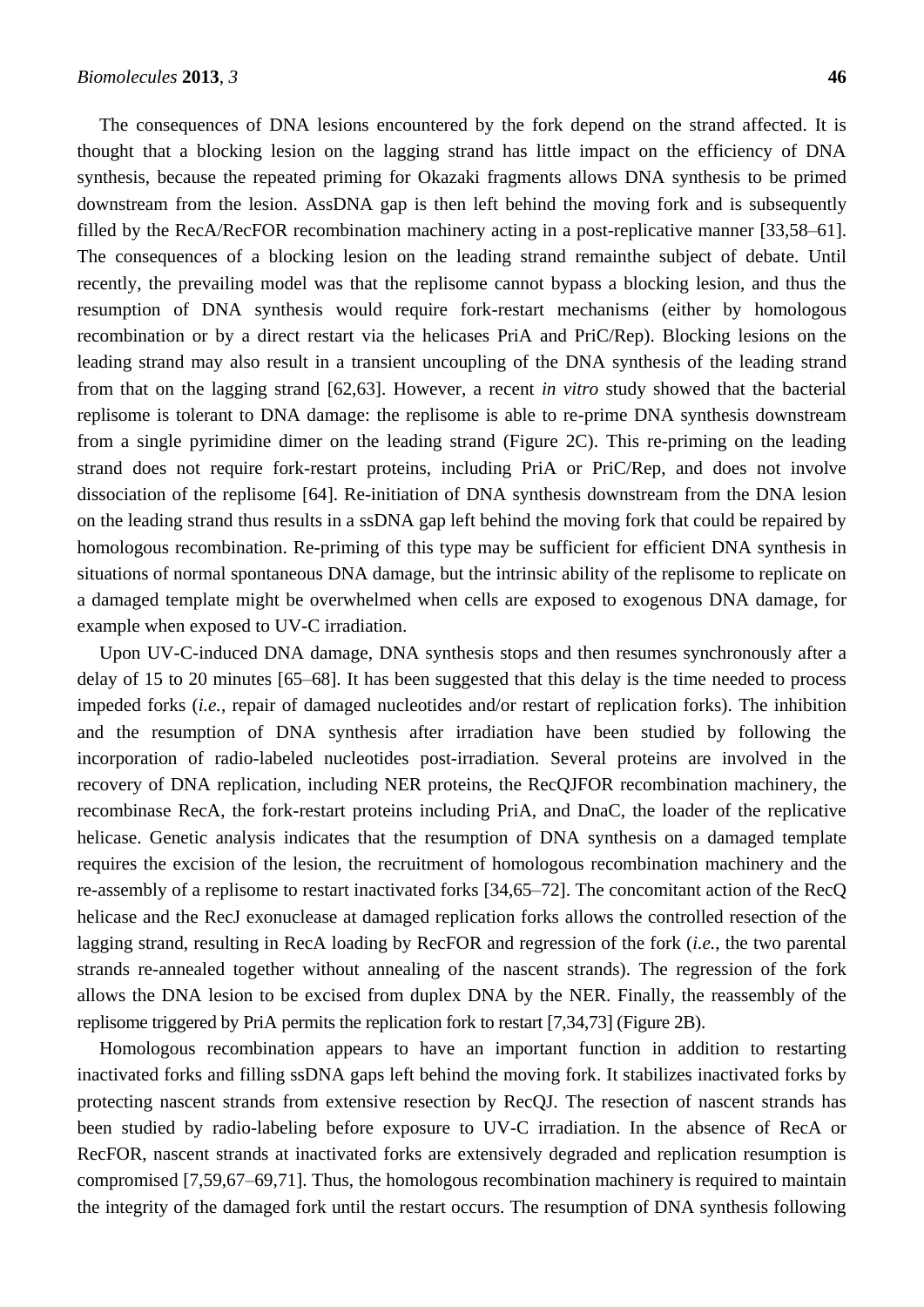The consequences of DNA lesions encountered by the fork depend on the strand affected. It is thought that a blocking lesion on the lagging strand has little impact on the efficiency of DNA synthesis, because the repeated priming for Okazaki fragments allows DNA synthesis to be primed downstream from the lesion. AssDNA gap is then left behind the moving fork and is subsequently filled by the RecA/RecFOR recombination machinery acting in a post-replicative manner [33,58–61]. The consequences of a blocking lesion on the leading strand remainthe subject of debate. Until recently, the prevailing model was that the replisome cannot bypass a blocking lesion, and thus the resumption of DNA synthesis would require fork-restart mechanisms (either by homologous recombination or by a direct restart via the helicases PriA and PriC/Rep). Blocking lesions on the leading strand may also result in a transient uncoupling of the DNA synthesis of the leading strand from that on the lagging strand [\[62,](#page-24-0)[63\]](#page-24-1). However, a recent *in vitro* study showed that the bacterial replisome is tolerant to DNA damage: the replisome is able to re-prime DNA synthesis downstream from a single pyrimidine dimer on the leading strand (Figure 2C). This re-priming on the leading strand does not require fork-restart proteins, including PriA or PriC/Rep, and does not involve dissociation of the replisome [\[64\]](#page-24-2). Re-initiation of DNA synthesis downstream from the DNA lesion on the leading strand thus results in a ssDNA gap left behind the moving fork that could be repaired by homologous recombination. Re-priming of this type may be sufficient for efficient DNA synthesis in situations of normal spontaneous DNA damage, but the intrinsic ability of the replisome to replicate on a damaged template might be overwhelmed when cells are exposed to exogenous DNA damage, for example when exposed to UV-C irradiation.

Upon UV-C-induced DNA damage, DNA synthesis stops and then resumes synchronously after a delay of 15 to 20 minutes [65–68]. It has been suggested that this delay is the time needed to process impeded forks (*i.e.*, repair of damaged nucleotides and/or restart of replication forks). The inhibition and the resumption of DNA synthesis after irradiation have been studied by following the incorporation of radio-labeled nucleotides post-irradiation. Several proteins are involved in the recovery of DNA replication, including NER proteins, the RecQJFOR recombination machinery, the recombinase RecA, the fork-restart proteins including PriA, and DnaC, the loader of the replicative helicase. Genetic analysis indicates that the resumption of DNA synthesis on a damaged template requires the excision of the lesion, the recruitment of homologous recombination machinery and the re-assembly of a replisome to restart inactivated forks [34,65–72]. The concomitant action of the RecQ helicase and the RecJ exonuclease at damaged replication forks allows the controlled resection of the lagging strand, resulting in RecA loading by RecFOR and regression of the fork (*i.e.*, the two parental strands re-annealed together without annealing of the nascent strands). The regression of the fork allows the DNA lesion to be excised from duplex DNA by the NER. Finally, the reassembly of the replisome triggered by PriA permits the replication fork to restart [\[7,](#page-21-6)[34](#page-22-6)[,73\]](#page-24-3) (Figure 2B).

Homologous recombination appears to have an important function in addition to restarting inactivated forks and filling ssDNA gaps left behind the moving fork. It stabilizes inactivated forks by protecting nascent strands from extensive resection by RecQJ. The resection of nascent strands has been studied by radio-labeling before exposure to UV-C irradiation. In the absence of RecA or RecFOR, nascent strands at inactivated forks are extensively degraded and replication resumption is compromised [7,59,67–69,71]. Thus, the homologous recombination machinery is required to maintain the integrity of the damaged fork until the restart occurs. The resumption of DNA synthesis following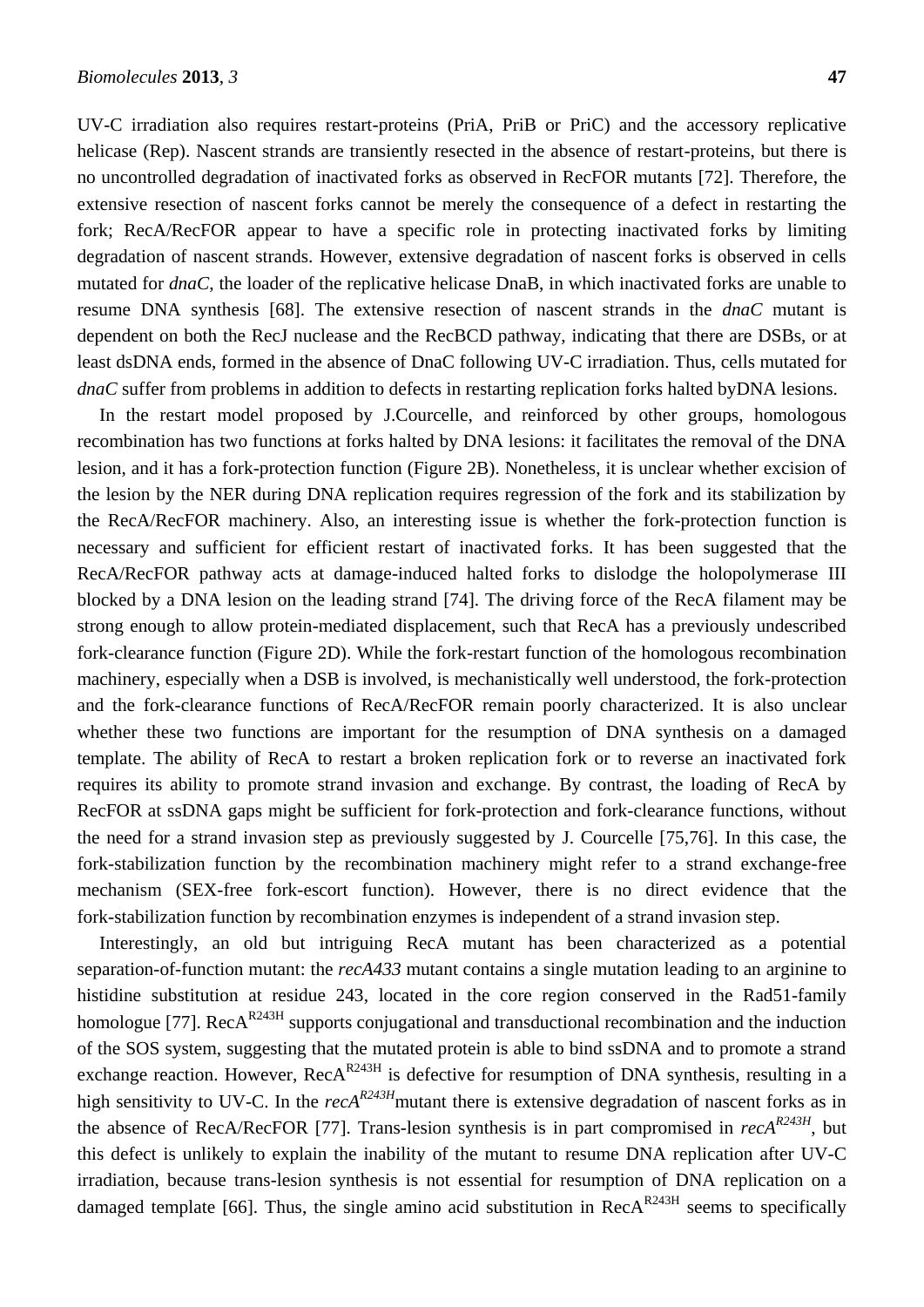UV-C irradiation also requires restart-proteins (PriA, PriB or PriC) and the accessory replicative helicase (Rep). Nascent strands are transiently resected in the absence of restart-proteins, but there is no uncontrolled degradation of inactivated forks as observed in RecFOR mutants [\[72\]](#page-24-4). Therefore, the extensive resection of nascent forks cannot be merely the consequence of a defect in restarting the fork; RecA/RecFOR appear to have a specific role in protecting inactivated forks by limiting degradation of nascent strands. However, extensive degradation of nascent forks is observed in cells mutated for *dnaC*, the loader of the replicative helicase DnaB, in which inactivated forks are unable to resume DNA synthesis [\[68\]](#page-24-5). The extensive resection of nascent strands in the *dnaC* mutant is dependent on both the RecJ nuclease and the RecBCD pathway, indicating that there are DSBs, or at least dsDNA ends, formed in the absence of DnaC following UV-C irradiation. Thus, cells mutated for *dnaC* suffer from problems in addition to defects in restarting replication forks halted byDNA lesions.

In the restart model proposed by J.Courcelle, and reinforced by other groups, homologous recombination has two functions at forks halted by DNA lesions: it facilitates the removal of the DNA lesion, and it has a fork-protection function (Figure 2B). Nonetheless, it is unclear whether excision of the lesion by the NER during DNA replication requires regression of the fork and its stabilization by the RecA/RecFOR machinery. Also, an interesting issue is whether the fork-protection function is necessary and sufficient for efficient restart of inactivated forks. It has been suggested that the RecA/RecFOR pathway acts at damage-induced halted forks to dislodge the holopolymerase III blocked by a DNA lesion on the leading strand [\[74\]](#page-24-6). The driving force of the RecA filament may be strong enough to allow protein-mediated displacement, such that RecA has a previously undescribed fork-clearance function (Figure 2D). While the fork-restart function of the homologous recombination machinery, especially when a DSB is involved, is mechanistically well understood, the fork-protection and the fork-clearance functions of RecA/RecFOR remain poorly characterized. It is also unclear whether these two functions are important for the resumption of DNA synthesis on a damaged template. The ability of RecA to restart a broken replication fork or to reverse an inactivated fork requires its ability to promote strand invasion and exchange. By contrast, the loading of RecA by RecFOR at ssDNA gaps might be sufficient for fork-protection and fork-clearance functions, without the need for a strand invasion step as previously suggested by J. Courcelle [\[75](#page-25-0)[,76\]](#page-25-1). In this case, the fork-stabilization function by the recombination machinery might refer to a strand exchange-free mechanism (SEX-free fork-escort function). However, there is no direct evidence that the fork-stabilization function by recombination enzymes is independent of a strand invasion step.

Interestingly, an old but intriguing RecA mutant has been characterized as a potential separation-of-function mutant: the *recA433* mutant contains a single mutation leading to an arginine to histidine substitution at residue 243, located in the core region conserved in the Rad51-family homologue [\[77\]](#page-25-2). Rec $A^{R243H}$  supports conjugational and transductional recombination and the induction of the SOS system, suggesting that the mutated protein is able to bind ssDNA and to promote a strand exchange reaction. However,  $RecA^{R243H}$  is defective for resumption of DNA synthesis, resulting in a high sensitivity to UV-C. In the *recAR243H*mutant there is extensive degradation of nascent forks as in the absence of RecA/RecFOR [\[77\]](#page-25-2). Trans-lesion synthesis is in part compromised in *recAR243H* , but this defect is unlikely to explain the inability of the mutant to resume DNA replication after UV-C irradiation, because trans-lesion synthesis is not essential for resumption of DNA replication on a damaged template [\[66\]](#page-24-7). Thus, the single amino acid substitution in  $RecA<sup>R243H</sup>$  seems to specifically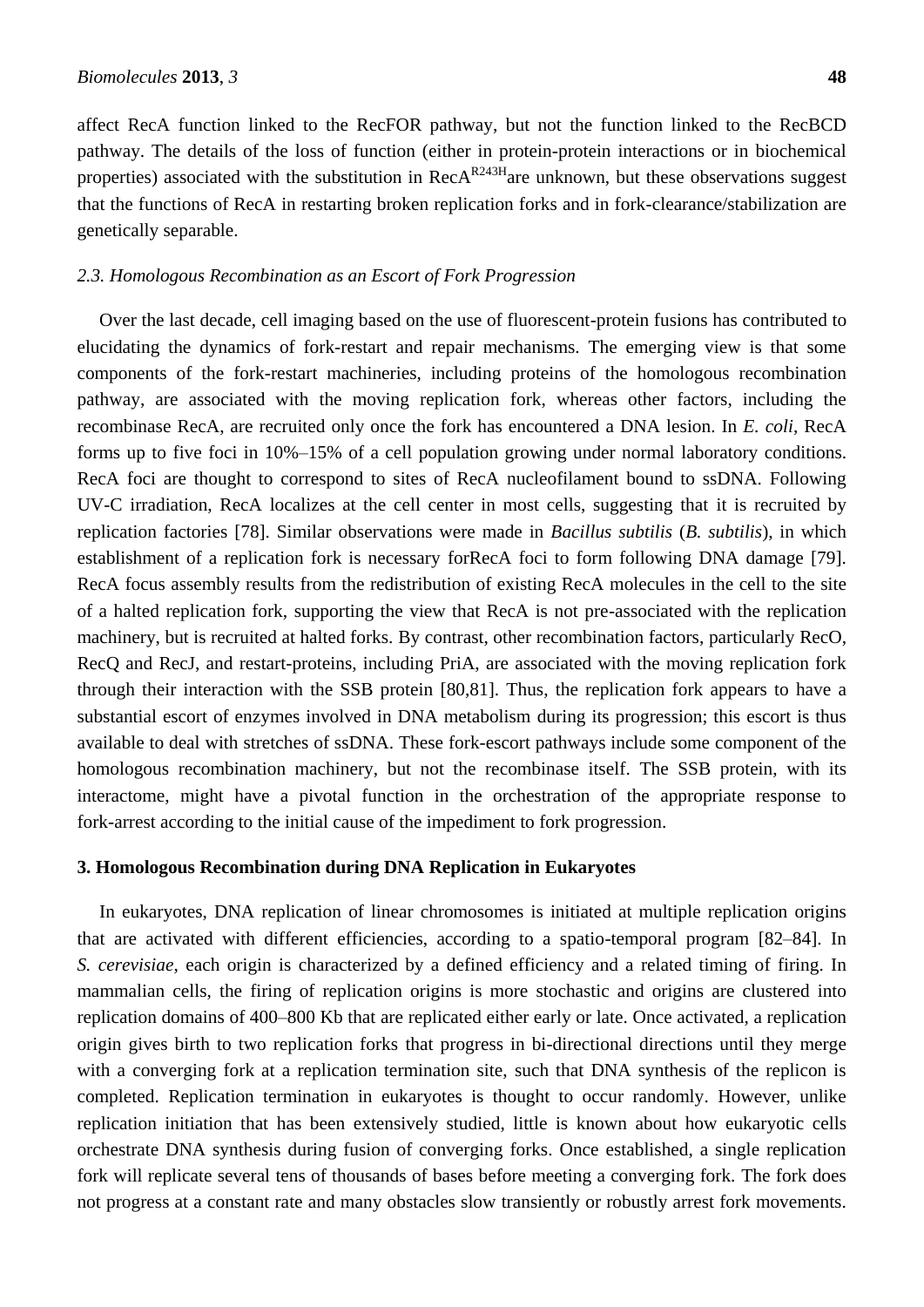affect RecA function linked to the RecFOR pathway, but not the function linked to the RecBCD pathway. The details of the loss of function (either in protein-protein interactions or in biochemical properties) associated with the substitution in Rec $A^{R243H}$  are unknown, but these observations suggest that the functions of RecA in restarting broken replication forks and in fork-clearance/stabilization are genetically separable.

### *2.3. Homologous Recombination as an Escort of Fork Progression*

Over the last decade, cell imaging based on the use of fluorescent-protein fusions has contributed to elucidating the dynamics of fork-restart and repair mechanisms. The emerging view is that some components of the fork-restart machineries, including proteins of the homologous recombination pathway, are associated with the moving replication fork, whereas other factors, including the recombinase RecA, are recruited only once the fork has encountered a DNA lesion. In *E. coli*, RecA forms up to five foci in 10%–15% of a cell population growing under normal laboratory conditions. RecA foci are thought to correspond to sites of RecA nucleofilament bound to ssDNA. Following UV-C irradiation, RecA localizes at the cell center in most cells, suggesting that it is recruited by replication factories [\[78\]](#page-25-3). Similar observations were made in *Bacillus subtilis* (*B. subtilis*), in which establishment of a replication fork is necessary forRecA foci to form following DNA damage [\[79\]](#page-25-4). RecA focus assembly results from the redistribution of existing RecA molecules in the cell to the site of a halted replication fork, supporting the view that RecA is not pre-associated with the replication machinery, but is recruited at halted forks. By contrast, other recombination factors, particularly RecO, RecQ and RecJ, and restart-proteins, including PriA, are associated with the moving replication fork through their interaction with the SSB protein [\[80,](#page-25-5)[81\]](#page-25-6). Thus, the replication fork appears to have a substantial escort of enzymes involved in DNA metabolism during its progression; this escort is thus available to deal with stretches of ssDNA. These fork-escort pathways include some component of the homologous recombination machinery, but not the recombinase itself. The SSB protein, with its interactome, might have a pivotal function in the orchestration of the appropriate response to fork-arrest according to the initial cause of the impediment to fork progression.

# **3. Homologous Recombination during DNA Replication in Eukaryotes**

In eukaryotes, DNA replication of linear chromosomes is initiated at multiple replication origins that are activated with different efficiencies, according to a spatio-temporal program [82–84]. In *S. cerevisiae*, each origin is characterized by a defined efficiency and a related timing of firing. In mammalian cells, the firing of replication origins is more stochastic and origins are clustered into replication domains of 400–800 Kb that are replicated either early or late. Once activated, a replication origin gives birth to two replication forks that progress in bi-directional directions until they merge with a converging fork at a replication termination site, such that DNA synthesis of the replicon is completed. Replication termination in eukaryotes is thought to occur randomly. However, unlike replication initiation that has been extensively studied, little is known about how eukaryotic cells orchestrate DNA synthesis during fusion of converging forks. Once established, a single replication fork will replicate several tens of thousands of bases before meeting a converging fork. The fork does not progress at a constant rate and many obstacles slow transiently or robustly arrest fork movements.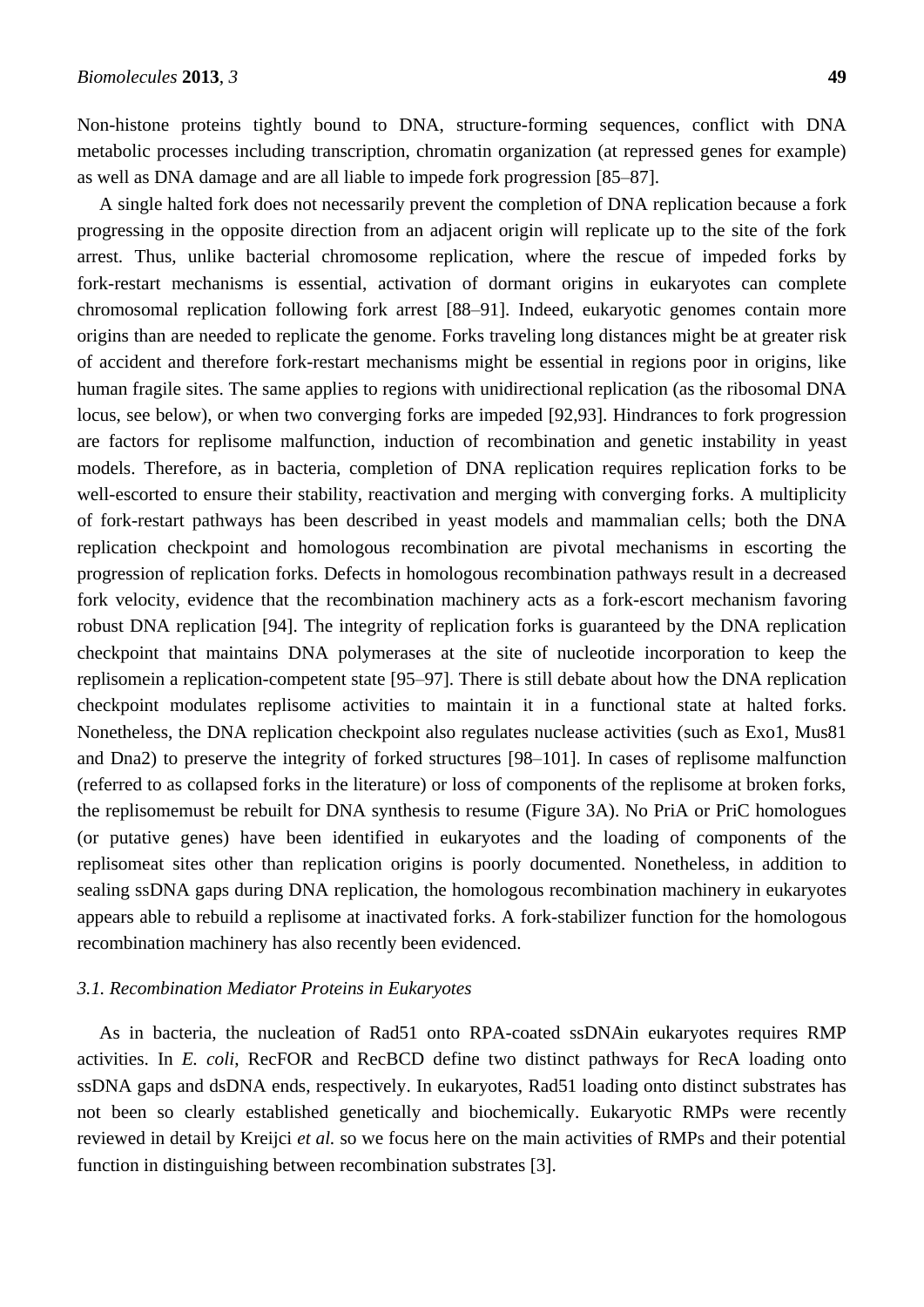Non-histone proteins tightly bound to DNA, structure-forming sequences, conflict with DNA metabolic processes including transcription, chromatin organization (at repressed genes for example) as well as DNA damage and are all liable to impede fork progression [85–87].

A single halted fork does not necessarily prevent the completion of DNA replication because a fork progressing in the opposite direction from an adjacent origin will replicate up to the site of the fork arrest. Thus, unlike bacterial chromosome replication, where the rescue of impeded forks by fork-restart mechanisms is essential, activation of dormant origins in eukaryotes can complete chromosomal replication following fork arrest [88–91]. Indeed, eukaryotic genomes contain more origins than are needed to replicate the genome. Forks traveling long distances might be at greater risk of accident and therefore fork-restart mechanisms might be essential in regions poor in origins, like human fragile sites. The same applies to regions with unidirectional replication (as the ribosomal DNA locus, see below), or when two converging forks are impeded [\[92](#page-26-0)[,93\]](#page-26-1). Hindrances to fork progression are factors for replisome malfunction, induction of recombination and genetic instability in yeast models. Therefore, as in bacteria, completion of DNA replication requires replication forks to be well-escorted to ensure their stability, reactivation and merging with converging forks. A multiplicity of fork-restart pathways has been described in yeast models and mammalian cells; both the DNA replication checkpoint and homologous recombination are pivotal mechanisms in escorting the progression of replication forks. Defects in homologous recombination pathways result in a decreased fork velocity, evidence that the recombination machinery acts as a fork-escort mechanism favoring robust DNA replication [\[94\]](#page-26-2). The integrity of replication forks is guaranteed by the DNA replication checkpoint that maintains DNA polymerases at the site of nucleotide incorporation to keep the replisomein a replication-competent state [95–97]. There is still debate about how the DNA replication checkpoint modulates replisome activities to maintain it in a functional state at halted forks. Nonetheless, the DNA replication checkpoint also regulates nuclease activities (such as Exo1, Mus81 and Dna2) to preserve the integrity of forked structures [98–101]. In cases of replisome malfunction (referred to as collapsed forks in the literature) or loss of components of the replisome at broken forks, the replisomemust be rebuilt for DNA synthesis to resume (Figure 3A). No PriA or PriC homologues (or putative genes) have been identified in eukaryotes and the loading of components of the replisomeat sites other than replication origins is poorly documented. Nonetheless, in addition to sealing ssDNA gaps during DNA replication, the homologous recombination machinery in eukaryotes appears able to rebuild a replisome at inactivated forks. A fork-stabilizer function for the homologous recombination machinery has also recently been evidenced.

#### *3.1. Recombination Mediator Proteins in Eukaryotes*

As in bacteria, the nucleation of Rad51 onto RPA-coated ssDNAin eukaryotes requires RMP activities. In *E. coli*, RecFOR and RecBCD define two distinct pathways for RecA loading onto ssDNA gaps and dsDNA ends, respectively. In eukaryotes, Rad51 loading onto distinct substrates has not been so clearly established genetically and biochemically. Eukaryotic RMPs were recently reviewed in detail by Kreijci *et al.* so we focus here on the main activities of RMPs and their potential function in distinguishing between recombination substrates [\[3\]](#page-21-2).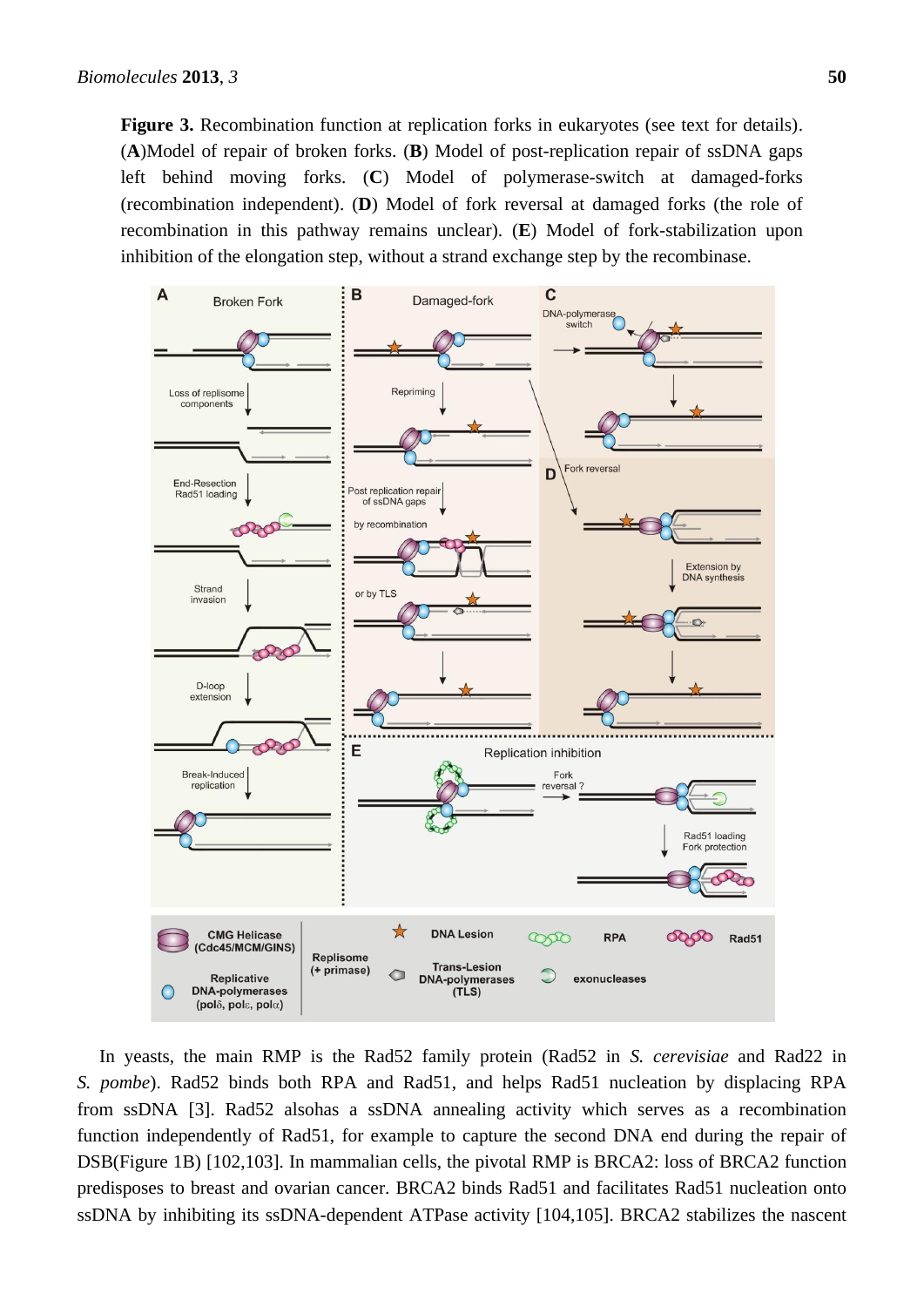**Figure 3.** Recombination function at replication forks in eukaryotes (see text for details). (**A**)Model of repair of broken forks. (**B**) Model of post-replication repair of ssDNA gaps left behind moving forks. (**C**) Model of polymerase-switch at damaged-forks (recombination independent). (**D**) Model of fork reversal at damaged forks (the role of recombination in this pathway remains unclear). (**E**) Model of fork-stabilization upon inhibition of the elongation step, without a strand exchange step by the recombinase.



In yeasts, the main RMP is the Rad52 family protein (Rad52 in *S. cerevisiae* and Rad22 in *S. pombe*). Rad52 binds both RPA and Rad51, and helps Rad51 nucleation by displacing RPA from ssDNA [\[3\]](#page-21-2). Rad52 alsohas a ssDNA annealing activity which serves as a recombination function independently of Rad51, for example to capture the second DNA end during the repair of DSB(Figure 1B) [\[102](#page-26-3)[,103\]](#page-26-4). In mammalian cells, the pivotal RMP is BRCA2: loss of BRCA2 function predisposes to breast and ovarian cancer. BRCA2 binds Rad51 and facilitates Rad51 nucleation onto ssDNA by inhibiting its ssDNA-dependent ATPase activity [\[104](#page-26-5)[,105\]](#page-26-6). BRCA2 stabilizes the nascent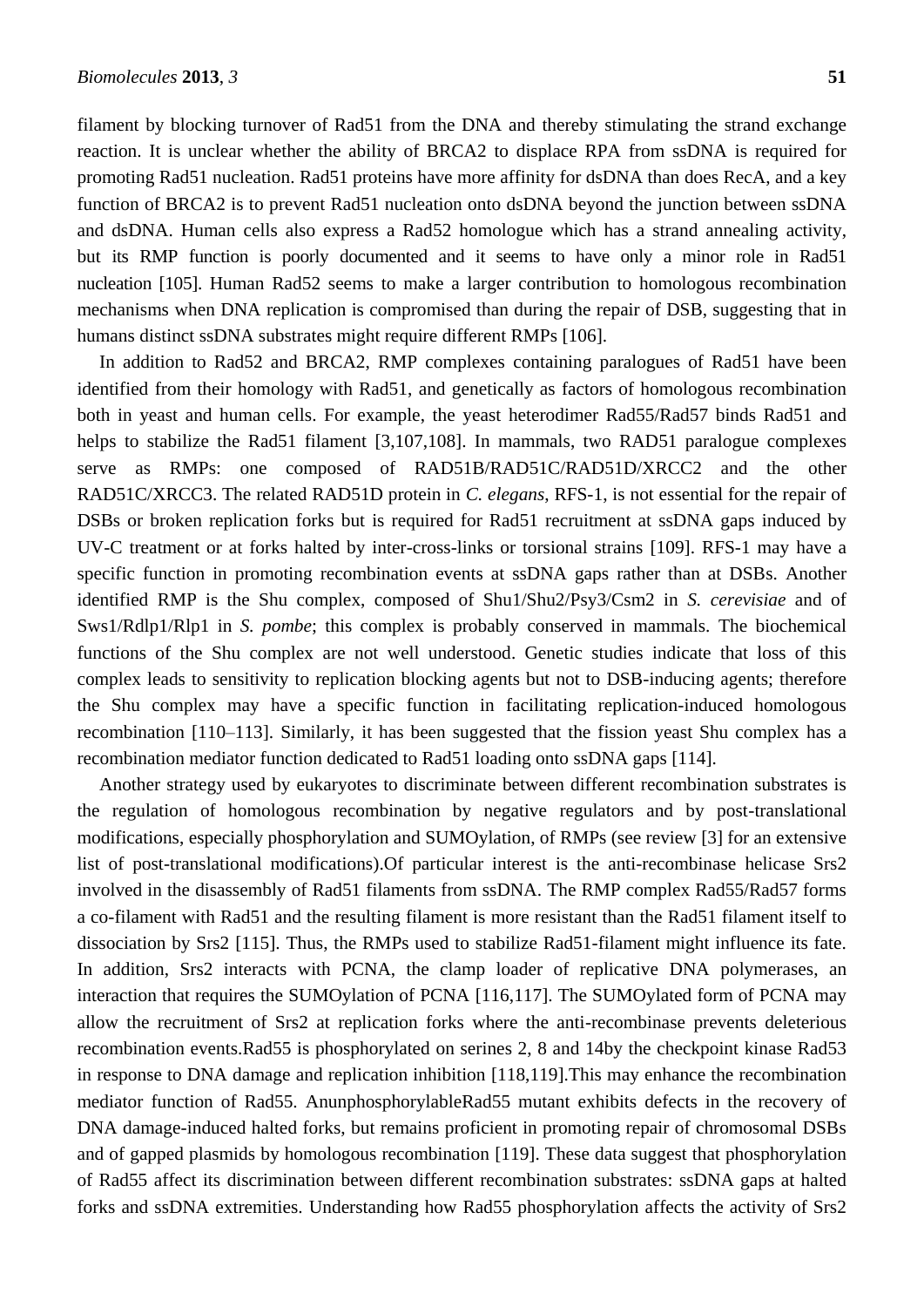filament by blocking turnover of Rad51 from the DNA and thereby stimulating the strand exchange reaction. It is unclear whether the ability of BRCA2 to displace RPA from ssDNA is required for promoting Rad51 nucleation. Rad51 proteins have more affinity for dsDNA than does RecA, and a key function of BRCA2 is to prevent Rad51 nucleation onto dsDNA beyond the junction between ssDNA and dsDNA. Human cells also express a Rad52 homologue which has a strand annealing activity, but its RMP function is poorly documented and it seems to have only a minor role in Rad51 nucleation [\[105\]](#page-26-6). Human Rad52 seems to make a larger contribution to homologous recombination mechanisms when DNA replication is compromised than during the repair of DSB, suggesting that in humans distinct ssDNA substrates might require different RMPs [\[106\]](#page-26-7).

In addition to Rad52 and BRCA2, RMP complexes containing paralogues of Rad51 have been identified from their homology with Rad51, and genetically as factors of homologous recombination both in yeast and human cells. For example, the yeast heterodimer Rad55/Rad57 binds Rad51 and helps to stabilize the Rad51 filament [\[3](#page-21-2)[,107](#page-26-8)[,108\]](#page-27-0). In mammals, two RAD51 paralogue complexes serve as RMPs: one composed of RAD51B/RAD51C/RAD51D/XRCC2 and the other RAD51C/XRCC3. The related RAD51D protein in *C. elegans*, RFS-1, is not essential for the repair of DSBs or broken replication forks but is required for Rad51 recruitment at ssDNA gaps induced by UV-C treatment or at forks halted by inter-cross-links or torsional strains [\[109\]](#page-27-1). RFS-1 may have a specific function in promoting recombination events at ssDNA gaps rather than at DSBs. Another identified RMP is the Shu complex, composed of Shu1/Shu2/Psy3/Csm2 in *S. cerevisiae* and of Sws1/Rdlp1/Rlp1 in *S. pombe*; this complex is probably conserved in mammals. The biochemical functions of the Shu complex are not well understood. Genetic studies indicate that loss of this complex leads to sensitivity to replication blocking agents but not to DSB-inducing agents; therefore the Shu complex may have a specific function in facilitating replication-induced homologous recombination [110–113]. Similarly, it has been suggested that the fission yeast Shu complex has a recombination mediator function dedicated to Rad51 loading onto ssDNA gaps [\[114\]](#page-27-2).

Another strategy used by eukaryotes to discriminate between different recombination substrates is the regulation of homologous recombination by negative regulators and by post-translational modifications, especially phosphorylation and SUMOylation, of RMPs (see review [\[3\]](#page-21-2) for an extensive list of post-translational modifications).Of particular interest is the anti-recombinase helicase Srs2 involved in the disassembly of Rad51 filaments from ssDNA. The RMP complex Rad55/Rad57 forms a co-filament with Rad51 and the resulting filament is more resistant than the Rad51 filament itself to dissociation by Srs2 [\[115\]](#page-27-3). Thus, the RMPs used to stabilize Rad51-filament might influence its fate. In addition, Srs2 interacts with PCNA, the clamp loader of replicative DNA polymerases, an interaction that requires the SUMOylation of PCNA [\[116,](#page-27-4)[117\]](#page-27-5). The SUMOylated form of PCNA may allow the recruitment of Srs2 at replication forks where the anti-recombinase prevents deleterious recombination events.Rad55 is phosphorylated on serines 2, 8 and 14by the checkpoint kinase Rad53 in response to DNA damage and replication inhibition [\[118](#page-27-6)[,119\]](#page-27-7).This may enhance the recombination mediator function of Rad55. AnunphosphorylableRad55 mutant exhibits defects in the recovery of DNA damage-induced halted forks, but remains proficient in promoting repair of chromosomal DSBs and of gapped plasmids by homologous recombination [\[119\]](#page-27-7). These data suggest that phosphorylation of Rad55 affect its discrimination between different recombination substrates: ssDNA gaps at halted forks and ssDNA extremities. Understanding how Rad55 phosphorylation affects the activity of Srs2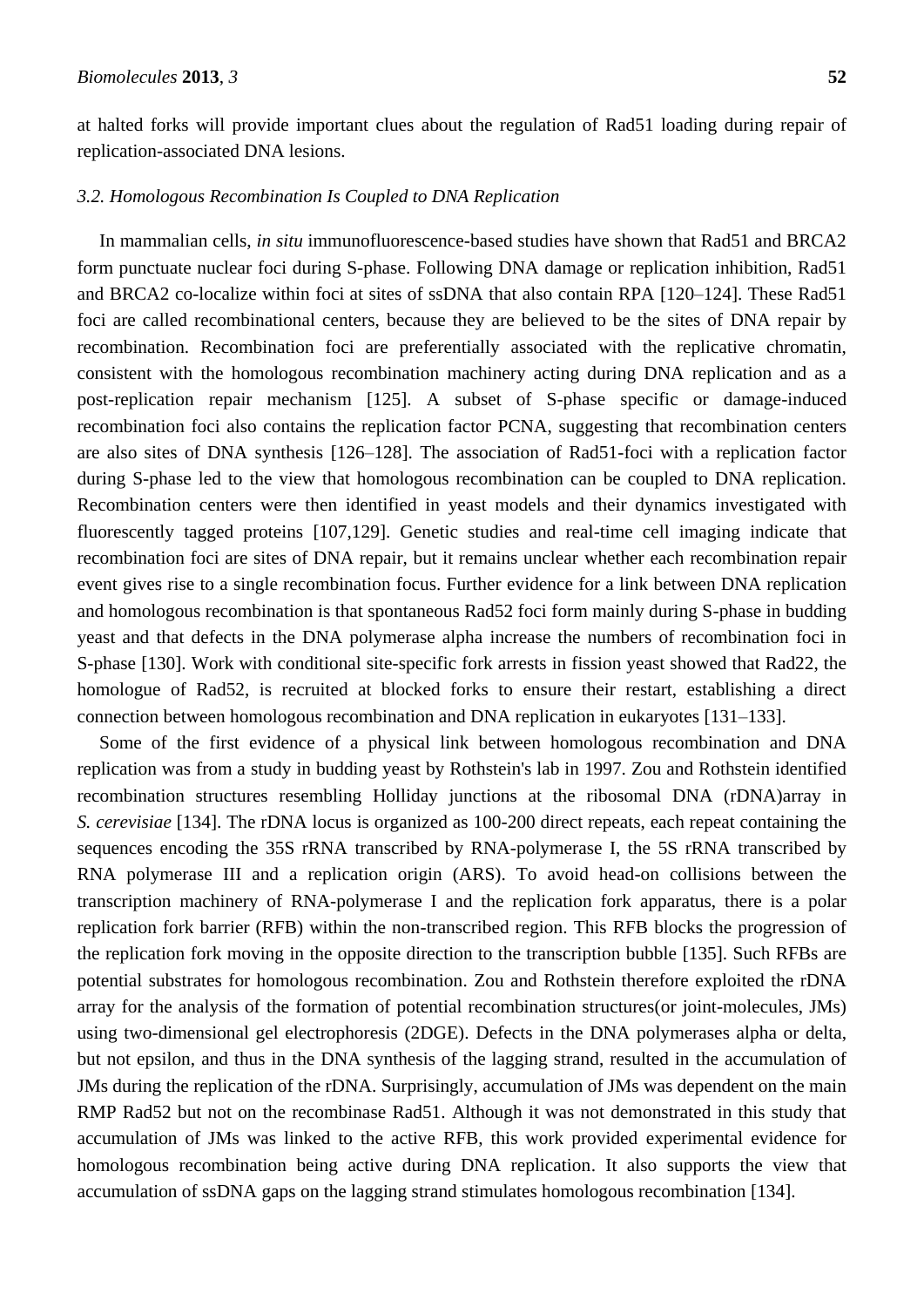at halted forks will provide important clues about the regulation of Rad51 loading during repair of replication-associated DNA lesions.

# *3.2. Homologous Recombination Is Coupled to DNA Replication*

In mammalian cells, *in situ* immunofluorescence-based studies have shown that Rad51 and BRCA2 form punctuate nuclear foci during S-phase. Following DNA damage or replication inhibition, Rad51 and BRCA2 co-localize within foci at sites of ssDNA that also contain RPA [120–124]. These Rad51 foci are called recombinational centers, because they are believed to be the sites of DNA repair by recombination. Recombination foci are preferentially associated with the replicative chromatin, consistent with the homologous recombination machinery acting during DNA replication and as a post-replication repair mechanism [\[125\]](#page-28-0). A subset of S-phase specific or damage-induced recombination foci also contains the replication factor PCNA, suggesting that recombination centers are also sites of DNA synthesis [126–128]. The association of Rad51-foci with a replication factor during S-phase led to the view that homologous recombination can be coupled to DNA replication. Recombination centers were then identified in yeast models and their dynamics investigated with fluorescently tagged proteins [\[107](#page-26-8)[,129\]](#page-28-1). Genetic studies and real-time cell imaging indicate that recombination foci are sites of DNA repair, but it remains unclear whether each recombination repair event gives rise to a single recombination focus. Further evidence for a link between DNA replication and homologous recombination is that spontaneous Rad52 foci form mainly during S-phase in budding yeast and that defects in the DNA polymerase alpha increase the numbers of recombination foci in S-phase [\[130\]](#page-28-2). Work with conditional site-specific fork arrests in fission yeast showed that Rad22, the homologue of Rad52, is recruited at blocked forks to ensure their restart, establishing a direct connection between homologous recombination and DNA replication in eukaryotes [131–133].

Some of the first evidence of a physical link between homologous recombination and DNA replication was from a study in budding yeast by Rothstein's lab in 1997. Zou and Rothstein identified recombination structures resembling Holliday junctions at the ribosomal DNA (rDNA)array in *S. cerevisiae* [\[134\]](#page-28-3). The rDNA locus is organized as 100-200 direct repeats, each repeat containing the sequences encoding the 35S rRNA transcribed by RNA-polymerase I, the 5S rRNA transcribed by RNA polymerase III and a replication origin (ARS). To avoid head-on collisions between the transcription machinery of RNA-polymerase I and the replication fork apparatus, there is a polar replication fork barrier (RFB) within the non-transcribed region. This RFB blocks the progression of the replication fork moving in the opposite direction to the transcription bubble [\[135\]](#page-28-4). Such RFBs are potential substrates for homologous recombination. Zou and Rothstein therefore exploited the rDNA array for the analysis of the formation of potential recombination structures(or joint-molecules, JMs) using two-dimensional gel electrophoresis (2DGE). Defects in the DNA polymerases alpha or delta, but not epsilon, and thus in the DNA synthesis of the lagging strand, resulted in the accumulation of JMs during the replication of the rDNA. Surprisingly, accumulation of JMs was dependent on the main RMP Rad52 but not on the recombinase Rad51. Although it was not demonstrated in this study that accumulation of JMs was linked to the active RFB, this work provided experimental evidence for homologous recombination being active during DNA replication. It also supports the view that accumulation of ssDNA gaps on the lagging strand stimulates homologous recombination [\[134\]](#page-28-3).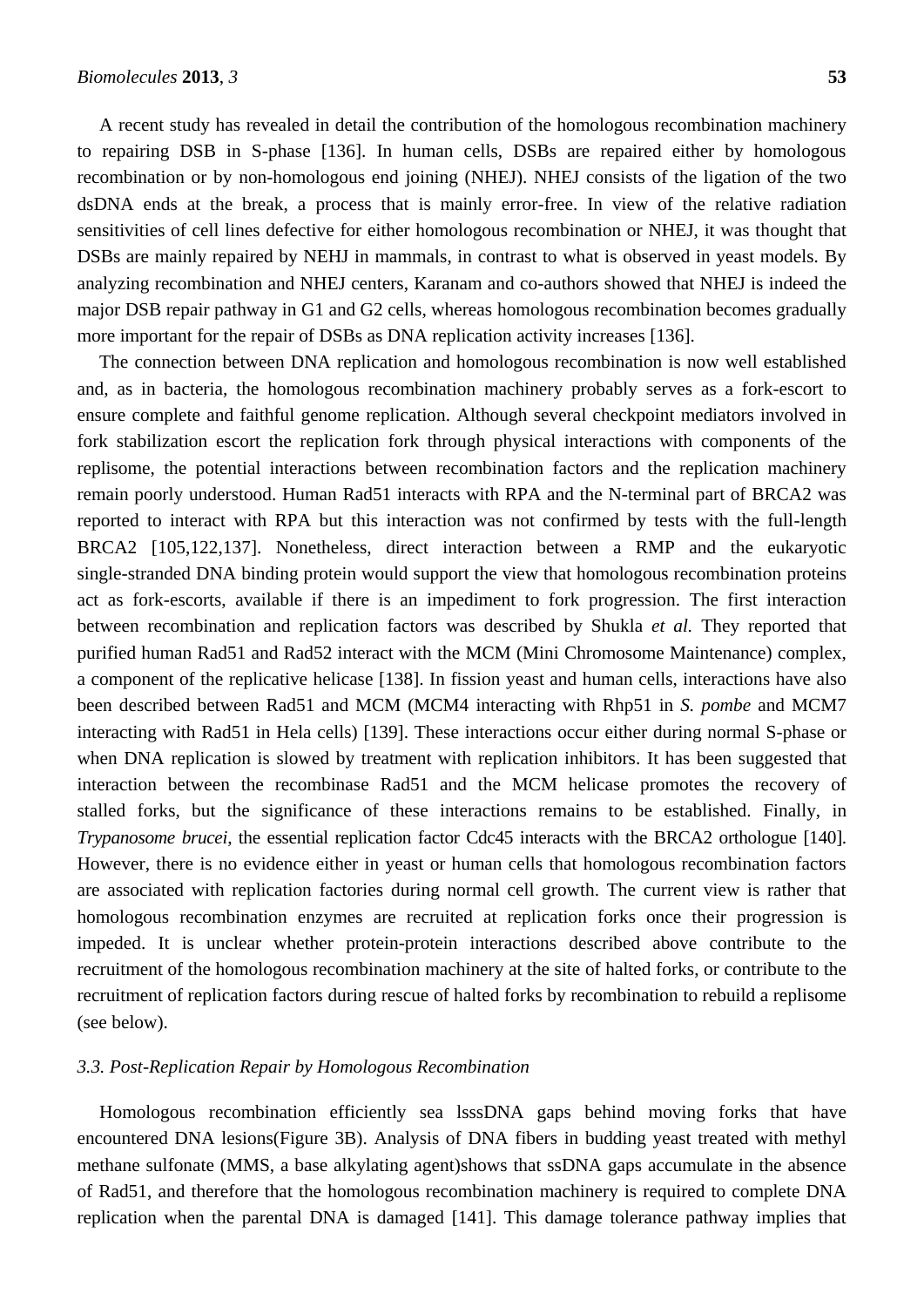A recent study has revealed in detail the contribution of the homologous recombination machinery to repairing DSB in S-phase [\[136\]](#page-28-5). In human cells, DSBs are repaired either by homologous recombination or by non-homologous end joining (NHEJ). NHEJ consists of the ligation of the two dsDNA ends at the break, a process that is mainly error-free. In view of the relative radiation sensitivities of cell lines defective for either homologous recombination or NHEJ, it was thought that DSBs are mainly repaired by NEHJ in mammals, in contrast to what is observed in yeast models. By analyzing recombination and NHEJ centers, Karanam and co-authors showed that NHEJ is indeed the major DSB repair pathway in G1 and G2 cells, whereas homologous recombination becomes gradually more important for the repair of DSBs as DNA replication activity increases [\[136\]](#page-28-5).

The connection between DNA replication and homologous recombination is now well established and, as in bacteria, the homologous recombination machinery probably serves as a fork-escort to ensure complete and faithful genome replication. Although several checkpoint mediators involved in fork stabilization escort the replication fork through physical interactions with components of the replisome, the potential interactions between recombination factors and the replication machinery remain poorly understood. Human Rad51 interacts with RPA and the N-terminal part of BRCA2 was reported to interact with RPA but this interaction was not confirmed by tests with the full-length BRCA2 [\[105,](#page-26-6)122[,137\]](#page-28-6). Nonetheless, direct interaction between a RMP and the eukaryotic single-stranded DNA binding protein would support the view that homologous recombination proteins act as fork-escorts, available if there is an impediment to fork progression. The first interaction between recombination and replication factors was described by Shukla *et al.* They reported that purified human Rad51 and Rad52 interact with the MCM (Mini Chromosome Maintenance) complex, a component of the replicative helicase [\[138\]](#page-28-7). In fission yeast and human cells, interactions have also been described between Rad51 and MCM (MCM4 interacting with Rhp51 in *S. pombe* and MCM7 interacting with Rad51 in Hela cells) [\[139\]](#page-29-0). These interactions occur either during normal S-phase or when DNA replication is slowed by treatment with replication inhibitors. It has been suggested that interaction between the recombinase Rad51 and the MCM helicase promotes the recovery of stalled forks, but the significance of these interactions remains to be established. Finally, in *Trypanosome brucei*, the essential replication factor Cdc45 interacts with the BRCA2 orthologue [\[140\]](#page-29-1). However, there is no evidence either in yeast or human cells that homologous recombination factors are associated with replication factories during normal cell growth. The current view is rather that homologous recombination enzymes are recruited at replication forks once their progression is impeded. It is unclear whether protein-protein interactions described above contribute to the recruitment of the homologous recombination machinery at the site of halted forks, or contribute to the recruitment of replication factors during rescue of halted forks by recombination to rebuild a replisome (see below).

# *3.3. Post-Replication Repair by Homologous Recombination*

Homologous recombination efficiently sea lsssDNA gaps behind moving forks that have encountered DNA lesions(Figure 3B). Analysis of DNA fibers in budding yeast treated with methyl methane sulfonate (MMS, a base alkylating agent)shows that ssDNA gaps accumulate in the absence of Rad51, and therefore that the homologous recombination machinery is required to complete DNA replication when the parental DNA is damaged [\[141\]](#page-29-2). This damage tolerance pathway implies that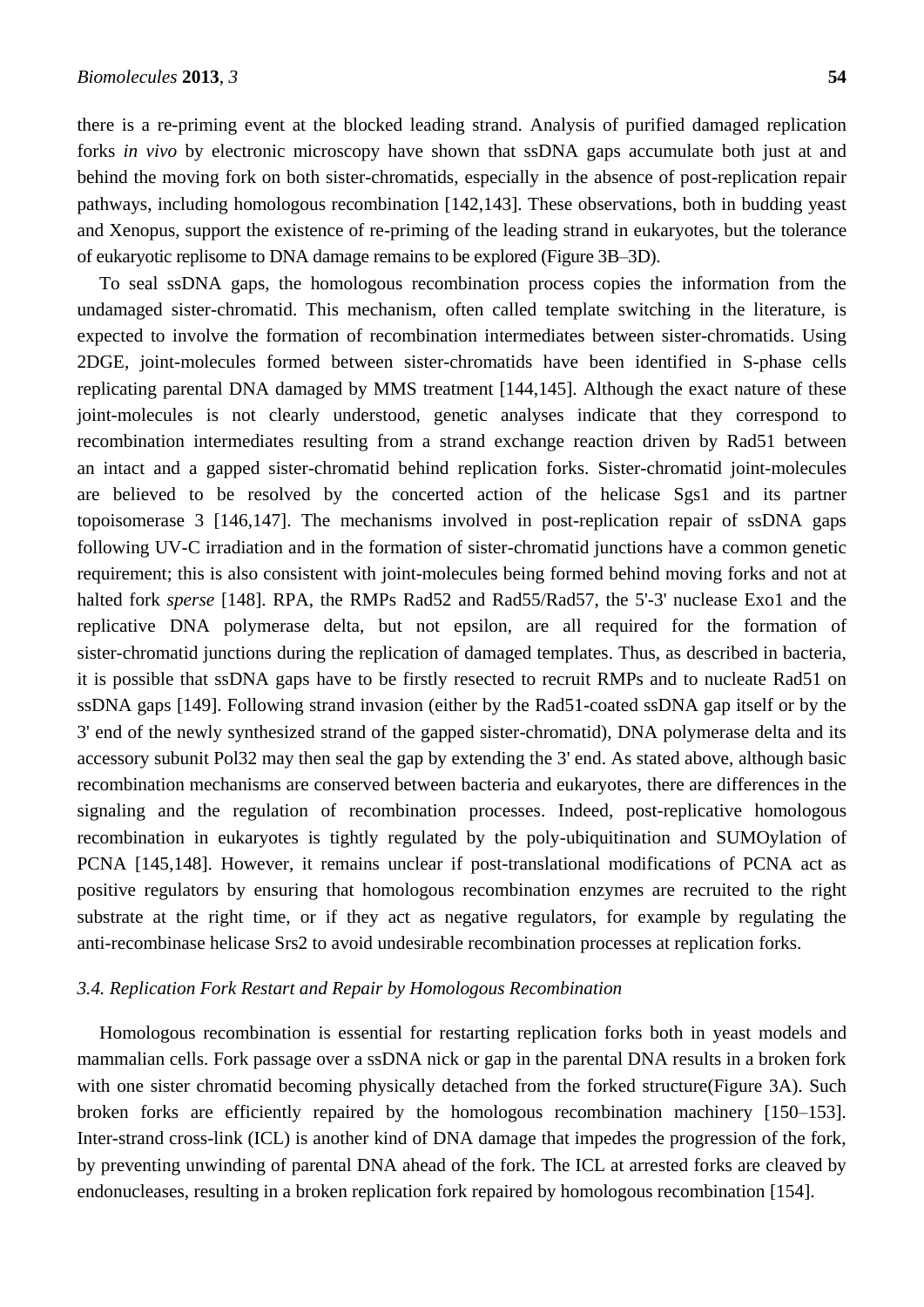there is a re-priming event at the blocked leading strand. Analysis of purified damaged replication forks *in vivo* by electronic microscopy have shown that ssDNA gaps accumulate both just at and behind the moving fork on both sister-chromatids, especially in the absence of post-replication repair pathways, including homologous recombination [\[142](#page-29-3)[,143\]](#page-29-4). These observations, both in budding yeast and Xenopus, support the existence of re-priming of the leading strand in eukaryotes, but the tolerance of eukaryotic replisome to DNA damage remains to be explored (Figure 3B–3D).

To seal ssDNA gaps, the homologous recombination process copies the information from the undamaged sister-chromatid. This mechanism, often called template switching in the literature, is expected to involve the formation of recombination intermediates between sister-chromatids. Using 2DGE, joint-molecules formed between sister-chromatids have been identified in S-phase cells replicating parental DNA damaged by MMS treatment [\[144](#page-29-5)[,145\]](#page-29-6). Although the exact nature of these joint-molecules is not clearly understood, genetic analyses indicate that they correspond to recombination intermediates resulting from a strand exchange reaction driven by Rad51 between an intact and a gapped sister-chromatid behind replication forks. Sister-chromatid joint-molecules are believed to be resolved by the concerted action of the helicase Sgs1 and its partner topoisomerase 3 [\[146,](#page-29-7)[147\]](#page-29-8). The mechanisms involved in post-replication repair of ssDNA gaps following UV-C irradiation and in the formation of sister-chromatid junctions have a common genetic requirement; this is also consistent with joint-molecules being formed behind moving forks and not at halted fork *sperse* [\[148\]](#page-29-9). RPA, the RMPs Rad52 and Rad55/Rad57, the 5'-3' nuclease Exo1 and the replicative DNA polymerase delta, but not epsilon, are all required for the formation of sister-chromatid junctions during the replication of damaged templates. Thus, as described in bacteria, it is possible that ssDNA gaps have to be firstly resected to recruit RMPs and to nucleate Rad51 on ssDNA gaps [\[149\]](#page-29-10). Following strand invasion (either by the Rad51-coated ssDNA gap itself or by the 3' end of the newly synthesized strand of the gapped sister-chromatid), DNA polymerase delta and its accessory subunit Pol32 may then seal the gap by extending the 3' end. As stated above, although basic recombination mechanisms are conserved between bacteria and eukaryotes, there are differences in the signaling and the regulation of recombination processes. Indeed, post-replicative homologous recombination in eukaryotes is tightly regulated by the poly-ubiquitination and SUMOylation of PCNA [\[145](#page-29-6)[,148\]](#page-29-9). However, it remains unclear if post-translational modifications of PCNA act as positive regulators by ensuring that homologous recombination enzymes are recruited to the right substrate at the right time, or if they act as negative regulators, for example by regulating the anti-recombinase helicase Srs2 to avoid undesirable recombination processes at replication forks.

#### *3.4. Replication Fork Restart and Repair by Homologous Recombination*

Homologous recombination is essential for restarting replication forks both in yeast models and mammalian cells. Fork passage over a ssDNA nick or gap in the parental DNA results in a broken fork with one sister chromatid becoming physically detached from the forked structure(Figure 3A). Such broken forks are efficiently repaired by the homologous recombination machinery [150–153]. Inter-strand cross-link (ICL) is another kind of DNA damage that impedes the progression of the fork, by preventing unwinding of parental DNA ahead of the fork. The ICL at arrested forks are cleaved by endonucleases, resulting in a broken replication fork repaired by homologous recombination [\[154\]](#page-29-11).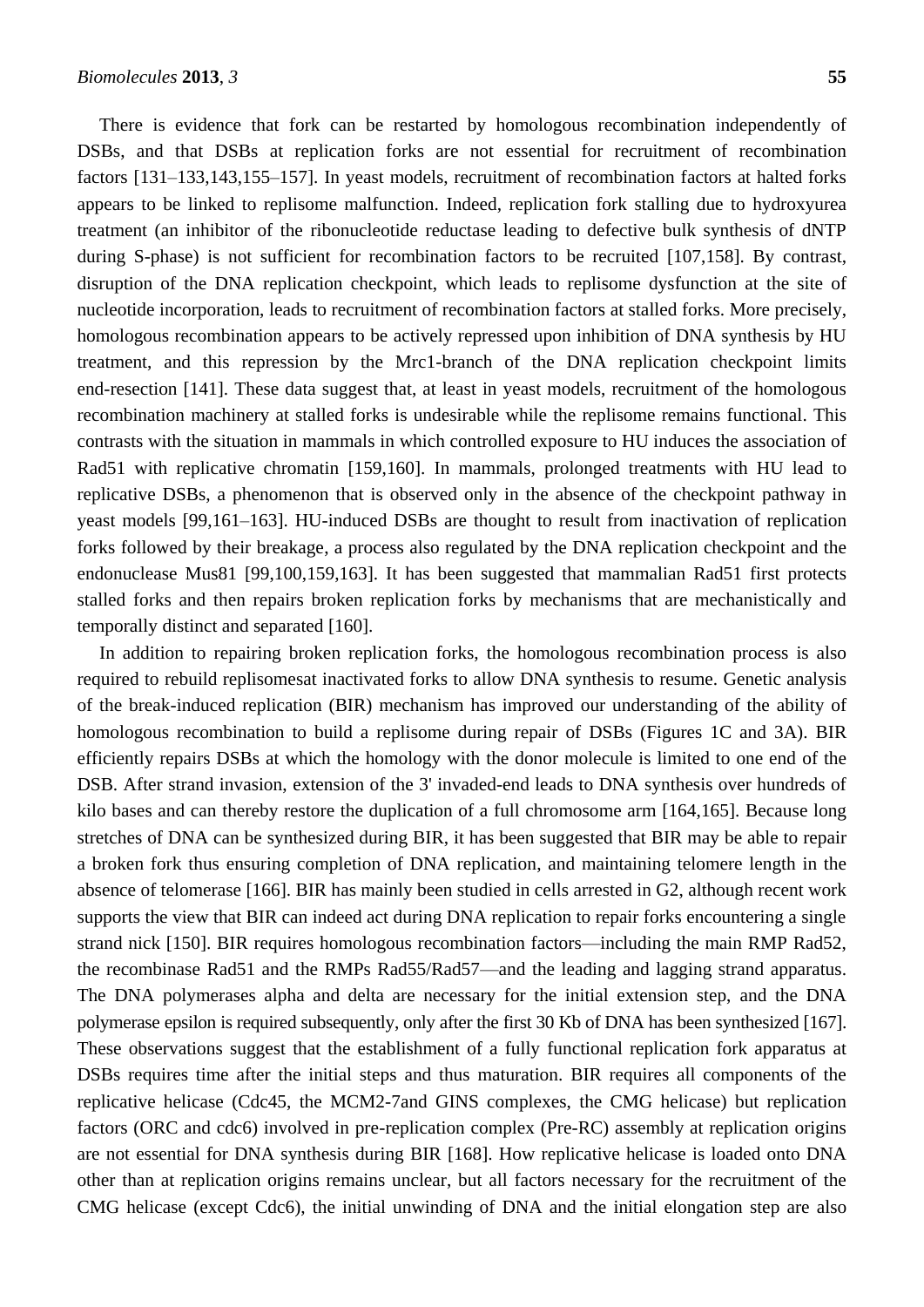There is evidence that fork can be restarted by homologous recombination independently of DSBs, and that DSBs at replication forks are not essential for recruitment of recombination factors [131–133,143,155–157]. In yeast models, recruitment of recombination factors at halted forks appears to be linked to replisome malfunction. Indeed, replication fork stalling due to hydroxyurea treatment (an inhibitor of the ribonucleotide reductase leading to defective bulk synthesis of dNTP during S-phase) is not sufficient for recombination factors to be recruited [\[107,](#page-26-8)[158\]](#page-30-0). By contrast, disruption of the DNA replication checkpoint, which leads to replisome dysfunction at the site of nucleotide incorporation, leads to recruitment of recombination factors at stalled forks. More precisely, homologous recombination appears to be actively repressed upon inhibition of DNA synthesis by HU treatment, and this repression by the Mrc1-branch of the DNA replication checkpoint limits end-resection [\[141\]](#page-29-2). These data suggest that, at least in yeast models, recruitment of the homologous recombination machinery at stalled forks is undesirable while the replisome remains functional. This contrasts with the situation in mammals in which controlled exposure to HU induces the association of Rad51 with replicative chromatin [\[159](#page-30-1)[,160\]](#page-30-2). In mammals, prolonged treatments with HU lead to replicative DSBs, a phenomenon that is observed only in the absence of the checkpoint pathway in yeast models [99,161–163]. HU-induced DSBs are thought to result from inactivation of replication forks followed by their breakage, a process also regulated by the DNA replication checkpoint and the endonuclease Mus81 [\[99](#page-26-9)[,100](#page-26-10)[,159](#page-30-1)[,163\]](#page-30-3). It has been suggested that mammalian Rad51 first protects stalled forks and then repairs broken replication forks by mechanisms that are mechanistically and temporally distinct and separated [\[160\]](#page-30-2).

In addition to repairing broken replication forks, the homologous recombination process is also required to rebuild replisomesat inactivated forks to allow DNA synthesis to resume. Genetic analysis of the break-induced replication (BIR) mechanism has improved our understanding of the ability of homologous recombination to build a replisome during repair of DSBs (Figures 1C and 3A). BIR efficiently repairs DSBs at which the homology with the donor molecule is limited to one end of the DSB. After strand invasion, extension of the 3' invaded-end leads to DNA synthesis over hundreds of kilo bases and can thereby restore the duplication of a full chromosome arm [\[164,](#page-30-4)[165\]](#page-30-5). Because long stretches of DNA can be synthesized during BIR, it has been suggested that BIR may be able to repair a broken fork thus ensuring completion of DNA replication, and maintaining telomere length in the absence of telomerase [\[166\]](#page-30-6). BIR has mainly been studied in cells arrested in G2, although recent work supports the view that BIR can indeed act during DNA replication to repair forks encountering a single strand nick [\[150\]](#page-29-12). BIR requires homologous recombination factors—including the main RMP Rad52, the recombinase Rad51 and the RMPs Rad55/Rad57—and the leading and lagging strand apparatus. The DNA polymerases alpha and delta are necessary for the initial extension step, and the DNA polymerase epsilon is required subsequently, only after the first 30 Kb of DNA has been synthesized [\[167\]](#page-30-7). These observations suggest that the establishment of a fully functional replication fork apparatus at DSBs requires time after the initial steps and thus maturation. BIR requires all components of the replicative helicase (Cdc45, the MCM2-7and GINS complexes, the CMG helicase) but replication factors (ORC and cdc6) involved in pre-replication complex (Pre-RC) assembly at replication origins are not essential for DNA synthesis during BIR [\[168\]](#page-30-8). How replicative helicase is loaded onto DNA other than at replication origins remains unclear, but all factors necessary for the recruitment of the CMG helicase (except Cdc6), the initial unwinding of DNA and the initial elongation step are also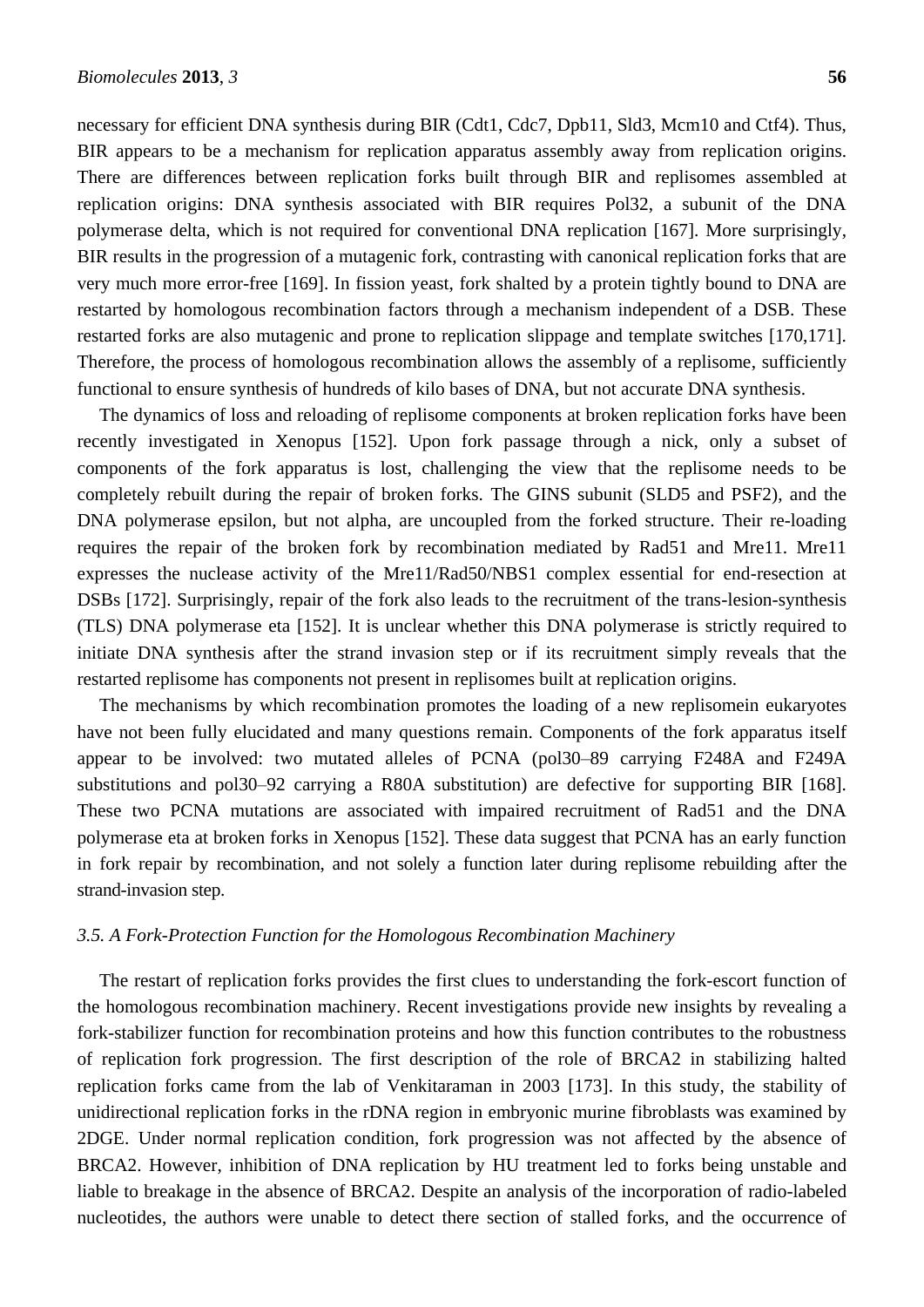necessary for efficient DNA synthesis during BIR (Cdt1, Cdc7, Dpb11, Sld3, Mcm10 and Ctf4). Thus, BIR appears to be a mechanism for replication apparatus assembly away from replication origins. There are differences between replication forks built through BIR and replisomes assembled at replication origins: DNA synthesis associated with BIR requires Pol32, a subunit of the DNA polymerase delta, which is not required for conventional DNA replication [\[167\]](#page-30-7). More surprisingly, BIR results in the progression of a mutagenic fork, contrasting with canonical replication forks that are very much more error-free [\[169\]](#page-30-9). In fission yeast, fork shalted by a protein tightly bound to DNA are restarted by homologous recombination factors through a mechanism independent of a DSB. These restarted forks are also mutagenic and prone to replication slippage and template switches [\[170](#page-31-0)[,171\]](#page-31-1). Therefore, the process of homologous recombination allows the assembly of a replisome, sufficiently functional to ensure synthesis of hundreds of kilo bases of DNA, but not accurate DNA synthesis.

The dynamics of loss and reloading of replisome components at broken replication forks have been recently investigated in Xenopus [\[152\]](#page-29-13). Upon fork passage through a nick, only a subset of components of the fork apparatus is lost, challenging the view that the replisome needs to be completely rebuilt during the repair of broken forks. The GINS subunit (SLD5 and PSF2), and the DNA polymerase epsilon, but not alpha, are uncoupled from the forked structure. Their re-loading requires the repair of the broken fork by recombination mediated by Rad51 and Mre11. Mre11 expresses the nuclease activity of the Mre11/Rad50/NBS1 complex essential for end-resection at DSBs [\[172\]](#page-31-2). Surprisingly, repair of the fork also leads to the recruitment of the trans-lesion-synthesis (TLS) DNA polymerase eta [\[152\]](#page-29-13). It is unclear whether this DNA polymerase is strictly required to initiate DNA synthesis after the strand invasion step or if its recruitment simply reveals that the restarted replisome has components not present in replisomes built at replication origins.

The mechanisms by which recombination promotes the loading of a new replisomein eukaryotes have not been fully elucidated and many questions remain. Components of the fork apparatus itself appear to be involved: two mutated alleles of PCNA (pol30–89 carrying F248A and F249A substitutions and pol30–92 carrying a R80A substitution) are defective for supporting BIR [\[168\]](#page-30-8). These two PCNA mutations are associated with impaired recruitment of Rad51 and the DNA polymerase eta at broken forks in Xenopus [\[152\]](#page-29-13). These data suggest that PCNA has an early function in fork repair by recombination, and not solely a function later during replisome rebuilding after the strand-invasion step.

#### *3.5. A Fork-Protection Function for the Homologous Recombination Machinery*

The restart of replication forks provides the first clues to understanding the fork-escort function of the homologous recombination machinery. Recent investigations provide new insights by revealing a fork-stabilizer function for recombination proteins and how this function contributes to the robustness of replication fork progression. The first description of the role of BRCA2 in stabilizing halted replication forks came from the lab of Venkitaraman in 2003 [\[173\]](#page-31-3). In this study, the stability of unidirectional replication forks in the rDNA region in embryonic murine fibroblasts was examined by 2DGE. Under normal replication condition, fork progression was not affected by the absence of BRCA2. However, inhibition of DNA replication by HU treatment led to forks being unstable and liable to breakage in the absence of BRCA2. Despite an analysis of the incorporation of radio-labeled nucleotides, the authors were unable to detect there section of stalled forks, and the occurrence of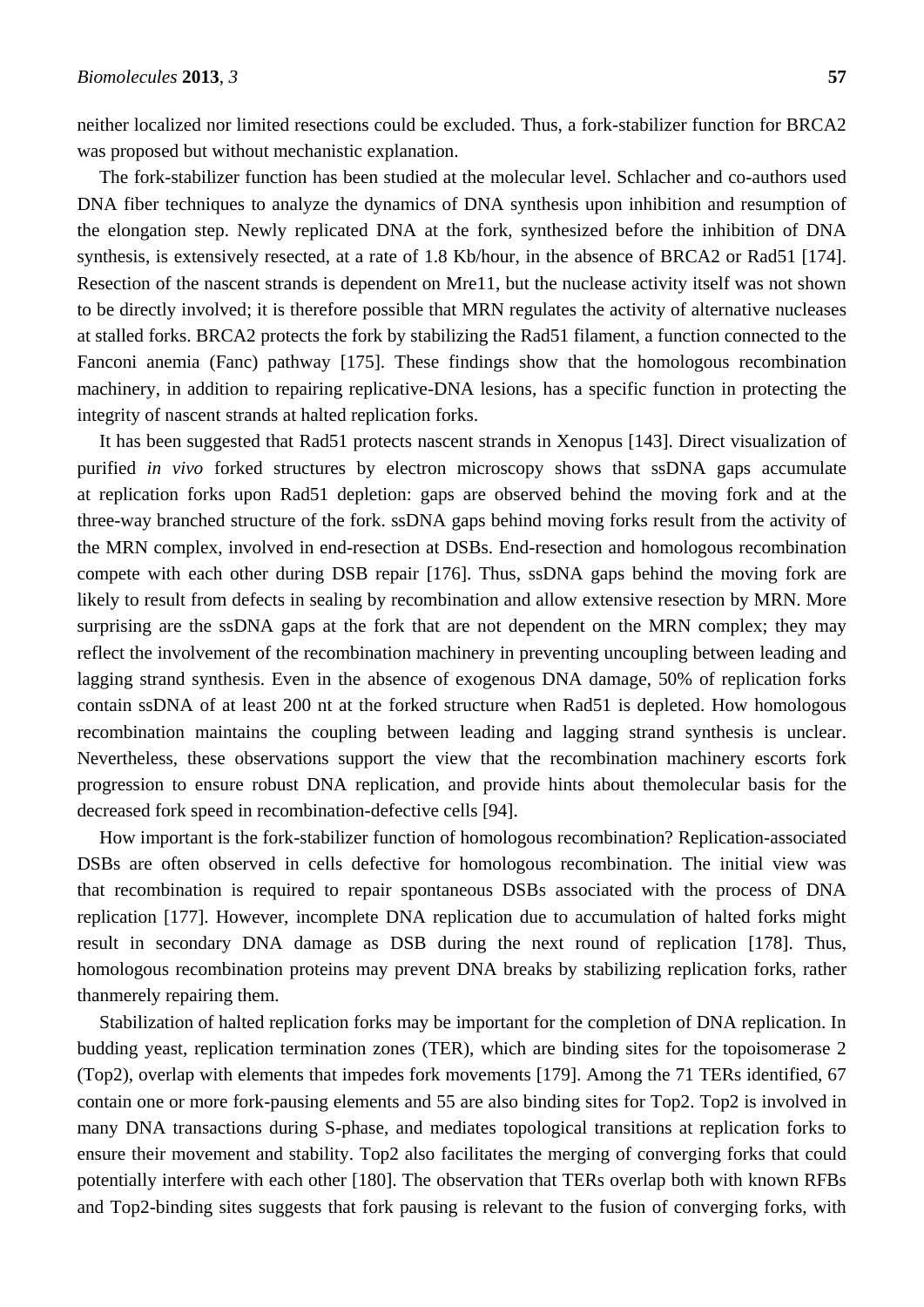neither localized nor limited resections could be excluded. Thus, a fork-stabilizer function for BRCA2 was proposed but without mechanistic explanation.

The fork-stabilizer function has been studied at the molecular level. Schlacher and co-authors used DNA fiber techniques to analyze the dynamics of DNA synthesis upon inhibition and resumption of the elongation step. Newly replicated DNA at the fork, synthesized before the inhibition of DNA synthesis, is extensively resected, at a rate of 1.8 Kb/hour, in the absence of BRCA2 or Rad51 [\[174\]](#page-31-4). Resection of the nascent strands is dependent on Mre11, but the nuclease activity itself was not shown to be directly involved; it is therefore possible that MRN regulates the activity of alternative nucleases at stalled forks. BRCA2 protects the fork by stabilizing the Rad51 filament, a function connected to the Fanconi anemia (Fanc) pathway [\[175\]](#page-31-5). These findings show that the homologous recombination machinery, in addition to repairing replicative-DNA lesions, has a specific function in protecting the integrity of nascent strands at halted replication forks.

It has been suggested that Rad51 protects nascent strands in Xenopus [\[143\]](#page-29-4). Direct visualization of purified *in vivo* forked structures by electron microscopy shows that ssDNA gaps accumulate at replication forks upon Rad51 depletion: gaps are observed behind the moving fork and at the three-way branched structure of the fork. ssDNA gaps behind moving forks result from the activity of the MRN complex, involved in end-resection at DSBs. End-resection and homologous recombination compete with each other during DSB repair [\[176\]](#page-31-6). Thus, ssDNA gaps behind the moving fork are likely to result from defects in sealing by recombination and allow extensive resection by MRN. More surprising are the ssDNA gaps at the fork that are not dependent on the MRN complex; they may reflect the involvement of the recombination machinery in preventing uncoupling between leading and lagging strand synthesis. Even in the absence of exogenous DNA damage, 50% of replication forks contain ssDNA of at least 200 nt at the forked structure when Rad51 is depleted. How homologous recombination maintains the coupling between leading and lagging strand synthesis is unclear. Nevertheless, these observations support the view that the recombination machinery escorts fork progression to ensure robust DNA replication, and provide hints about themolecular basis for the decreased fork speed in recombination-defective cells [\[94\]](#page-26-2).

How important is the fork-stabilizer function of homologous recombination? Replication-associated DSBs are often observed in cells defective for homologous recombination. The initial view was that recombination is required to repair spontaneous DSBs associated with the process of DNA replication [\[177\]](#page-31-7). However, incomplete DNA replication due to accumulation of halted forks might result in secondary DNA damage as DSB during the next round of replication [\[178\]](#page-31-8). Thus, homologous recombination proteins may prevent DNA breaks by stabilizing replication forks, rather thanmerely repairing them.

Stabilization of halted replication forks may be important for the completion of DNA replication. In budding yeast, replication termination zones (TER), which are binding sites for the topoisomerase 2 (Top2), overlap with elements that impedes fork movements [\[179\]](#page-31-9). Among the 71 TERs identified, 67 contain one or more fork-pausing elements and 55 are also binding sites for Top2. Top2 is involved in many DNA transactions during S-phase, and mediates topological transitions at replication forks to ensure their movement and stability. Top2 also facilitates the merging of converging forks that could potentially interfere with each other [\[180\]](#page-31-10). The observation that TERs overlap both with known RFBs and Top2-binding sites suggests that fork pausing is relevant to the fusion of converging forks, with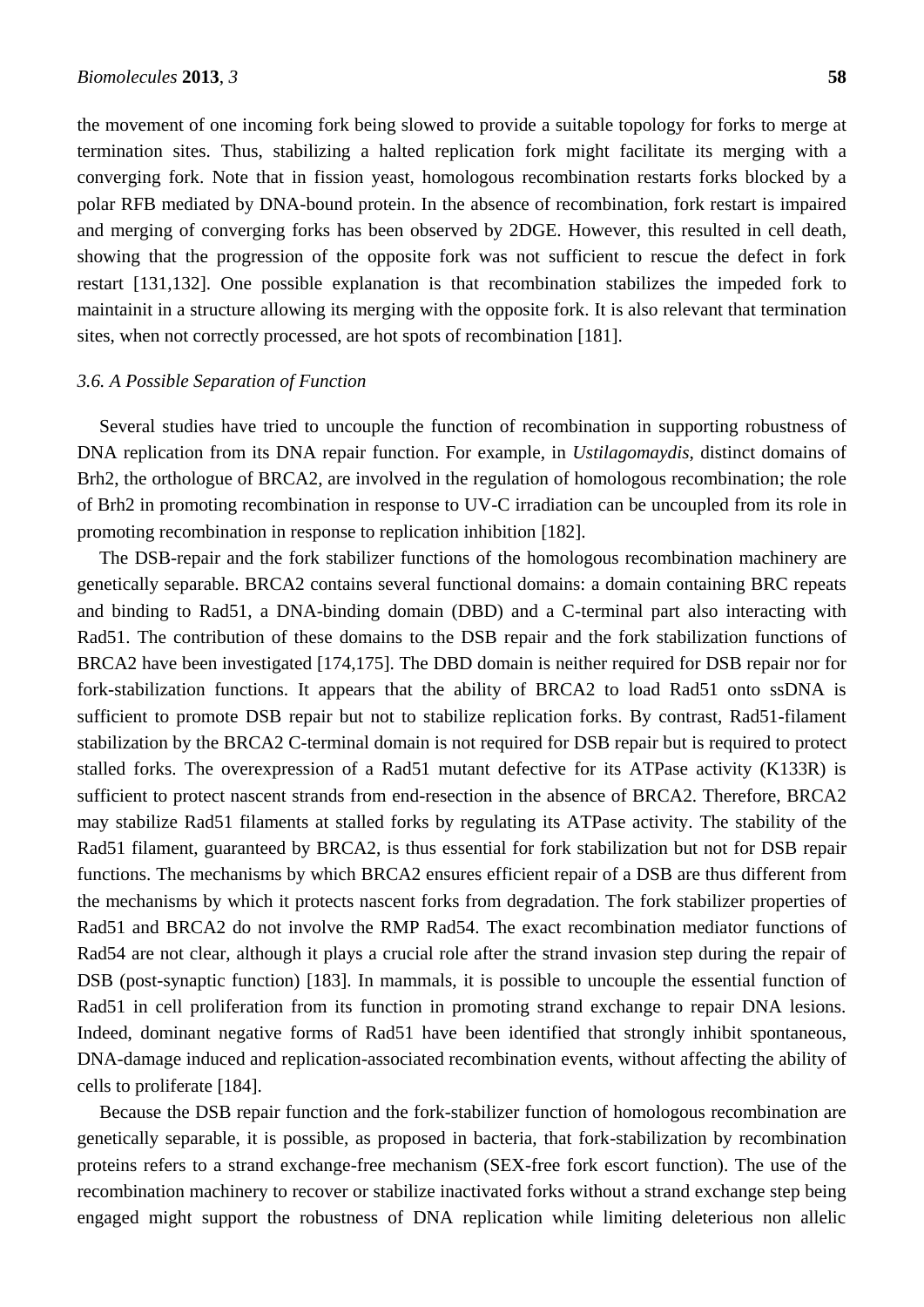the movement of one incoming fork being slowed to provide a suitable topology for forks to merge at termination sites. Thus, stabilizing a halted replication fork might facilitate its merging with a converging fork. Note that in fission yeast, homologous recombination restarts forks blocked by a polar RFB mediated by DNA-bound protein. In the absence of recombination, fork restart is impaired and merging of converging forks has been observed by 2DGE. However, this resulted in cell death, showing that the progression of the opposite fork was not sufficient to rescue the defect in fork restart [\[131,](#page-28-8)[132\]](#page-28-9). One possible explanation is that recombination stabilizes the impeded fork to maintainit in a structure allowing its merging with the opposite fork. It is also relevant that termination sites, when not correctly processed, are hot spots of recombination [\[181\]](#page-31-11).

# *3.6. A Possible Separation of Function*

Several studies have tried to uncouple the function of recombination in supporting robustness of DNA replication from its DNA repair function. For example, in *Ustilagomaydis*, distinct domains of Brh2, the orthologue of BRCA2, are involved in the regulation of homologous recombination; the role of Brh2 in promoting recombination in response to UV-C irradiation can be uncoupled from its role in promoting recombination in response to replication inhibition [\[182\]](#page-31-12).

The DSB-repair and the fork stabilizer functions of the homologous recombination machinery are genetically separable. BRCA2 contains several functional domains: a domain containing BRC repeats and binding to Rad51, a DNA-binding domain (DBD) and a C-terminal part also interacting with Rad51. The contribution of these domains to the DSB repair and the fork stabilization functions of BRCA2 have been investigated [\[174,](#page-31-4)[175\]](#page-31-5). The DBD domain is neither required for DSB repair nor for fork-stabilization functions. It appears that the ability of BRCA2 to load Rad51 onto ssDNA is sufficient to promote DSB repair but not to stabilize replication forks. By contrast, Rad51-filament stabilization by the BRCA2 C-terminal domain is not required for DSB repair but is required to protect stalled forks. The overexpression of a Rad51 mutant defective for its ATPase activity (K133R) is sufficient to protect nascent strands from end-resection in the absence of BRCA2. Therefore, BRCA2 may stabilize Rad51 filaments at stalled forks by regulating its ATPase activity. The stability of the Rad51 filament, guaranteed by BRCA2, is thus essential for fork stabilization but not for DSB repair functions. The mechanisms by which BRCA2 ensures efficient repair of a DSB are thus different from the mechanisms by which it protects nascent forks from degradation. The fork stabilizer properties of Rad51 and BRCA2 do not involve the RMP Rad54. The exact recombination mediator functions of Rad54 are not clear, although it plays a crucial role after the strand invasion step during the repair of DSB (post-synaptic function) [\[183\]](#page-31-13). In mammals, it is possible to uncouple the essential function of Rad51 in cell proliferation from its function in promoting strand exchange to repair DNA lesions. Indeed, dominant negative forms of Rad51 have been identified that strongly inhibit spontaneous, DNA-damage induced and replication-associated recombination events, without affecting the ability of cells to proliferate [\[184\]](#page-31-14).

Because the DSB repair function and the fork-stabilizer function of homologous recombination are genetically separable, it is possible, as proposed in bacteria, that fork-stabilization by recombination proteins refers to a strand exchange-free mechanism (SEX-free fork escort function). The use of the recombination machinery to recover or stabilize inactivated forks without a strand exchange step being engaged might support the robustness of DNA replication while limiting deleterious non allelic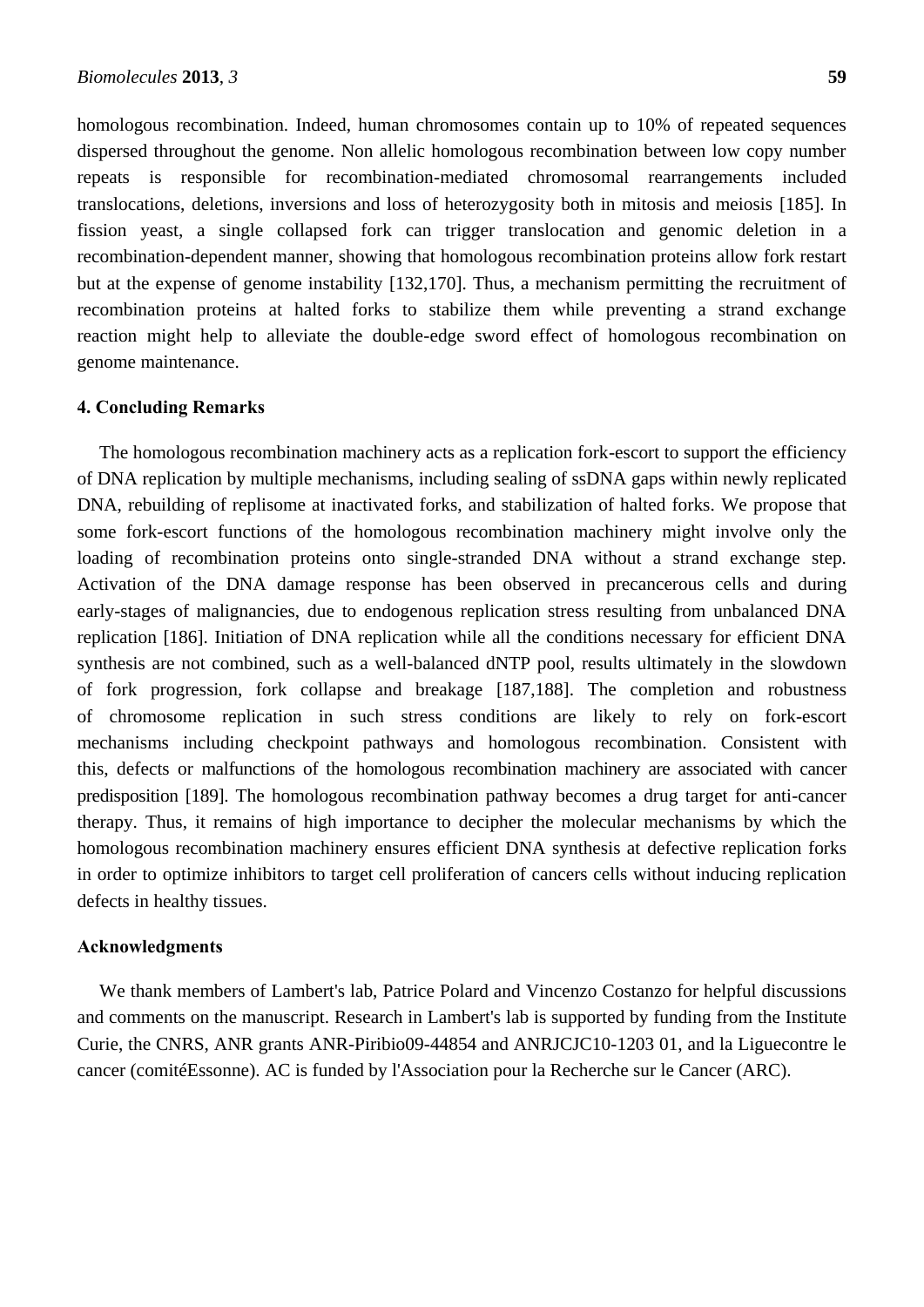homologous recombination. Indeed, human chromosomes contain up to 10% of repeated sequences dispersed throughout the genome. Non allelic homologous recombination between low copy number repeats is responsible for recombination-mediated chromosomal rearrangements included translocations, deletions, inversions and loss of heterozygosity both in mitosis and meiosis [\[185\]](#page-31-15). In fission yeast, a single collapsed fork can trigger translocation and genomic deletion in a recombination-dependent manner, showing that homologous recombination proteins allow fork restart but at the expense of genome instability [\[132,](#page-28-9)[170\]](#page-31-0). Thus, a mechanism permitting the recruitment of recombination proteins at halted forks to stabilize them while preventing a strand exchange reaction might help to alleviate the double-edge sword effect of homologous recombination on genome maintenance.

#### **4. Concluding Remarks**

The homologous recombination machinery acts as a replication fork-escort to support the efficiency of DNA replication by multiple mechanisms, including sealing of ssDNA gaps within newly replicated DNA, rebuilding of replisome at inactivated forks, and stabilization of halted forks. We propose that some fork-escort functions of the homologous recombination machinery might involve only the loading of recombination proteins onto single-stranded DNA without a strand exchange step. Activation of the DNA damage response has been observed in precancerous cells and during early-stages of malignancies, due to endogenous replication stress resulting from unbalanced DNA replication [\[186\]](#page-32-0). Initiation of DNA replication while all the conditions necessary for efficient DNA synthesis are not combined, such as a well-balanced dNTP pool, results ultimately in the slowdown of fork progression, fork collapse and breakage [\[187,](#page-32-1)[188\]](#page-32-2). The completion and robustness of chromosome replication in such stress conditions are likely to rely on fork-escort mechanisms including checkpoint pathways and homologous recombination. Consistent with this, defects or malfunctions of the homologous recombination machinery are associated with cancer predisposition [\[189\]](#page-32-3). The homologous recombination pathway becomes a drug target for anti-cancer therapy. Thus, it remains of high importance to decipher the molecular mechanisms by which the homologous recombination machinery ensures efficient DNA synthesis at defective replication forks in order to optimize inhibitors to target cell proliferation of cancers cells without inducing replication defects in healthy tissues.

### **Acknowledgments**

We thank members of Lambert's lab, Patrice Polard and Vincenzo Costanzo for helpful discussions and comments on the manuscript. Research in Lambert's lab is supported by funding from the Institute Curie, the CNRS, ANR grants ANR-Piribio09-44854 and ANRJCJC10-1203 01, and la Liguecontre le cancer (comitéEssonne). AC is funded by l'Association pour la Recherche sur le Cancer (ARC).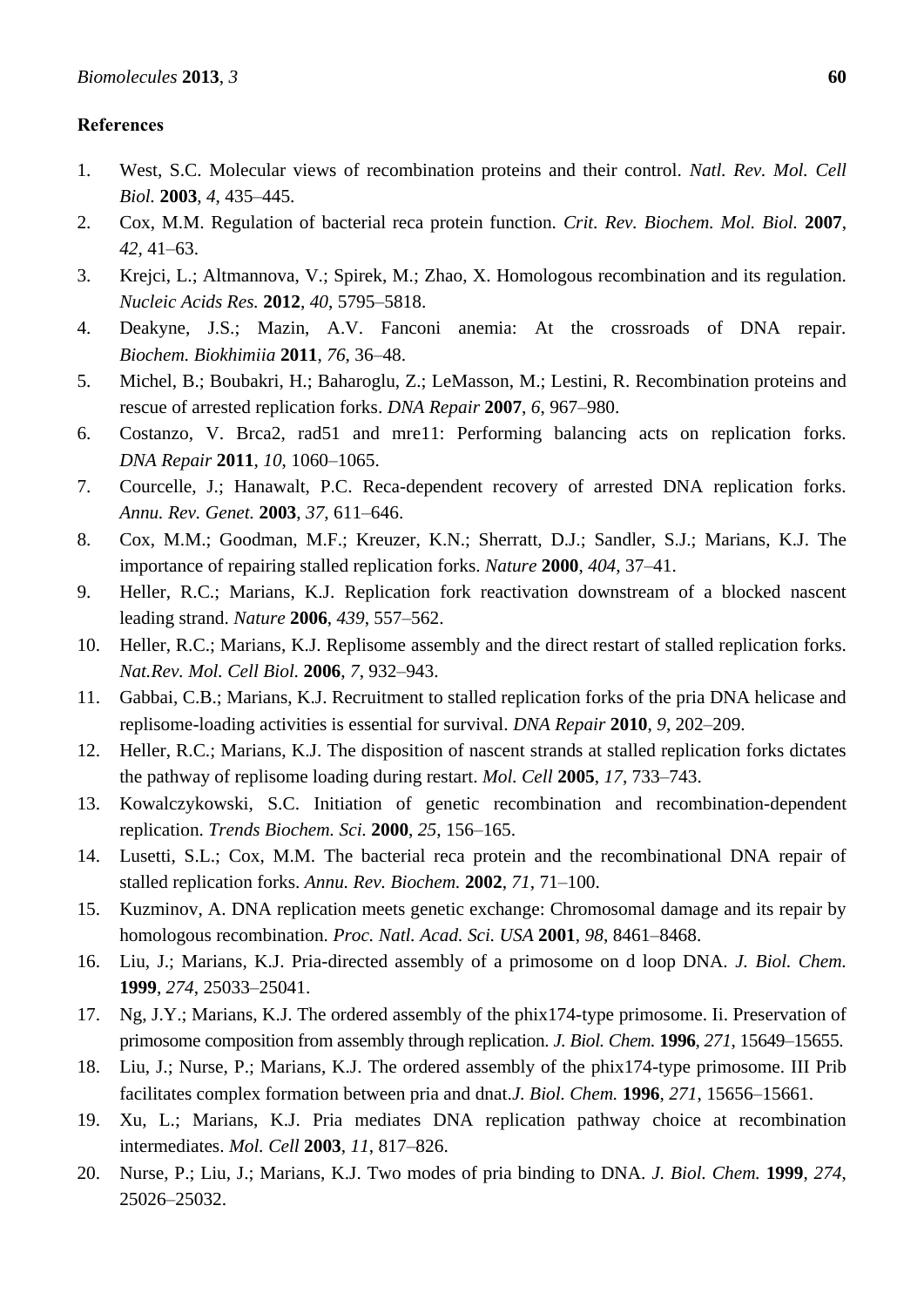# **References**

- <span id="page-21-0"></span>1. West, S.C. Molecular views of recombination proteins and their control. *Natl. Rev. Mol. Cell Biol.* **2003**, *4*, 435–445.
- <span id="page-21-1"></span>2. Cox, M.M. Regulation of bacterial reca protein function. *Crit. Rev. Biochem. Mol. Biol.* **2007**, *42*, 41–63.
- <span id="page-21-2"></span>3. Krejci, L.; Altmannova, V.; Spirek, M.; Zhao, X. Homologous recombination and its regulation. *Nucleic Acids Res.* **2012**, *40*, 5795–5818.
- <span id="page-21-3"></span>4. Deakyne, J.S.; Mazin, A.V. Fanconi anemia: At the crossroads of DNA repair. *Biochem. Biokhimiia* **2011**, *76*, 36–48.
- <span id="page-21-4"></span>5. Michel, B.; Boubakri, H.; Baharoglu, Z.; LeMasson, M.; Lestini, R. Recombination proteins and rescue of arrested replication forks. *DNA Repair* **2007**, *6*, 967–980.
- <span id="page-21-5"></span>6. Costanzo, V. Brca2, rad51 and mre11: Performing balancing acts on replication forks. *DNA Repair* **2011**, *10*, 1060–1065.
- <span id="page-21-6"></span>7. Courcelle, J.; Hanawalt, P.C. Reca-dependent recovery of arrested DNA replication forks. *Annu. Rev. Genet.* **2003**, *37*, 611–646.
- <span id="page-21-7"></span>8. Cox, M.M.; Goodman, M.F.; Kreuzer, K.N.; Sherratt, D.J.; Sandler, S.J.; Marians, K.J. The importance of repairing stalled replication forks. *Nature* **2000**, *404*, 37–41.
- <span id="page-21-8"></span>9. Heller, R.C.; Marians, K.J. Replication fork reactivation downstream of a blocked nascent leading strand. *Nature* **2006**, *439*, 557–562.
- <span id="page-21-9"></span>10. Heller, R.C.; Marians, K.J. Replisome assembly and the direct restart of stalled replication forks. *Nat.Rev. Mol. Cell Biol.* **2006**, *7*, 932–943.
- <span id="page-21-10"></span>11. Gabbai, C.B.; Marians, K.J. Recruitment to stalled replication forks of the pria DNA helicase and replisome-loading activities is essential for survival. *DNA Repair* **2010**, *9*, 202–209.
- <span id="page-21-11"></span>12. Heller, R.C.; Marians, K.J. The disposition of nascent strands at stalled replication forks dictates the pathway of replisome loading during restart. *Mol. Cell* **2005**, *17*, 733–743.
- 13. Kowalczykowski, S.C. Initiation of genetic recombination and recombination-dependent replication. *Trends Biochem. Sci.* **2000**, *25*, 156–165.
- 14. Lusetti, S.L.; Cox, M.M. The bacterial reca protein and the recombinational DNA repair of stalled replication forks. *Annu. Rev. Biochem.* **2002**, *71*, 71–100.
- 15. Kuzminov, A. DNA replication meets genetic exchange: Chromosomal damage and its repair by homologous recombination. *Proc. Natl. Acad. Sci. USA* **2001**, *98*, 8461–8468.
- 16. Liu, J.; Marians, K.J. Pria-directed assembly of a primosome on d loop DNA. *J. Biol. Chem.*  **1999**, *274*, 25033–25041.
- 17. Ng, J.Y.; Marians, K.J. The ordered assembly of the phix174-type primosome. Ii. Preservation of primosome composition from assembly through replication. *J. Biol. Chem.* **1996**, *271*, 15649–15655.
- 18. Liu, J.; Nurse, P.; Marians, K.J. The ordered assembly of the phix174-type primosome. III Prib facilitates complex formation between pria and dnat.*J. Biol. Chem.* **1996**, *271*, 15656–15661.
- 19. Xu, L.; Marians, K.J. Pria mediates DNA replication pathway choice at recombination intermediates. *Mol. Cell* **2003**, *11*, 817–826.
- 20. Nurse, P.; Liu, J.; Marians, K.J. Two modes of pria binding to DNA. *J. Biol. Chem.* **1999**, *274*, 25026–25032.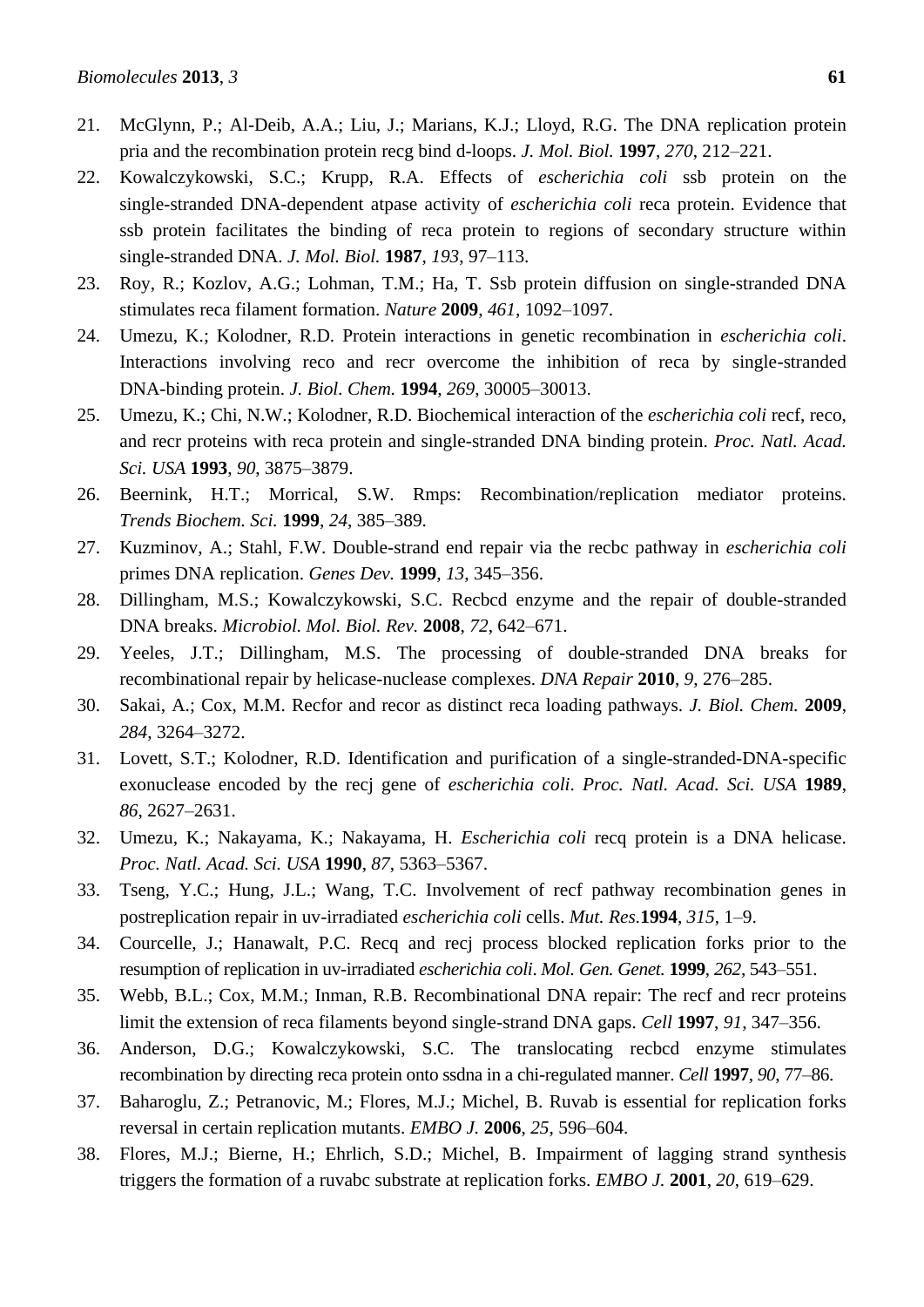- 21. McGlynn, P.; Al-Deib, A.A.; Liu, J.; Marians, K.J.; Lloyd, R.G. The DNA replication protein pria and the recombination protein recg bind d-loops. *J. Mol. Biol.* **1997**, *270*, 212–221.
- <span id="page-22-0"></span>22. Kowalczykowski, S.C.; Krupp, R.A. Effects of *escherichia coli* ssb protein on the single-stranded DNA-dependent atpase activity of *escherichia coli* reca protein. Evidence that ssb protein facilitates the binding of reca protein to regions of secondary structure within single-stranded DNA. *J. Mol. Biol.* **1987**, *193*, 97–113.
- <span id="page-22-1"></span>23. Roy, R.; Kozlov, A.G.; Lohman, T.M.; Ha, T. Ssb protein diffusion on single-stranded DNA stimulates reca filament formation. *Nature* **2009**, *461*, 1092–1097.
- 24. Umezu, K.; Kolodner, R.D. Protein interactions in genetic recombination in *escherichia coli*. Interactions involving reco and recr overcome the inhibition of reca by single-stranded DNA-binding protein. *J. Biol. Chem.* **1994**, *269*, 30005–30013.
- 25. Umezu, K.; Chi, N.W.; Kolodner, R.D. Biochemical interaction of the *escherichia coli* recf, reco, and recr proteins with reca protein and single-stranded DNA binding protein. *Proc. Natl. Acad. Sci. USA* **1993**, *90*, 3875–3879.
- 26. Beernink, H.T.; Morrical, S.W. Rmps: Recombination/replication mediator proteins. *Trends Biochem. Sci.* **1999**, *24*, 385–389.
- 27. Kuzminov, A.; Stahl, F.W. Double-strand end repair via the recbc pathway in *escherichia coli* primes DNA replication. *Genes Dev.* **1999**, *13*, 345–356.
- <span id="page-22-3"></span>28. Dillingham, M.S.; Kowalczykowski, S.C. Recbcd enzyme and the repair of double-stranded DNA breaks. *Microbiol. Mol. Biol. Rev.* **2008**, *72*, 642–671.
- 29. Yeeles, J.T.; Dillingham, M.S. The processing of double-stranded DNA breaks for recombinational repair by helicase-nuclease complexes. *DNA Repair* **2010**, *9*, 276–285.
- 30. Sakai, A.; Cox, M.M. Recfor and recor as distinct reca loading pathways. *J. Biol. Chem.* **2009**, *284*, 3264–3272.
- 31. Lovett, S.T.; Kolodner, R.D. Identification and purification of a single-stranded-DNA-specific exonuclease encoded by the recj gene of *escherichia coli*. *Proc. Natl. Acad. Sci. USA* **1989**, *86*, 2627–2631.
- 32. Umezu, K.; Nakayama, K.; Nakayama, H. *Escherichia coli* recq protein is a DNA helicase. *Proc. Natl. Acad. Sci. USA* **1990**, *87*, 5363–5367.
- 33. Tseng, Y.C.; Hung, J.L.; Wang, T.C. Involvement of recf pathway recombination genes in postreplication repair in uv-irradiated *escherichia coli* cells. *Mut. Res.***1994**, *315*, 1–9.
- <span id="page-22-6"></span>34. Courcelle, J.; Hanawalt, P.C. Recq and recj process blocked replication forks prior to the resumption of replication in uv-irradiated *escherichia coli*. *Mol. Gen. Genet.* **1999**, *262*, 543–551.
- <span id="page-22-2"></span>35. Webb, B.L.; Cox, M.M.; Inman, R.B. Recombinational DNA repair: The recf and recr proteins limit the extension of reca filaments beyond single-strand DNA gaps. *Cell* **1997**, *91*, 347–356.
- <span id="page-22-4"></span>36. Anderson, D.G.; Kowalczykowski, S.C. The translocating recbcd enzyme stimulates recombination by directing reca protein onto ssdna in a chi-regulated manner. *Cell* **1997**, *90*, 77–86.
- 37. Baharoglu, Z.; Petranovic, M.; Flores, M.J.; Michel, B. Ruvab is essential for replication forks reversal in certain replication mutants. *EMBO J.* **2006**, *25*, 596–604.
- <span id="page-22-5"></span>38. Flores, M.J.; Bierne, H.; Ehrlich, S.D.; Michel, B. Impairment of lagging strand synthesis triggers the formation of a ruvabc substrate at replication forks. *EMBO J.* **2001**, *20*, 619–629.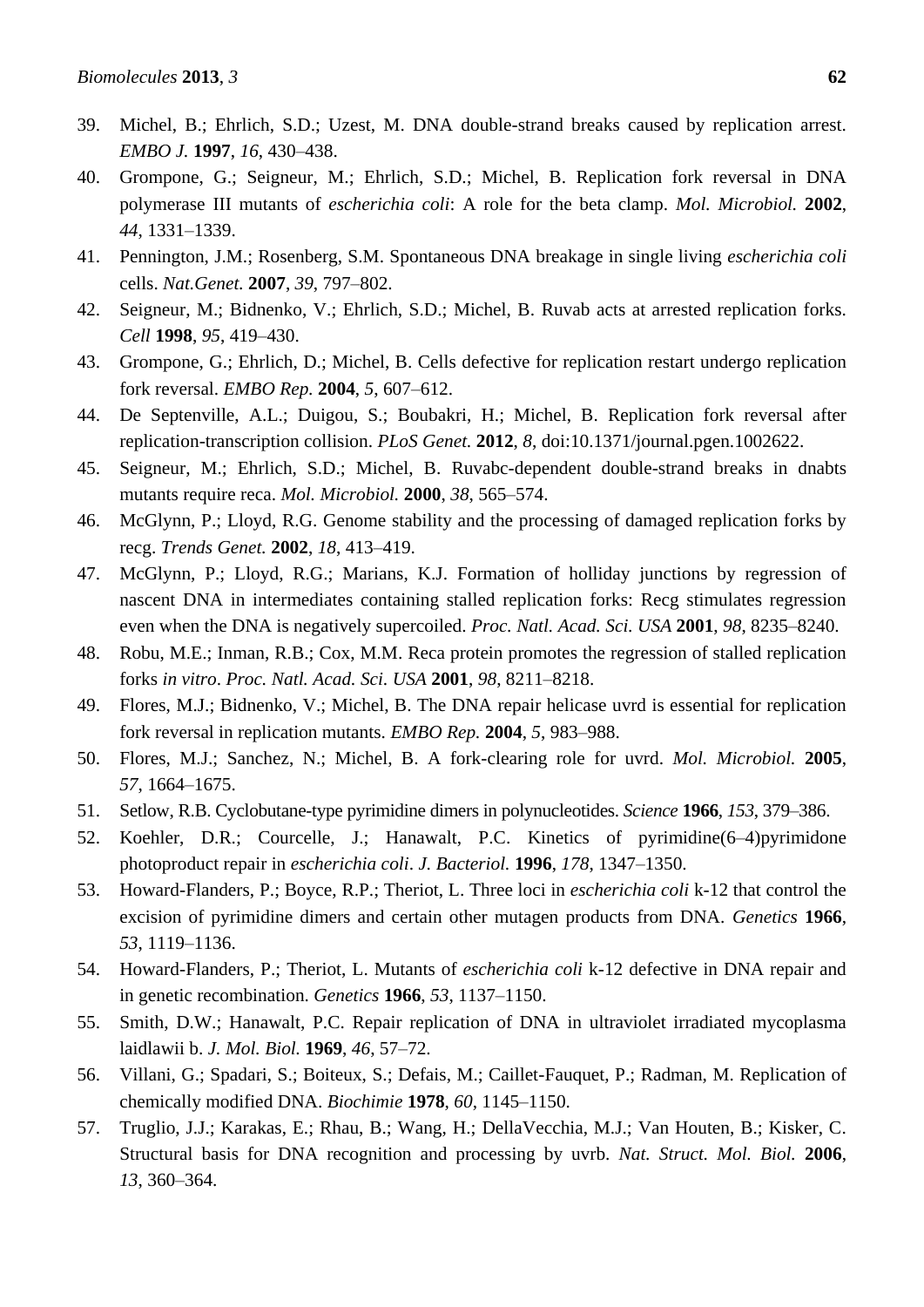- 39. Michel, B.; Ehrlich, S.D.; Uzest, M. DNA double-strand breaks caused by replication arrest. *EMBO J.* **1997**, *16*, 430–438.
- <span id="page-23-1"></span>40. Grompone, G.; Seigneur, M.; Ehrlich, S.D.; Michel, B. Replication fork reversal in DNA polymerase III mutants of *escherichia coli*: A role for the beta clamp. *Mol. Microbiol.* **2002**, *44*, 1331–1339.
- <span id="page-23-0"></span>41. Pennington, J.M.; Rosenberg, S.M. Spontaneous DNA breakage in single living *escherichia coli* cells. *Nat.Genet.* **2007**, *39*, 797–802.
- <span id="page-23-2"></span>42. Seigneur, M.; Bidnenko, V.; Ehrlich, S.D.; Michel, B. Ruvab acts at arrested replication forks. *Cell* **1998**, *95*, 419–430.
- <span id="page-23-3"></span>43. Grompone, G.; Ehrlich, D.; Michel, B. Cells defective for replication restart undergo replication fork reversal. *EMBO Rep.* **2004**, *5*, 607–612.
- <span id="page-23-4"></span>44. De Septenville, A.L.; Duigou, S.; Boubakri, H.; Michel, B. Replication fork reversal after replication-transcription collision. *PLoS Genet.* **2012**, *8*, doi:10.1371/journal.pgen.1002622.
- <span id="page-23-8"></span>45. Seigneur, M.; Ehrlich, S.D.; Michel, B. Ruvabc-dependent double-strand breaks in dnabts mutants require reca. *Mol. Microbiol.* **2000**, *38*, 565–574.
- 46. McGlynn, P.; Lloyd, R.G. Genome stability and the processing of damaged replication forks by recg. *Trends Genet.* **2002**, *18*, 413–419.
- 47. McGlynn, P.; Lloyd, R.G.; Marians, K.J. Formation of holliday junctions by regression of nascent DNA in intermediates containing stalled replication forks: Recg stimulates regression even when the DNA is negatively supercoiled. *Proc. Natl. Acad. Sci. USA* **2001**, *98*, 8235–8240.
- <span id="page-23-7"></span>48. Robu, M.E.; Inman, R.B.; Cox, M.M. Reca protein promotes the regression of stalled replication forks *in vitro*. *Proc. Natl. Acad. Sci. USA* **2001**, *98*, 8211–8218.
- <span id="page-23-5"></span>49. Flores, M.J.; Bidnenko, V.; Michel, B. The DNA repair helicase uvrd is essential for replication fork reversal in replication mutants. *EMBO Rep.* **2004**, *5*, 983–988.
- <span id="page-23-6"></span>50. Flores, M.J.; Sanchez, N.; Michel, B. A fork-clearing role for uvrd. *Mol. Microbiol.* **2005**, *57*, 1664–1675.
- <span id="page-23-9"></span>51. Setlow, R.B. Cyclobutane-type pyrimidine dimers in polynucleotides. *Science* **1966**, *153*, 379–386.
- 52. Koehler, D.R.; Courcelle, J.; Hanawalt, P.C. Kinetics of pyrimidine(6–4)pyrimidone photoproduct repair in *escherichia coli*. *J. Bacteriol.* **1996**, *178*, 1347–1350.
- 53. Howard-Flanders, P.; Boyce, R.P.; Theriot, L. Three loci in *escherichia coli* k-12 that control the excision of pyrimidine dimers and certain other mutagen products from DNA. *Genetics* **1966**, *53*, 1119–1136.
- 54. Howard-Flanders, P.; Theriot, L. Mutants of *escherichia coli* k-12 defective in DNA repair and in genetic recombination. *Genetics* **1966**, *53*, 1137–1150.
- <span id="page-23-10"></span>55. Smith, D.W.; Hanawalt, P.C. Repair replication of DNA in ultraviolet irradiated mycoplasma laidlawii b. *J. Mol. Biol.* **1969**, *46*, 57–72.
- <span id="page-23-11"></span>56. Villani, G.; Spadari, S.; Boiteux, S.; Defais, M.; Caillet-Fauquet, P.; Radman, M. Replication of chemically modified DNA. *Biochimie* **1978**, *60*, 1145–1150.
- <span id="page-23-12"></span>57. Truglio, J.J.; Karakas, E.; Rhau, B.; Wang, H.; DellaVecchia, M.J.; Van Houten, B.; Kisker, C. Structural basis for DNA recognition and processing by uvrb. *Nat. Struct. Mol. Biol.* **2006**, *13*, 360–364.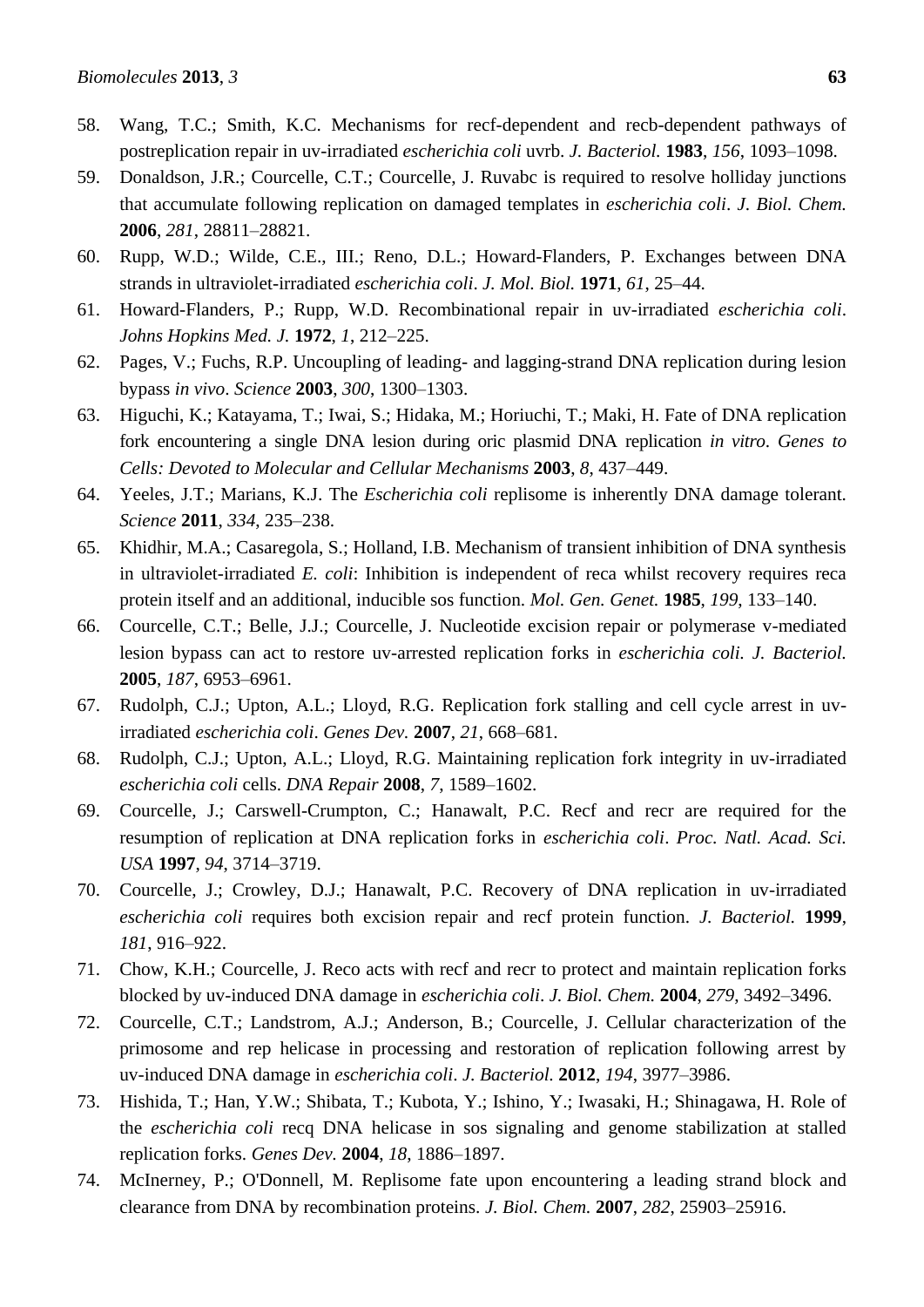- 58. Wang, T.C.; Smith, K.C. Mechanisms for recf-dependent and recb-dependent pathways of postreplication repair in uv-irradiated *escherichia coli* uvrb. *J. Bacteriol.* **1983**, *156*, 1093–1098.
- 59. Donaldson, J.R.; Courcelle, C.T.; Courcelle, J. Ruvabc is required to resolve holliday junctions that accumulate following replication on damaged templates in *escherichia coli*. *J. Biol. Chem.*  **2006**, *281*, 28811–28821.
- 60. Rupp, W.D.; Wilde, C.E., III.; Reno, D.L.; Howard-Flanders, P. Exchanges between DNA strands in ultraviolet-irradiated *escherichia coli*. *J. Mol. Biol.* **1971**, *61*, 25–44.
- 61. Howard-Flanders, P.; Rupp, W.D. Recombinational repair in uv-irradiated *escherichia coli*. *Johns Hopkins Med. J.* **1972**, *1*, 212–225.
- <span id="page-24-0"></span>62. Pages, V.; Fuchs, R.P. Uncoupling of leading- and lagging-strand DNA replication during lesion bypass *in vivo*. *Science* **2003**, *300*, 1300–1303.
- <span id="page-24-1"></span>63. Higuchi, K.; Katayama, T.; Iwai, S.; Hidaka, M.; Horiuchi, T.; Maki, H. Fate of DNA replication fork encountering a single DNA lesion during oric plasmid DNA replication *in vitro*. *Genes to Cells: Devoted to Molecular and Cellular Mechanisms* **2003**, *8*, 437–449.
- <span id="page-24-2"></span>64. Yeeles, J.T.; Marians, K.J. The *Escherichia coli* replisome is inherently DNA damage tolerant. *Science* **2011**, *334*, 235–238.
- 65. Khidhir, M.A.; Casaregola, S.; Holland, I.B. Mechanism of transient inhibition of DNA synthesis in ultraviolet-irradiated *E. coli*: Inhibition is independent of reca whilst recovery requires reca protein itself and an additional, inducible sos function. *Mol. Gen. Genet.* **1985**, *199*, 133–140.
- <span id="page-24-7"></span>66. Courcelle, C.T.; Belle, J.J.; Courcelle, J. Nucleotide excision repair or polymerase v-mediated lesion bypass can act to restore uv-arrested replication forks in *escherichia coli. J. Bacteriol.*  **2005**, *187*, 6953–6961.
- 67. Rudolph, C.J.; Upton, A.L.; Lloyd, R.G. Replication fork stalling and cell cycle arrest in uvirradiated *escherichia coli*. *Genes Dev.* **2007**, *21*, 668–681.
- <span id="page-24-5"></span>68. Rudolph, C.J.; Upton, A.L.; Lloyd, R.G. Maintaining replication fork integrity in uv-irradiated *escherichia coli* cells. *DNA Repair* **2008**, *7*, 1589–1602.
- 69. Courcelle, J.; Carswell-Crumpton, C.; Hanawalt, P.C. Recf and recr are required for the resumption of replication at DNA replication forks in *escherichia coli*. *Proc. Natl. Acad. Sci. USA* **1997**, *94*, 3714–3719.
- 70. Courcelle, J.; Crowley, D.J.; Hanawalt, P.C. Recovery of DNA replication in uv-irradiated *escherichia coli* requires both excision repair and recf protein function. *J. Bacteriol.* **1999**, *181*, 916–922.
- 71. Chow, K.H.; Courcelle, J. Reco acts with recf and recr to protect and maintain replication forks blocked by uv-induced DNA damage in *escherichia coli*. *J. Biol. Chem.* **2004**, *279*, 3492–3496.
- <span id="page-24-4"></span>72. Courcelle, C.T.; Landstrom, A.J.; Anderson, B.; Courcelle, J. Cellular characterization of the primosome and rep helicase in processing and restoration of replication following arrest by uv-induced DNA damage in *escherichia coli*. *J. Bacteriol.* **2012**, *194*, 3977–3986.
- <span id="page-24-3"></span>73. Hishida, T.; Han, Y.W.; Shibata, T.; Kubota, Y.; Ishino, Y.; Iwasaki, H.; Shinagawa, H. Role of the *escherichia coli* recq DNA helicase in sos signaling and genome stabilization at stalled replication forks. *Genes Dev.* **2004**, *18*, 1886–1897.
- <span id="page-24-6"></span>74. McInerney, P.; O'Donnell, M. Replisome fate upon encountering a leading strand block and clearance from DNA by recombination proteins. *J. Biol. Chem.* **2007**, *282*, 25903–25916.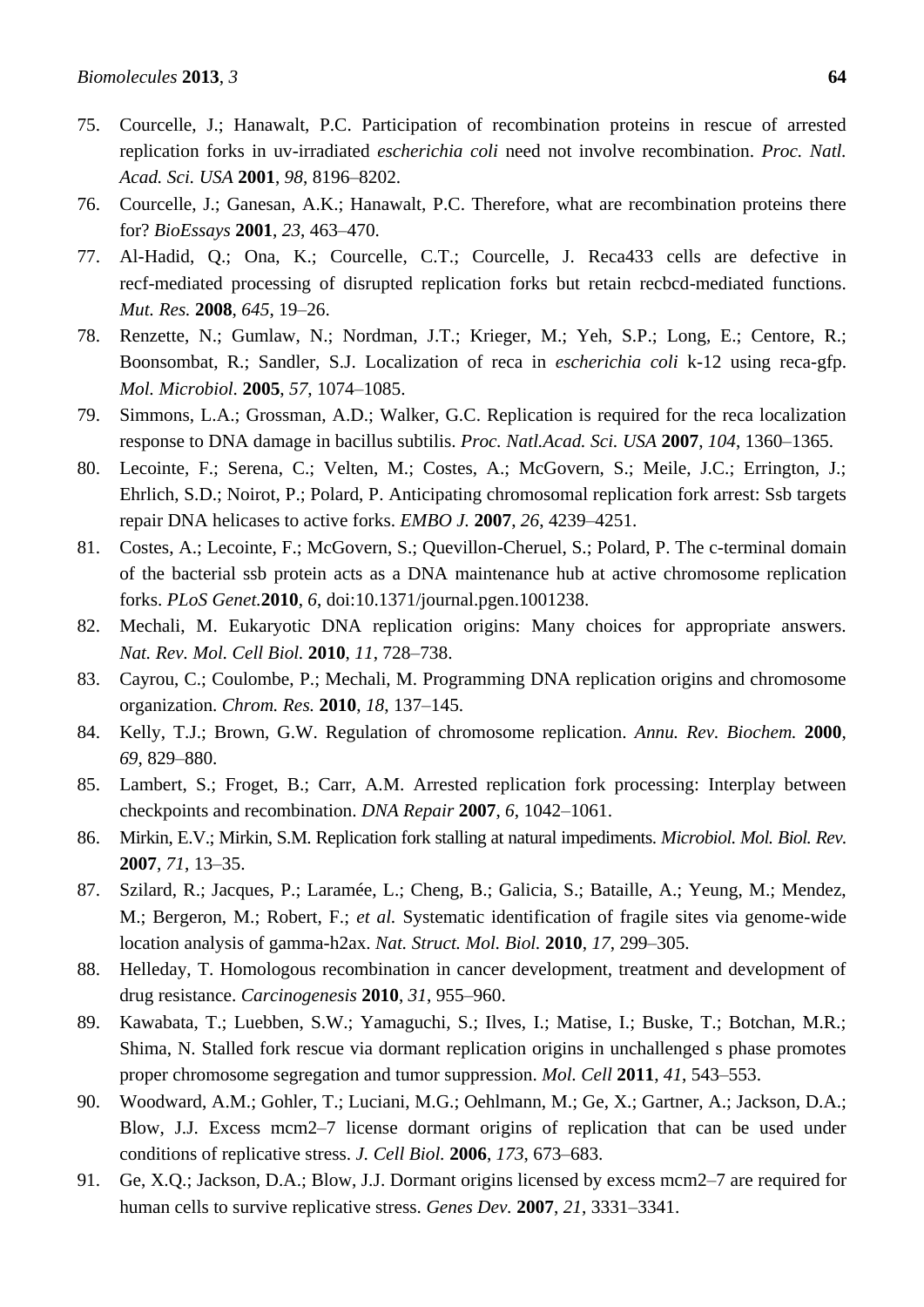- <span id="page-25-0"></span>75. Courcelle, J.; Hanawalt, P.C. Participation of recombination proteins in rescue of arrested replication forks in uv-irradiated *escherichia coli* need not involve recombination. *Proc. Natl. Acad. Sci. USA* **2001**, *98*, 8196–8202.
- <span id="page-25-1"></span>76. Courcelle, J.; Ganesan, A.K.; Hanawalt, P.C. Therefore, what are recombination proteins there for? *BioEssays* **2001**, *23*, 463–470.
- <span id="page-25-2"></span>77. Al-Hadid, Q.; Ona, K.; Courcelle, C.T.; Courcelle, J. Reca433 cells are defective in recf-mediated processing of disrupted replication forks but retain recbcd-mediated functions. *Mut. Res.* **2008**, *645*, 19–26.
- <span id="page-25-3"></span>78. Renzette, N.; Gumlaw, N.; Nordman, J.T.; Krieger, M.; Yeh, S.P.; Long, E.; Centore, R.; Boonsombat, R.; Sandler, S.J. Localization of reca in *escherichia coli* k-12 using reca-gfp. *Mol. Microbiol.* **2005**, *57*, 1074–1085.
- <span id="page-25-4"></span>79. Simmons, L.A.; Grossman, A.D.; Walker, G.C. Replication is required for the reca localization response to DNA damage in bacillus subtilis. *Proc. Natl.Acad. Sci. USA* **2007**, *104*, 1360–1365.
- <span id="page-25-5"></span>80. Lecointe, F.; Serena, C.; Velten, M.; Costes, A.; McGovern, S.; Meile, J.C.; Errington, J.; Ehrlich, S.D.; Noirot, P.; Polard, P. Anticipating chromosomal replication fork arrest: Ssb targets repair DNA helicases to active forks. *EMBO J.* **2007**, *26*, 4239–4251.
- <span id="page-25-6"></span>81. Costes, A.; Lecointe, F.; McGovern, S.; Quevillon-Cheruel, S.; Polard, P. The c-terminal domain of the bacterial ssb protein acts as a DNA maintenance hub at active chromosome replication forks. *PLoS Genet.***2010**, *6*, doi:10.1371/journal.pgen.1001238.
- 82. Mechali, M. Eukaryotic DNA replication origins: Many choices for appropriate answers. *Nat. Rev. Mol. Cell Biol.* **2010**, *11*, 728–738.
- 83. Cayrou, C.; Coulombe, P.; Mechali, M. Programming DNA replication origins and chromosome organization. *Chrom. Res.* **2010**, *18*, 137–145.
- 84. Kelly, T.J.; Brown, G.W. Regulation of chromosome replication. *Annu. Rev. Biochem.* **2000**, *69*, 829–880.
- 85. Lambert, S.; Froget, B.; Carr, A.M. Arrested replication fork processing: Interplay between checkpoints and recombination. *DNA Repair* **2007**, *6*, 1042–1061.
- 86. Mirkin, E.V.; Mirkin, S.M. Replication fork stalling at natural impediments. *Microbiol. Mol. Biol. Rev.* **2007**, *71*, 13–35.
- 87. Szilard, R.; Jacques, P.; Laramée, L.; Cheng, B.; Galicia, S.; Bataille, A.; Yeung, M.; Mendez, M.; Bergeron, M.; Robert, F.; *et al.* Systematic identification of fragile sites via genome-wide location analysis of gamma-h2ax. *Nat. Struct. Mol. Biol.* **2010**, *17*, 299–305.
- 88. Helleday, T. Homologous recombination in cancer development, treatment and development of drug resistance. *Carcinogenesis* **2010**, *31*, 955–960.
- 89. Kawabata, T.; Luebben, S.W.; Yamaguchi, S.; Ilves, I.; Matise, I.; Buske, T.; Botchan, M.R.; Shima, N. Stalled fork rescue via dormant replication origins in unchallenged s phase promotes proper chromosome segregation and tumor suppression. *Mol. Cell* **2011**, *41*, 543–553.
- 90. Woodward, A.M.; Gohler, T.; Luciani, M.G.; Oehlmann, M.; Ge, X.; Gartner, A.; Jackson, D.A.; Blow, J.J. Excess mcm2–7 license dormant origins of replication that can be used under conditions of replicative stress. *J. Cell Biol.* **2006**, *173*, 673–683.
- 91. Ge, X.Q.; Jackson, D.A.; Blow, J.J. Dormant origins licensed by excess mcm2–7 are required for human cells to survive replicative stress. *Genes Dev.* **2007**, *21*, 3331–3341.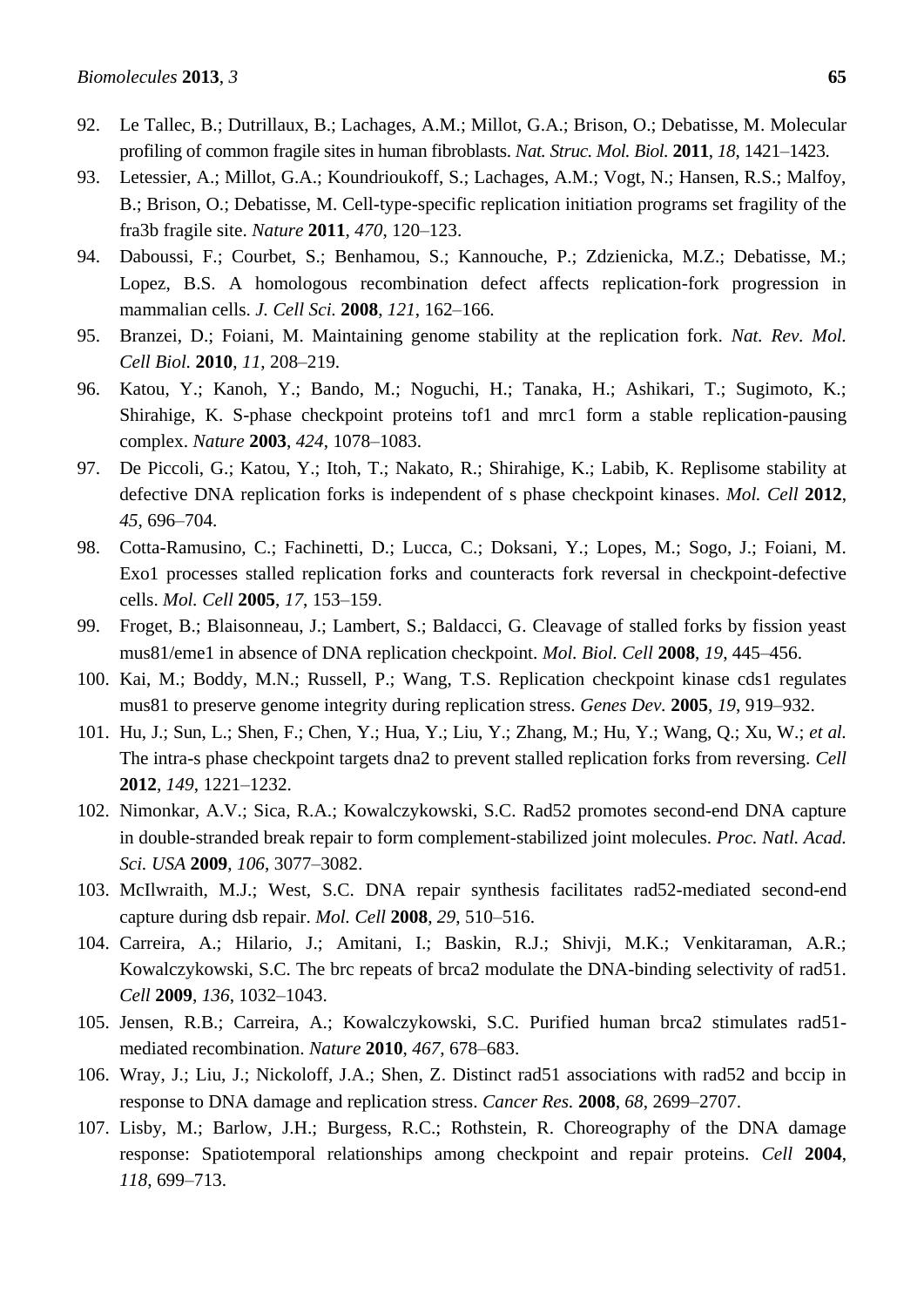- <span id="page-26-0"></span>92. Le Tallec, B.; Dutrillaux, B.; Lachages, A.M.; Millot, G.A.; Brison, O.; Debatisse, M. Molecular profiling of common fragile sites in human fibroblasts. *Nat. Struc. Mol. Biol.* **2011**, *18*, 1421–1423.
- <span id="page-26-1"></span>93. Letessier, A.; Millot, G.A.; Koundrioukoff, S.; Lachages, A.M.; Vogt, N.; Hansen, R.S.; Malfoy, B.; Brison, O.; Debatisse, M. Cell-type-specific replication initiation programs set fragility of the fra3b fragile site. *Nature* **2011**, *470*, 120–123.
- <span id="page-26-2"></span>94. Daboussi, F.; Courbet, S.; Benhamou, S.; Kannouche, P.; Zdzienicka, M.Z.; Debatisse, M.; Lopez, B.S. A homologous recombination defect affects replication-fork progression in mammalian cells. *J. Cell Sci.* **2008**, *121*, 162–166.
- 95. Branzei, D.; Foiani, M. Maintaining genome stability at the replication fork. *Nat. Rev. Mol. Cell Biol.* **2010**, *11*, 208–219.
- 96. Katou, Y.; Kanoh, Y.; Bando, M.; Noguchi, H.; Tanaka, H.; Ashikari, T.; Sugimoto, K.; Shirahige, K. S-phase checkpoint proteins tof1 and mrc1 form a stable replication-pausing complex. *Nature* **2003**, *424*, 1078–1083.
- 97. De Piccoli, G.; Katou, Y.; Itoh, T.; Nakato, R.; Shirahige, K.; Labib, K. Replisome stability at defective DNA replication forks is independent of s phase checkpoint kinases. *Mol. Cell* **2012**, *45*, 696–704.
- 98. Cotta-Ramusino, C.; Fachinetti, D.; Lucca, C.; Doksani, Y.; Lopes, M.; Sogo, J.; Foiani, M. Exo1 processes stalled replication forks and counteracts fork reversal in checkpoint-defective cells. *Mol. Cell* **2005**, *17*, 153–159.
- <span id="page-26-9"></span>99. Froget, B.; Blaisonneau, J.; Lambert, S.; Baldacci, G. Cleavage of stalled forks by fission yeast mus81/eme1 in absence of DNA replication checkpoint. *Mol. Biol. Cell* **2008**, *19*, 445–456.
- <span id="page-26-10"></span>100. Kai, M.; Boddy, M.N.; Russell, P.; Wang, T.S. Replication checkpoint kinase cds1 regulates mus81 to preserve genome integrity during replication stress. *Genes Dev.* **2005**, *19*, 919–932.
- 101. Hu, J.; Sun, L.; Shen, F.; Chen, Y.; Hua, Y.; Liu, Y.; Zhang, M.; Hu, Y.; Wang, Q.; Xu, W.; *et al.* The intra-s phase checkpoint targets dna2 to prevent stalled replication forks from reversing. *Cell* **2012**, *149*, 1221–1232.
- <span id="page-26-3"></span>102. Nimonkar, A.V.; Sica, R.A.; Kowalczykowski, S.C. Rad52 promotes second-end DNA capture in double-stranded break repair to form complement-stabilized joint molecules. *Proc. Natl. Acad. Sci. USA* **2009**, *106*, 3077–3082.
- <span id="page-26-4"></span>103. McIlwraith, M.J.; West, S.C. DNA repair synthesis facilitates rad52-mediated second-end capture during dsb repair. *Mol. Cell* **2008**, *29*, 510–516.
- <span id="page-26-5"></span>104. Carreira, A.; Hilario, J.; Amitani, I.; Baskin, R.J.; Shivji, M.K.; Venkitaraman, A.R.; Kowalczykowski, S.C. The brc repeats of brca2 modulate the DNA-binding selectivity of rad51. *Cell* **2009**, *136*, 1032–1043.
- <span id="page-26-6"></span>105. Jensen, R.B.; Carreira, A.; Kowalczykowski, S.C. Purified human brca2 stimulates rad51 mediated recombination. *Nature* **2010**, *467*, 678–683.
- <span id="page-26-7"></span>106. Wray, J.; Liu, J.; Nickoloff, J.A.; Shen, Z. Distinct rad51 associations with rad52 and bccip in response to DNA damage and replication stress. *Cancer Res.* **2008**, *68*, 2699–2707.
- <span id="page-26-8"></span>107. Lisby, M.; Barlow, J.H.; Burgess, R.C.; Rothstein, R. Choreography of the DNA damage response: Spatiotemporal relationships among checkpoint and repair proteins. *Cell* **2004**, *118*, 699–713.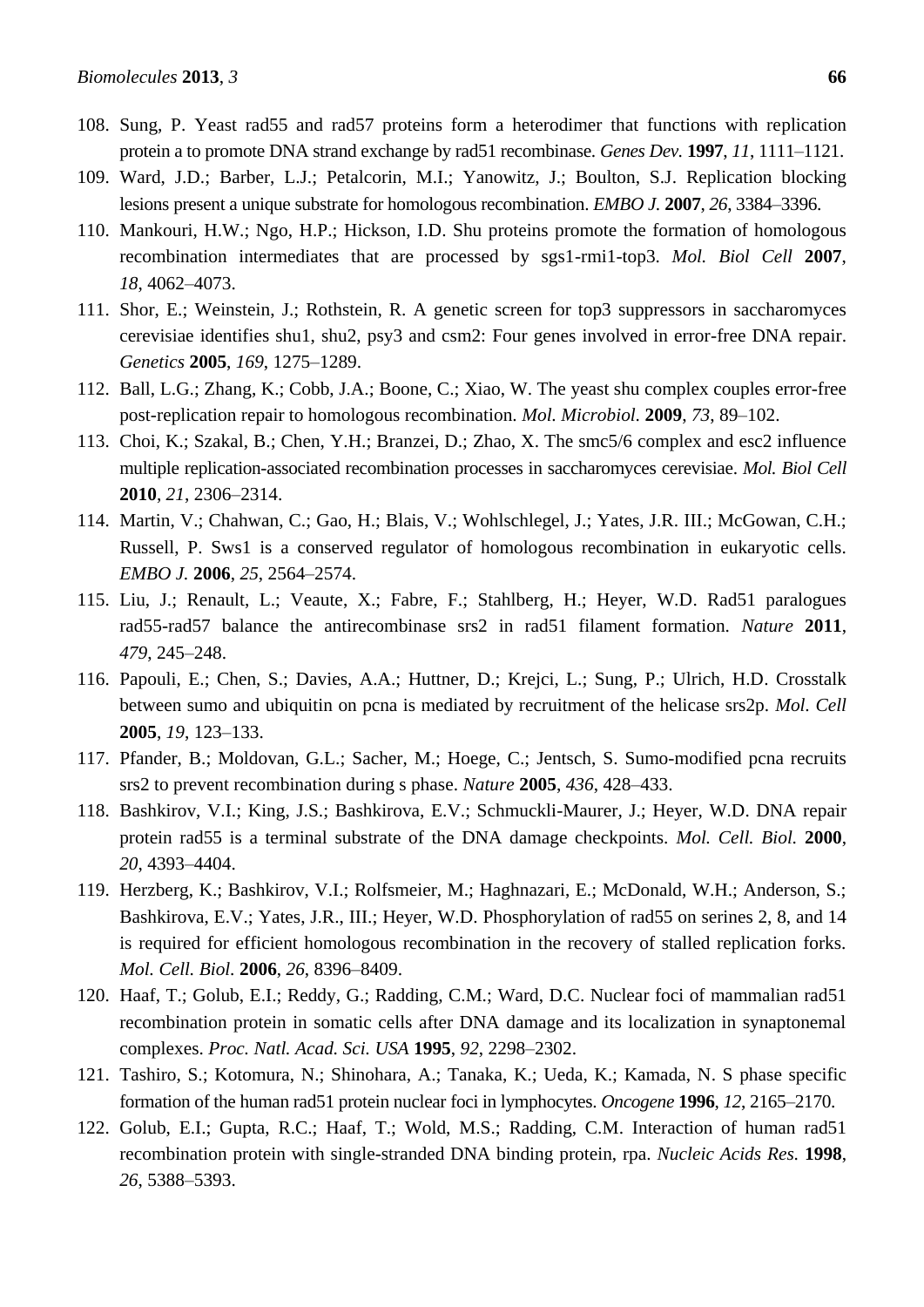- <span id="page-27-0"></span>108. Sung, P. Yeast rad55 and rad57 proteins form a heterodimer that functions with replication protein a to promote DNA strand exchange by rad51 recombinase. *Genes Dev.* **1997**, *11*, 1111–1121.
- <span id="page-27-1"></span>109. Ward, J.D.; Barber, L.J.; Petalcorin, M.I.; Yanowitz, J.; Boulton, S.J. Replication blocking lesions present a unique substrate for homologous recombination. *EMBO J.* **2007**, *26*, 3384–3396.
- 110. Mankouri, H.W.; Ngo, H.P.; Hickson, I.D. Shu proteins promote the formation of homologous recombination intermediates that are processed by sgs1-rmi1-top3. *Mol. Biol Cell* **2007**, *18*, 4062–4073.
- 111. Shor, E.; Weinstein, J.; Rothstein, R. A genetic screen for top3 suppressors in saccharomyces cerevisiae identifies shu1, shu2, psy3 and csm2: Four genes involved in error-free DNA repair. *Genetics* **2005**, *169*, 1275–1289.
- 112. Ball, L.G.; Zhang, K.; Cobb, J.A.; Boone, C.; Xiao, W. The yeast shu complex couples error-free post-replication repair to homologous recombination. *Mol. Microbiol.* **2009**, *73*, 89–102.
- 113. Choi, K.; Szakal, B.; Chen, Y.H.; Branzei, D.; Zhao, X. The smc5/6 complex and esc2 influence multiple replication-associated recombination processes in saccharomyces cerevisiae. *Mol. Biol Cell* **2010**, *21*, 2306–2314.
- <span id="page-27-2"></span>114. Martin, V.; Chahwan, C.; Gao, H.; Blais, V.; Wohlschlegel, J.; Yates, J.R. III.; McGowan, C.H.; Russell, P. Sws1 is a conserved regulator of homologous recombination in eukaryotic cells. *EMBO J.* **2006**, *25*, 2564–2574.
- <span id="page-27-3"></span>115. Liu, J.; Renault, L.; Veaute, X.; Fabre, F.; Stahlberg, H.; Heyer, W.D. Rad51 paralogues rad55-rad57 balance the antirecombinase srs2 in rad51 filament formation. *Nature* **2011**, *479*, 245–248.
- <span id="page-27-4"></span>116. Papouli, E.; Chen, S.; Davies, A.A.; Huttner, D.; Krejci, L.; Sung, P.; Ulrich, H.D. Crosstalk between sumo and ubiquitin on pcna is mediated by recruitment of the helicase srs2p. *Mol. Cell*  **2005**, *19*, 123–133.
- <span id="page-27-5"></span>117. Pfander, B.; Moldovan, G.L.; Sacher, M.; Hoege, C.; Jentsch, S. Sumo-modified pcna recruits srs2 to prevent recombination during s phase. *Nature* **2005**, *436*, 428–433.
- <span id="page-27-6"></span>118. Bashkirov, V.I.; King, J.S.; Bashkirova, E.V.; Schmuckli-Maurer, J.; Heyer, W.D. DNA repair protein rad55 is a terminal substrate of the DNA damage checkpoints. *Mol. Cell. Biol.* **2000**, *20*, 4393–4404.
- <span id="page-27-7"></span>119. Herzberg, K.; Bashkirov, V.I.; Rolfsmeier, M.; Haghnazari, E.; McDonald, W.H.; Anderson, S.; Bashkirova, E.V.; Yates, J.R., III.; Heyer, W.D. Phosphorylation of rad55 on serines 2, 8, and 14 is required for efficient homologous recombination in the recovery of stalled replication forks. *Mol. Cell. Biol.* **2006**, *26*, 8396–8409.
- 120. Haaf, T.; Golub, E.I.; Reddy, G.; Radding, C.M.; Ward, D.C. Nuclear foci of mammalian rad51 recombination protein in somatic cells after DNA damage and its localization in synaptonemal complexes. *Proc. Natl. Acad. Sci. USA* **1995**, *92*, 2298–2302.
- 121. Tashiro, S.; Kotomura, N.; Shinohara, A.; Tanaka, K.; Ueda, K.; Kamada, N. S phase specific formation of the human rad51 protein nuclear foci in lymphocytes. *Oncogene* **1996**, *12*, 2165–2170.
- 122. Golub, E.I.; Gupta, R.C.; Haaf, T.; Wold, M.S.; Radding, C.M. Interaction of human rad51 recombination protein with single-stranded DNA binding protein, rpa. *Nucleic Acids Res.* **1998**, *26*, 5388–5393.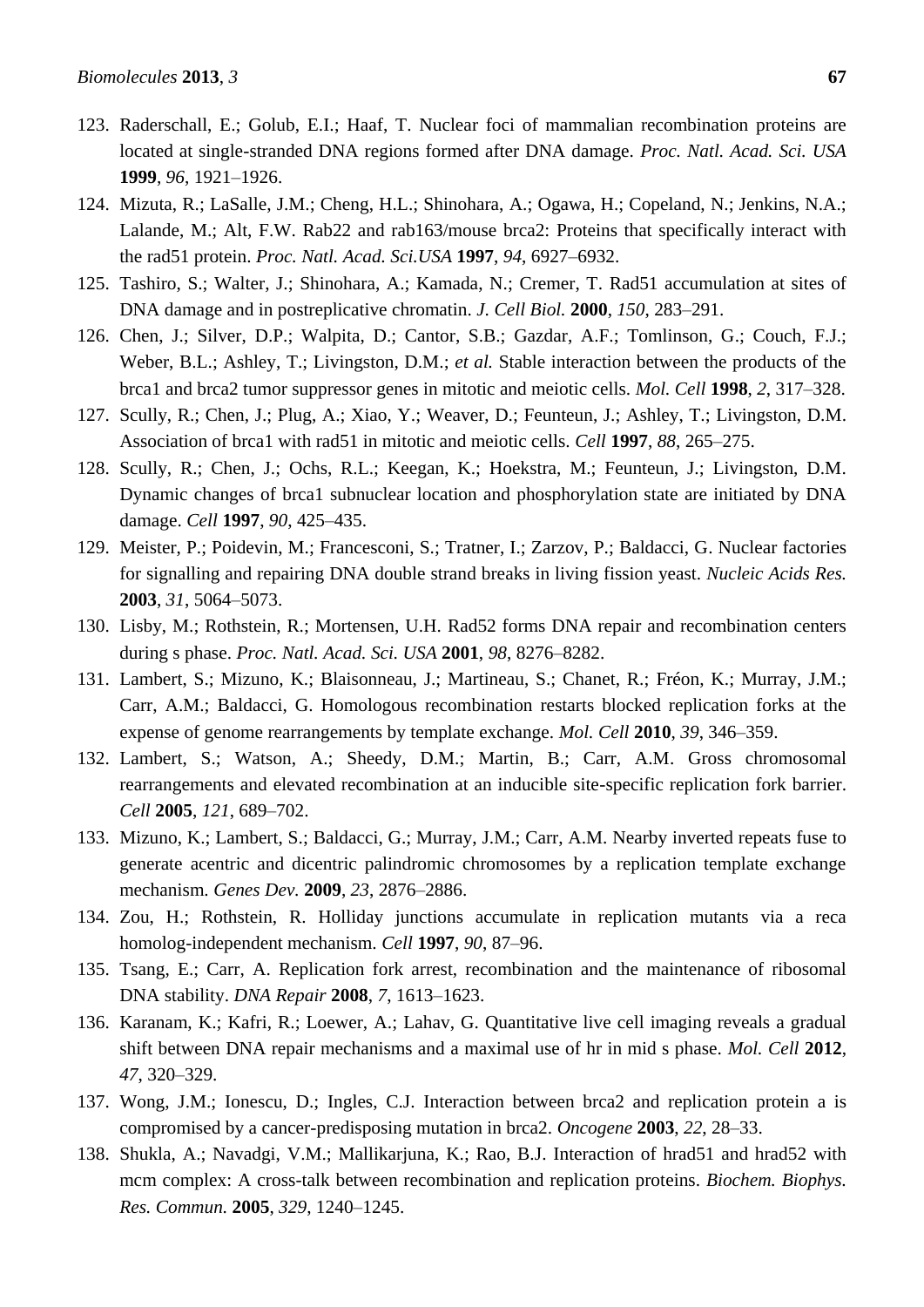- 123. Raderschall, E.; Golub, E.I.; Haaf, T. Nuclear foci of mammalian recombination proteins are located at single-stranded DNA regions formed after DNA damage. *Proc. Natl. Acad. Sci. USA*  **1999**, *96*, 1921–1926.
- 124. Mizuta, R.; LaSalle, J.M.; Cheng, H.L.; Shinohara, A.; Ogawa, H.; Copeland, N.; Jenkins, N.A.; Lalande, M.; Alt, F.W. Rab22 and rab163/mouse brca2: Proteins that specifically interact with the rad51 protein. *Proc. Natl. Acad. Sci.USA* **1997**, *94*, 6927–6932.
- <span id="page-28-0"></span>125. Tashiro, S.; Walter, J.; Shinohara, A.; Kamada, N.; Cremer, T. Rad51 accumulation at sites of DNA damage and in postreplicative chromatin. *J. Cell Biol.* **2000**, *150*, 283–291.
- 126. Chen, J.; Silver, D.P.; Walpita, D.; Cantor, S.B.; Gazdar, A.F.; Tomlinson, G.; Couch, F.J.; Weber, B.L.; Ashley, T.; Livingston, D.M.; *et al.* Stable interaction between the products of the brca1 and brca2 tumor suppressor genes in mitotic and meiotic cells. *Mol. Cell* **1998**, *2*, 317–328.
- 127. Scully, R.; Chen, J.; Plug, A.; Xiao, Y.; Weaver, D.; Feunteun, J.; Ashley, T.; Livingston, D.M. Association of brca1 with rad51 in mitotic and meiotic cells. *Cell* **1997**, *88*, 265–275.
- 128. Scully, R.; Chen, J.; Ochs, R.L.; Keegan, K.; Hoekstra, M.; Feunteun, J.; Livingston, D.M. Dynamic changes of brca1 subnuclear location and phosphorylation state are initiated by DNA damage. *Cell* **1997**, *90*, 425–435.
- <span id="page-28-1"></span>129. Meister, P.; Poidevin, M.; Francesconi, S.; Tratner, I.; Zarzov, P.; Baldacci, G. Nuclear factories for signalling and repairing DNA double strand breaks in living fission yeast. *Nucleic Acids Res.*  **2003**, *31*, 5064–5073.
- <span id="page-28-2"></span>130. Lisby, M.; Rothstein, R.; Mortensen, U.H. Rad52 forms DNA repair and recombination centers during s phase. *Proc. Natl. Acad. Sci. USA* **2001**, *98*, 8276–8282.
- <span id="page-28-8"></span>131. Lambert, S.; Mizuno, K.; Blaisonneau, J.; Martineau, S.; Chanet, R.; Fréon, K.; Murray, J.M.; Carr, A.M.; Baldacci, G. Homologous recombination restarts blocked replication forks at the expense of genome rearrangements by template exchange. *Mol. Cell* **2010**, *39*, 346–359.
- <span id="page-28-9"></span>132. Lambert, S.; Watson, A.; Sheedy, D.M.; Martin, B.; Carr, A.M. Gross chromosomal rearrangements and elevated recombination at an inducible site-specific replication fork barrier. *Cell* **2005**, *121*, 689–702.
- 133. Mizuno, K.; Lambert, S.; Baldacci, G.; Murray, J.M.; Carr, A.M. Nearby inverted repeats fuse to generate acentric and dicentric palindromic chromosomes by a replication template exchange mechanism. *Genes Dev.* **2009**, *23*, 2876–2886.
- <span id="page-28-3"></span>134. Zou, H.; Rothstein, R. Holliday junctions accumulate in replication mutants via a reca homolog-independent mechanism. *Cell* **1997**, *90*, 87–96.
- <span id="page-28-4"></span>135. Tsang, E.; Carr, A. Replication fork arrest, recombination and the maintenance of ribosomal DNA stability. *DNA Repair* **2008**, *7*, 1613–1623.
- <span id="page-28-5"></span>136. Karanam, K.; Kafri, R.; Loewer, A.; Lahav, G. Quantitative live cell imaging reveals a gradual shift between DNA repair mechanisms and a maximal use of hr in mid s phase. *Mol. Cell* **2012**, *47*, 320–329.
- <span id="page-28-6"></span>137. Wong, J.M.; Ionescu, D.; Ingles, C.J. Interaction between brca2 and replication protein a is compromised by a cancer-predisposing mutation in brca2. *Oncogene* **2003**, *22*, 28–33.
- <span id="page-28-7"></span>138. Shukla, A.; Navadgi, V.M.; Mallikarjuna, K.; Rao, B.J. Interaction of hrad51 and hrad52 with mcm complex: A cross-talk between recombination and replication proteins. *Biochem. Biophys. Res. Commun.* **2005**, *329*, 1240–1245.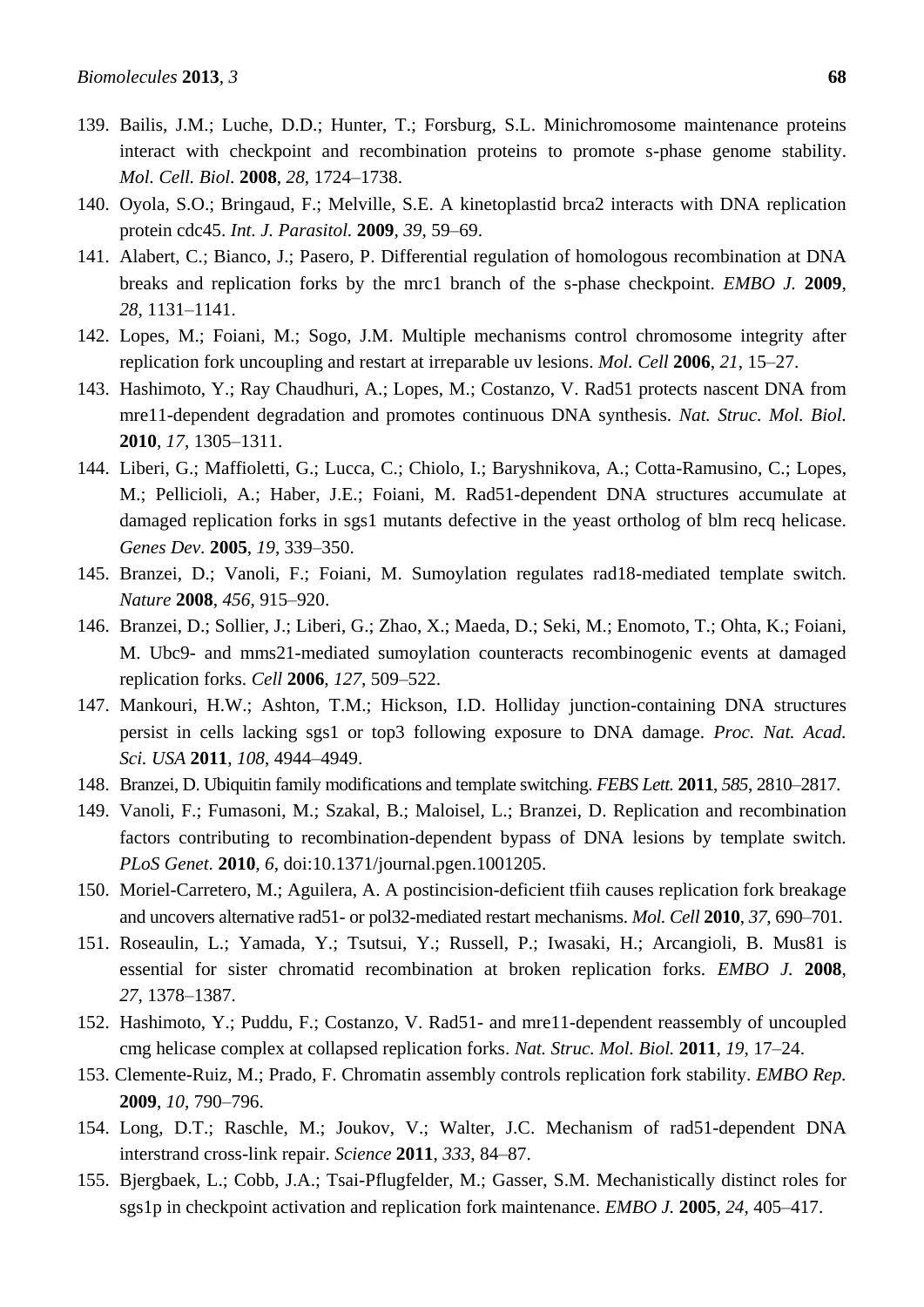- <span id="page-29-0"></span>139. Bailis, J.M.; Luche, D.D.; Hunter, T.; Forsburg, S.L. Minichromosome maintenance proteins interact with checkpoint and recombination proteins to promote s-phase genome stability. *Mol. Cell. Biol.* **2008**, *28*, 1724–1738.
- <span id="page-29-1"></span>140. Oyola, S.O.; Bringaud, F.; Melville, S.E. A kinetoplastid brca2 interacts with DNA replication protein cdc45. *Int. J. Parasitol.* **2009**, *39*, 59–69.
- <span id="page-29-2"></span>141. Alabert, C.; Bianco, J.; Pasero, P. Differential regulation of homologous recombination at DNA breaks and replication forks by the mrc1 branch of the s-phase checkpoint. *EMBO J.* **2009**, *28*, 1131–1141.
- <span id="page-29-3"></span>142. Lopes, M.; Foiani, M.; Sogo, J.M. Multiple mechanisms control chromosome integrity after replication fork uncoupling and restart at irreparable uv lesions. *Mol. Cell* **2006**, *21*, 15–27.
- <span id="page-29-4"></span>143. Hashimoto, Y.; Ray Chaudhuri, A.; Lopes, M.; Costanzo, V. Rad51 protects nascent DNA from mre11-dependent degradation and promotes continuous DNA synthesis. *Nat. Struc. Mol. Biol.*  **2010**, *17*, 1305–1311.
- <span id="page-29-5"></span>144. Liberi, G.; Maffioletti, G.; Lucca, C.; Chiolo, I.; Baryshnikova, A.; Cotta-Ramusino, C.; Lopes, M.; Pellicioli, A.; Haber, J.E.; Foiani, M. Rad51-dependent DNA structures accumulate at damaged replication forks in sgs1 mutants defective in the yeast ortholog of blm recq helicase. *Genes Dev.* **2005**, *19*, 339–350.
- <span id="page-29-6"></span>145. Branzei, D.; Vanoli, F.; Foiani, M. Sumoylation regulates rad18-mediated template switch. *Nature* **2008**, *456*, 915–920.
- <span id="page-29-7"></span>146. Branzei, D.; Sollier, J.; Liberi, G.; Zhao, X.; Maeda, D.; Seki, M.; Enomoto, T.; Ohta, K.; Foiani, M. Ubc9- and mms21-mediated sumoylation counteracts recombinogenic events at damaged replication forks. *Cell* **2006**, *127*, 509–522.
- <span id="page-29-8"></span>147. Mankouri, H.W.; Ashton, T.M.; Hickson, I.D. Holliday junction-containing DNA structures persist in cells lacking sgs1 or top3 following exposure to DNA damage. *Proc. Nat. Acad. Sci. USA* **2011**, *108*, 4944–4949.
- <span id="page-29-9"></span>148. Branzei, D. Ubiquitin family modifications and template switching. *FEBS Lett.* **2011**, *585*, 2810–2817.
- <span id="page-29-10"></span>149. Vanoli, F.; Fumasoni, M.; Szakal, B.; Maloisel, L.; Branzei, D. Replication and recombination factors contributing to recombination-dependent bypass of DNA lesions by template switch. *PLoS Genet.* **2010**, *6*, doi:10.1371/journal.pgen.1001205.
- <span id="page-29-12"></span>150. Moriel-Carretero, M.; Aguilera, A. A postincision-deficient tfiih causes replication fork breakage and uncovers alternative rad51- or pol32-mediated restart mechanisms. *Mol. Cell* **2010**, *37*, 690–701.
- 151. Roseaulin, L.; Yamada, Y.; Tsutsui, Y.; Russell, P.; Iwasaki, H.; Arcangioli, B. Mus81 is essential for sister chromatid recombination at broken replication forks. *EMBO J.* **2008**, *27*, 1378–1387.
- <span id="page-29-13"></span>152. Hashimoto, Y.; Puddu, F.; Costanzo, V. Rad51- and mre11-dependent reassembly of uncoupled cmg helicase complex at collapsed replication forks. *Nat. Struc. Mol. Biol.* **2011**, *19*, 17–24.
- 153. Clemente-Ruiz, M.; Prado, F. Chromatin assembly controls replication fork stability. *EMBO Rep.*  **2009**, *10*, 790–796.
- <span id="page-29-11"></span>154. Long, D.T.; Raschle, M.; Joukov, V.; Walter, J.C. Mechanism of rad51-dependent DNA interstrand cross-link repair. *Science* **2011**, *333*, 84–87.
- 155. Bjergbaek, L.; Cobb, J.A.; Tsai-Pflugfelder, M.; Gasser, S.M. Mechanistically distinct roles for sgs1p in checkpoint activation and replication fork maintenance. *EMBO J.* **2005**, *24*, 405–417.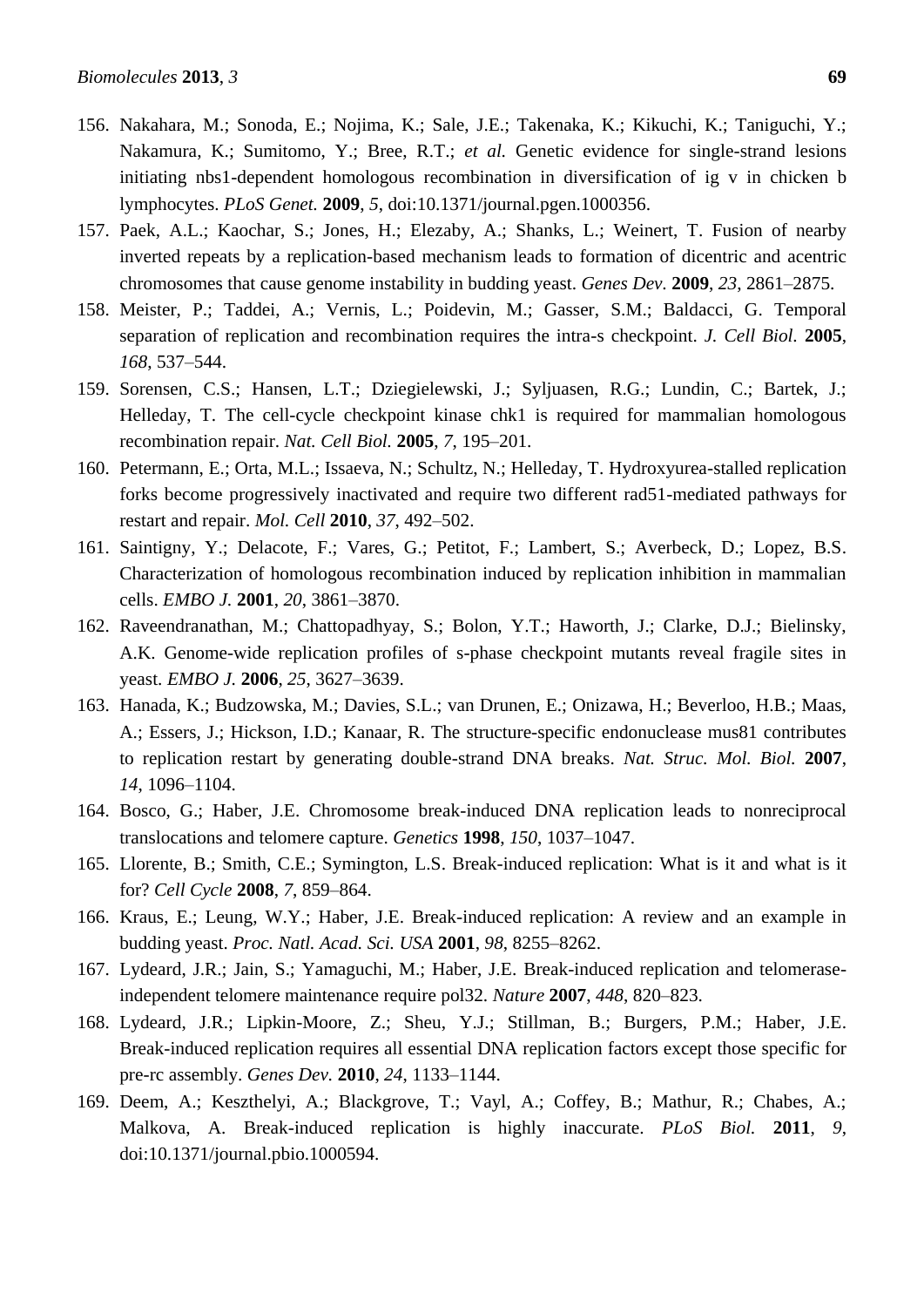- 156. Nakahara, M.; Sonoda, E.; Nojima, K.; Sale, J.E.; Takenaka, K.; Kikuchi, K.; Taniguchi, Y.; Nakamura, K.; Sumitomo, Y.; Bree, R.T.; *et al.* Genetic evidence for single-strand lesions initiating nbs1-dependent homologous recombination in diversification of ig v in chicken b lymphocytes. *PLoS Genet.* **2009**, *5*, doi:10.1371/journal.pgen.1000356.
- 157. Paek, A.L.; Kaochar, S.; Jones, H.; Elezaby, A.; Shanks, L.; Weinert, T. Fusion of nearby inverted repeats by a replication-based mechanism leads to formation of dicentric and acentric chromosomes that cause genome instability in budding yeast. *Genes Dev.* **2009**, *23*, 2861–2875.
- <span id="page-30-0"></span>158. Meister, P.; Taddei, A.; Vernis, L.; Poidevin, M.; Gasser, S.M.; Baldacci, G. Temporal separation of replication and recombination requires the intra-s checkpoint. *J. Cell Biol.* **2005**, *168*, 537–544.
- <span id="page-30-1"></span>159. Sorensen, C.S.; Hansen, L.T.; Dziegielewski, J.; Syljuasen, R.G.; Lundin, C.; Bartek, J.; Helleday, T. The cell-cycle checkpoint kinase chk1 is required for mammalian homologous recombination repair. *Nat. Cell Biol.* **2005**, *7*, 195–201.
- <span id="page-30-2"></span>160. Petermann, E.; Orta, M.L.; Issaeva, N.; Schultz, N.; Helleday, T. Hydroxyurea-stalled replication forks become progressively inactivated and require two different rad51-mediated pathways for restart and repair. *Mol. Cell* **2010**, *37*, 492–502.
- 161. Saintigny, Y.; Delacote, F.; Vares, G.; Petitot, F.; Lambert, S.; Averbeck, D.; Lopez, B.S. Characterization of homologous recombination induced by replication inhibition in mammalian cells. *EMBO J.* **2001**, *20*, 3861–3870.
- 162. Raveendranathan, M.; Chattopadhyay, S.; Bolon, Y.T.; Haworth, J.; Clarke, D.J.; Bielinsky, A.K. Genome-wide replication profiles of s-phase checkpoint mutants reveal fragile sites in yeast. *EMBO J.* **2006**, *25*, 3627–3639.
- <span id="page-30-3"></span>163. Hanada, K.; Budzowska, M.; Davies, S.L.; van Drunen, E.; Onizawa, H.; Beverloo, H.B.; Maas, A.; Essers, J.; Hickson, I.D.; Kanaar, R. The structure-specific endonuclease mus81 contributes to replication restart by generating double-strand DNA breaks. *Nat. Struc. Mol. Biol.* **2007**, *14*, 1096–1104.
- <span id="page-30-4"></span>164. Bosco, G.; Haber, J.E. Chromosome break-induced DNA replication leads to nonreciprocal translocations and telomere capture. *Genetics* **1998**, *150*, 1037–1047.
- <span id="page-30-5"></span>165. Llorente, B.; Smith, C.E.; Symington, L.S. Break-induced replication: What is it and what is it for? *Cell Cycle* **2008**, *7*, 859–864.
- <span id="page-30-6"></span>166. Kraus, E.; Leung, W.Y.; Haber, J.E. Break-induced replication: A review and an example in budding yeast. *Proc. Natl. Acad. Sci. USA* **2001**, *98*, 8255–8262.
- <span id="page-30-7"></span>167. Lydeard, J.R.; Jain, S.; Yamaguchi, M.; Haber, J.E. Break-induced replication and telomeraseindependent telomere maintenance require pol32. *Nature* **2007**, *448*, 820–823.
- <span id="page-30-8"></span>168. Lydeard, J.R.; Lipkin-Moore, Z.; Sheu, Y.J.; Stillman, B.; Burgers, P.M.; Haber, J.E. Break-induced replication requires all essential DNA replication factors except those specific for pre-rc assembly. *Genes Dev.* **2010**, *24*, 1133–1144.
- <span id="page-30-9"></span>169. Deem, A.; Keszthelyi, A.; Blackgrove, T.; Vayl, A.; Coffey, B.; Mathur, R.; Chabes, A.; Malkova, A. Break-induced replication is highly inaccurate. *PLoS Biol.* **2011**, *9*, doi:10.1371/journal.pbio.1000594.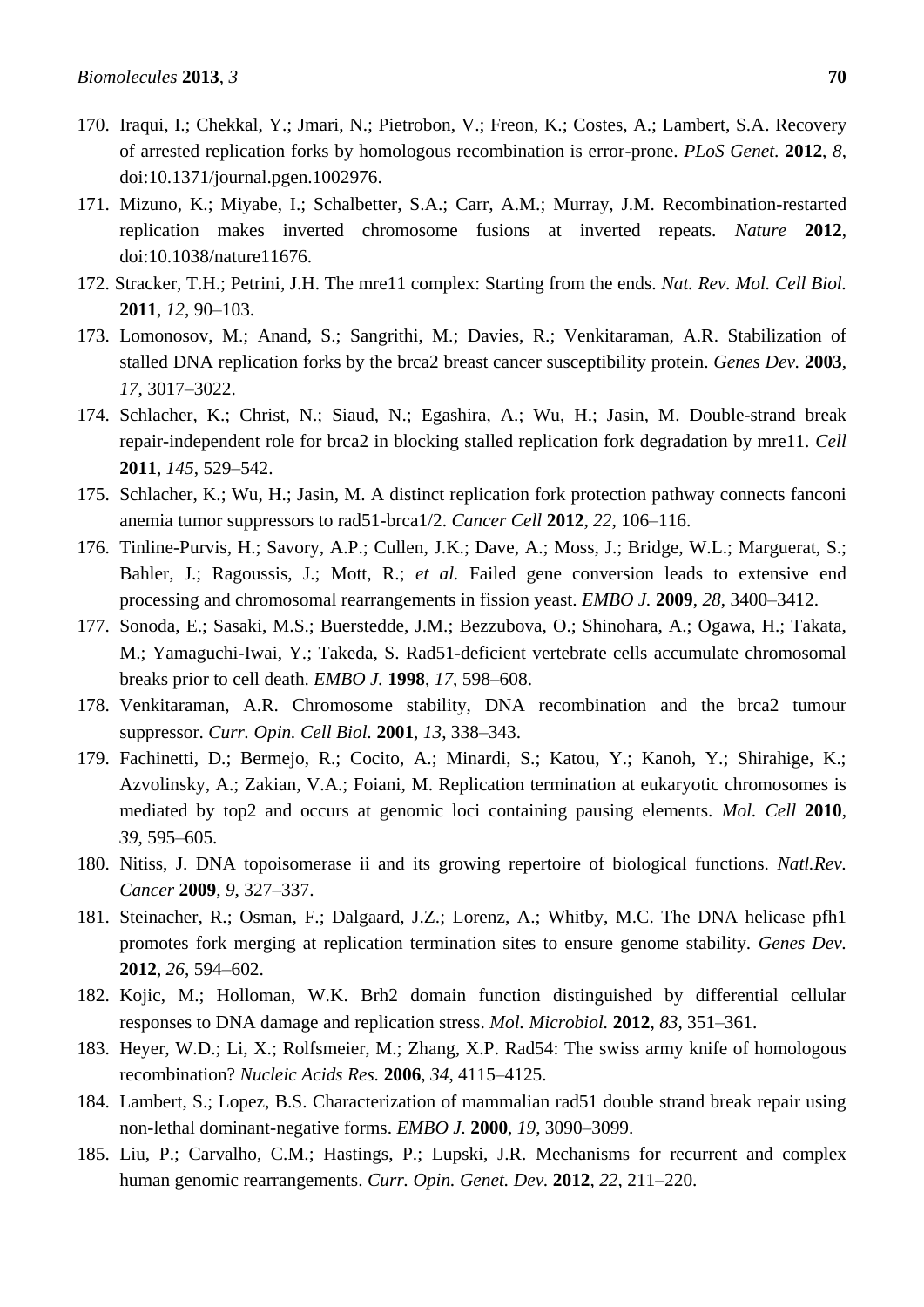- <span id="page-31-0"></span>170. Iraqui, I.; Chekkal, Y.; Jmari, N.; Pietrobon, V.; Freon, K.; Costes, A.; Lambert, S.A. Recovery of arrested replication forks by homologous recombination is error-prone. *PLoS Genet.* **2012**, *8*, doi:10.1371/journal.pgen.1002976.
- <span id="page-31-1"></span>171. Mizuno, K.; Miyabe, I.; Schalbetter, S.A.; Carr, A.M.; Murray, J.M. Recombination-restarted replication makes inverted chromosome fusions at inverted repeats. *Nature* **2012**, doi:10.1038/nature11676.
- <span id="page-31-2"></span>172. Stracker, T.H.; Petrini, J.H. The mre11 complex: Starting from the ends. *Nat. Rev. Mol. Cell Biol.*  **2011**, *12*, 90–103.
- <span id="page-31-3"></span>173. Lomonosov, M.; Anand, S.; Sangrithi, M.; Davies, R.; Venkitaraman, A.R. Stabilization of stalled DNA replication forks by the brca2 breast cancer susceptibility protein. *Genes Dev.* **2003**, *17*, 3017–3022.
- <span id="page-31-4"></span>174. Schlacher, K.; Christ, N.; Siaud, N.; Egashira, A.; Wu, H.; Jasin, M. Double-strand break repair-independent role for brca2 in blocking stalled replication fork degradation by mre11. *Cell* **2011**, *145*, 529–542.
- <span id="page-31-5"></span>175. Schlacher, K.; Wu, H.; Jasin, M. A distinct replication fork protection pathway connects fanconi anemia tumor suppressors to rad51-brca1/2. *Cancer Cell* **2012**, *22*, 106–116.
- <span id="page-31-6"></span>176. Tinline-Purvis, H.; Savory, A.P.; Cullen, J.K.; Dave, A.; Moss, J.; Bridge, W.L.; Marguerat, S.; Bahler, J.; Ragoussis, J.; Mott, R.; *et al.* Failed gene conversion leads to extensive end processing and chromosomal rearrangements in fission yeast. *EMBO J.* **2009**, *28*, 3400–3412.
- <span id="page-31-7"></span>177. Sonoda, E.; Sasaki, M.S.; Buerstedde, J.M.; Bezzubova, O.; Shinohara, A.; Ogawa, H.; Takata, M.; Yamaguchi-Iwai, Y.; Takeda, S. Rad51-deficient vertebrate cells accumulate chromosomal breaks prior to cell death. *EMBO J.* **1998**, *17*, 598–608.
- <span id="page-31-8"></span>178. Venkitaraman, A.R. Chromosome stability, DNA recombination and the brca2 tumour suppressor. *Curr. Opin. Cell Biol.* **2001**, *13*, 338–343.
- <span id="page-31-9"></span>179. Fachinetti, D.; Bermejo, R.; Cocito, A.; Minardi, S.; Katou, Y.; Kanoh, Y.; Shirahige, K.; Azvolinsky, A.; Zakian, V.A.; Foiani, M. Replication termination at eukaryotic chromosomes is mediated by top2 and occurs at genomic loci containing pausing elements. *Mol. Cell* **2010**, *39*, 595–605.
- <span id="page-31-10"></span>180. Nitiss, J. DNA topoisomerase ii and its growing repertoire of biological functions. *Natl.Rev. Cancer* **2009**, *9*, 327–337.
- <span id="page-31-11"></span>181. Steinacher, R.; Osman, F.; Dalgaard, J.Z.; Lorenz, A.; Whitby, M.C. The DNA helicase pfh1 promotes fork merging at replication termination sites to ensure genome stability. *Genes Dev.*  **2012**, *26*, 594–602.
- <span id="page-31-12"></span>182. Kojic, M.; Holloman, W.K. Brh2 domain function distinguished by differential cellular responses to DNA damage and replication stress. *Mol. Microbiol.* **2012**, *83*, 351–361.
- <span id="page-31-13"></span>183. Heyer, W.D.; Li, X.; Rolfsmeier, M.; Zhang, X.P. Rad54: The swiss army knife of homologous recombination? *Nucleic Acids Res.* **2006**, *34*, 4115–4125.
- <span id="page-31-14"></span>184. Lambert, S.; Lopez, B.S. Characterization of mammalian rad51 double strand break repair using non-lethal dominant-negative forms. *EMBO J.* **2000**, *19*, 3090–3099.
- <span id="page-31-15"></span>185. Liu, P.; Carvalho, C.M.; Hastings, P.; Lupski, J.R. Mechanisms for recurrent and complex human genomic rearrangements. *Curr. Opin. Genet. Dev.* **2012**, *22*, 211–220.